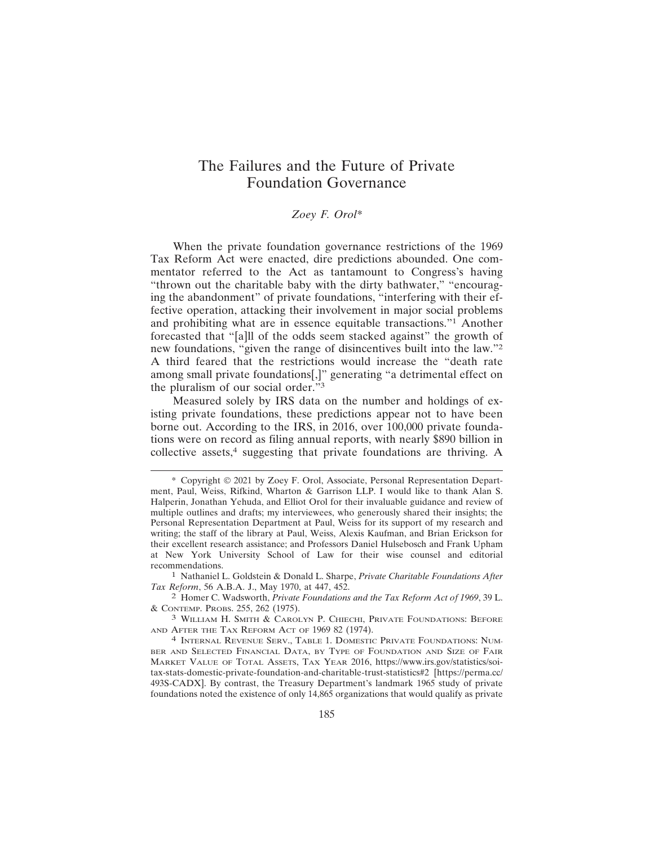# The Failures and the Future of Private Foundation Governance

# *Zoey F. Orol\**

When the private foundation governance restrictions of the 1969 Tax Reform Act were enacted, dire predictions abounded. One commentator referred to the Act as tantamount to Congress's having "thrown out the charitable baby with the dirty bathwater," "encouraging the abandonment" of private foundations, "interfering with their effective operation, attacking their involvement in major social problems and prohibiting what are in essence equitable transactions."1 Another forecasted that "[a]ll of the odds seem stacked against" the growth of new foundations, "given the range of disincentives built into the law."<sup>2</sup> A third feared that the restrictions would increase the "death rate among small private foundations[,]" generating "a detrimental effect on the pluralism of our social order."<sup>3</sup>

Measured solely by IRS data on the number and holdings of existing private foundations, these predictions appear not to have been borne out. According to the IRS, in 2016, over 100,000 private foundations were on record as filing annual reports, with nearly \$890 billion in collective assets,<sup>4</sup> suggesting that private foundations are thriving. A

<sup>\*</sup> Copyright © 2021 by Zoey F. Orol, Associate, Personal Representation Department, Paul, Weiss, Rifkind, Wharton & Garrison LLP. I would like to thank Alan S. Halperin, Jonathan Yehuda, and Elliot Orol for their invaluable guidance and review of multiple outlines and drafts; my interviewees, who generously shared their insights; the Personal Representation Department at Paul, Weiss for its support of my research and writing; the staff of the library at Paul, Weiss, Alexis Kaufman, and Brian Erickson for their excellent research assistance; and Professors Daniel Hulsebosch and Frank Upham at New York University School of Law for their wise counsel and editorial recommendations.

<sup>1</sup> Nathaniel L. Goldstein & Donald L. Sharpe, *Private Charitable Foundations After Tax Reform*, 56 A.B.A. J., May 1970, at 447, 452.

<sup>2</sup> Homer C. Wadsworth, *Private Foundations and the Tax Reform Act of 1969*, 39 L. & CONTEMP. PROBS. 255, 262 (1975).

<sup>3</sup> WILLIAM H. SMITH & CAROLYN P. CHIECHI, PRIVATE FOUNDATIONS: BEFORE AND AFTER THE TAX REFORM ACT OF 1969 82 (1974).

<sup>4</sup> INTERNAL REVENUE SERV., TABLE 1. DOMESTIC PRIVATE FOUNDATIONS: NUM-BER AND SELECTED FINANCIAL DATA, BY TYPE OF FOUNDATION AND SIZE OF FAIR MARKET VALUE OF TOTAL ASSETS, TAX YEAR 2016, https://www.irs.gov/statistics/soitax-stats-domestic-private-foundation-and-charitable-trust-statistics#2 [https://perma.cc/ 493S-CADX]. By contrast, the Treasury Department's landmark 1965 study of private foundations noted the existence of only 14,865 organizations that would qualify as private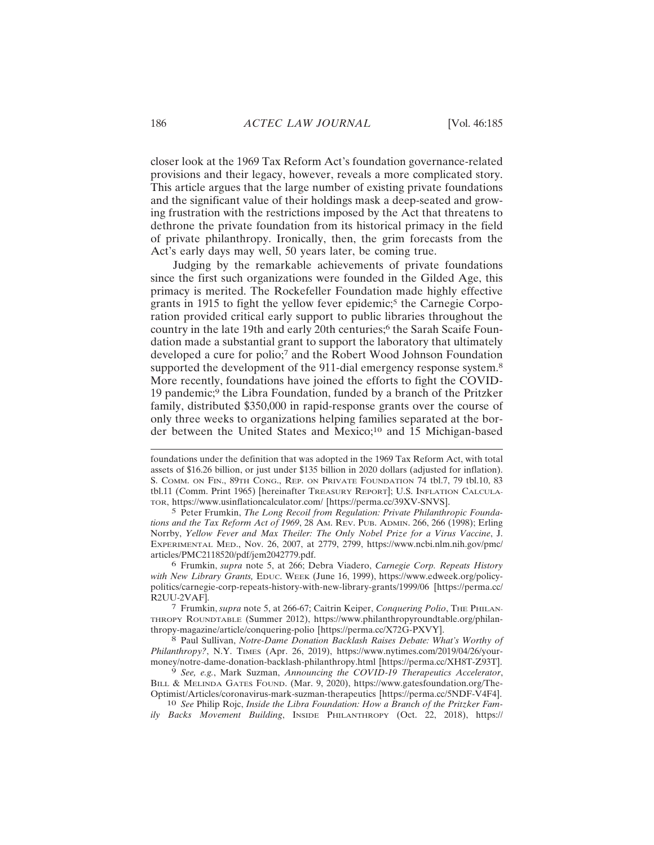closer look at the 1969 Tax Reform Act's foundation governance-related provisions and their legacy, however, reveals a more complicated story. This article argues that the large number of existing private foundations and the significant value of their holdings mask a deep-seated and growing frustration with the restrictions imposed by the Act that threatens to dethrone the private foundation from its historical primacy in the field of private philanthropy. Ironically, then, the grim forecasts from the Act's early days may well, 50 years later, be coming true.

Judging by the remarkable achievements of private foundations since the first such organizations were founded in the Gilded Age, this primacy is merited. The Rockefeller Foundation made highly effective grants in 1915 to fight the yellow fever epidemic;<sup>5</sup> the Carnegie Corporation provided critical early support to public libraries throughout the country in the late 19th and early 20th centuries;<sup>6</sup> the Sarah Scaife Foundation made a substantial grant to support the laboratory that ultimately developed a cure for polio;7 and the Robert Wood Johnson Foundation supported the development of the 911-dial emergency response system.<sup>8</sup> More recently, foundations have joined the efforts to fight the COVID-19 pandemic;<sup>9</sup> the Libra Foundation, funded by a branch of the Pritzker family, distributed \$350,000 in rapid-response grants over the course of only three weeks to organizations helping families separated at the border between the United States and Mexico;<sup>10</sup> and 15 Michigan-based

5 Peter Frumkin, *The Long Recoil from Regulation: Private Philanthropic Foundations and the Tax Reform Act of 1969*, 28 AM. REV. PUB. ADMIN. 266, 266 (1998); Erling Norrby, *Yellow Fever and Max Theiler: The Only Nobel Prize for a Virus Vaccine*, J. EXPERIMENTAL MED., Nov. 26, 2007, at 2779, 2799, https://www.ncbi.nlm.nih.gov/pmc/ articles/PMC2118520/pdf/jem2042779.pdf.

6 Frumkin, *supra* note 5, at 266; Debra Viadero, *Carnegie Corp. Repeats History with New Library Grants,* EDUC. WEEK (June 16, 1999), https://www.edweek.org/policypolitics/carnegie-corp-repeats-history-with-new-library-grants/1999/06 [https://perma.cc/ R2UU-2VAF].

7 Frumkin, *supra* note 5, at 266-67; Caitrin Keiper, *Conquering Polio*, THE PHILAN-THROPY ROUNDTABLE (Summer 2012), https://www.philanthropyroundtable.org/philanthropy-magazine/article/conquering-polio [https://perma.cc/X72G-PXVY].

8 Paul Sullivan, *Notre-Dame Donation Backlash Raises Debate: What's Worthy of Philanthropy?*, N.Y. TIMES (Apr. 26, 2019), https://www.nytimes.com/2019/04/26/yourmoney/notre-dame-donation-backlash-philanthropy.html [https://perma.cc/XH8T-Z93T].

9 *See, e.g.*, Mark Suzman, *Announcing the COVID-19 Therapeutics Accelerator*, BILL & MELINDA GATES FOUND. (Mar. 9, 2020), https://www.gatesfoundation.org/The-Optimist/Articles/coronavirus-mark-suzman-therapeutics [https://perma.cc/5NDF-V4F4].

10 *See* Philip Rojc, *Inside the Libra Foundation: How a Branch of the Pritzker Family Backs Movement Building*, INSIDE PHILANTHROPY (Oct. 22, 2018), https://

foundations under the definition that was adopted in the 1969 Tax Reform Act, with total assets of \$16.26 billion, or just under \$135 billion in 2020 dollars (adjusted for inflation). S. COMM. ON FIN., 89TH CONG., REP. ON PRIVATE FOUNDATION 74 tbl.7, 79 tbl.10, 83 tbl.11 (Comm. Print 1965) [hereinafter TREASURY REPORT]; U.S. INFLATION CALCULA-TOR, https://www.usinflationcalculator.com/ [https://perma.cc/39XV-SNVS].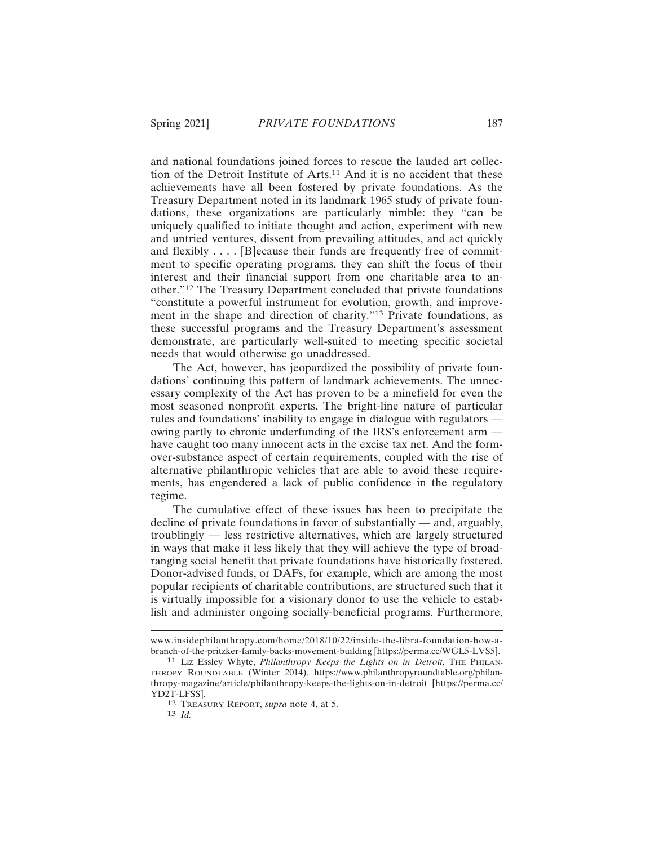and national foundations joined forces to rescue the lauded art collection of the Detroit Institute of Arts.11 And it is no accident that these achievements have all been fostered by private foundations. As the Treasury Department noted in its landmark 1965 study of private foundations, these organizations are particularly nimble: they "can be uniquely qualified to initiate thought and action, experiment with new and untried ventures, dissent from prevailing attitudes, and act quickly and flexibly . . . . [B]ecause their funds are frequently free of commitment to specific operating programs, they can shift the focus of their interest and their financial support from one charitable area to another."12 The Treasury Department concluded that private foundations "constitute a powerful instrument for evolution, growth, and improvement in the shape and direction of charity."13 Private foundations, as these successful programs and the Treasury Department's assessment demonstrate, are particularly well-suited to meeting specific societal needs that would otherwise go unaddressed.

The Act, however, has jeopardized the possibility of private foundations' continuing this pattern of landmark achievements. The unnecessary complexity of the Act has proven to be a minefield for even the most seasoned nonprofit experts. The bright-line nature of particular rules and foundations' inability to engage in dialogue with regulators owing partly to chronic underfunding of the IRS's enforcement arm have caught too many innocent acts in the excise tax net. And the formover-substance aspect of certain requirements, coupled with the rise of alternative philanthropic vehicles that are able to avoid these requirements, has engendered a lack of public confidence in the regulatory regime.

The cumulative effect of these issues has been to precipitate the decline of private foundations in favor of substantially — and, arguably, troublingly — less restrictive alternatives, which are largely structured in ways that make it less likely that they will achieve the type of broadranging social benefit that private foundations have historically fostered. Donor-advised funds, or DAFs, for example, which are among the most popular recipients of charitable contributions, are structured such that it is virtually impossible for a visionary donor to use the vehicle to establish and administer ongoing socially-beneficial programs. Furthermore,

www.insidephilanthropy.com/home/2018/10/22/inside-the-libra-foundation-how-abranch-of-the-pritzker-family-backs-movement-building [https://perma.cc/WGL5-LVS5].

<sup>&</sup>lt;sup>11</sup> Liz Essley Whyte, *Philanthropy Keeps the Lights on in Detroit*, THE PHILAN-THROPY ROUNDTABLE (Winter 2014), https://www.philanthropyroundtable.org/philanthropy-magazine/article/philanthropy-keeps-the-lights-on-in-detroit [https://perma.cc/ YD2T-LFSS].

<sup>12</sup> TREASURY REPORT, *supra* note 4, at 5.

<sup>13</sup> *Id.*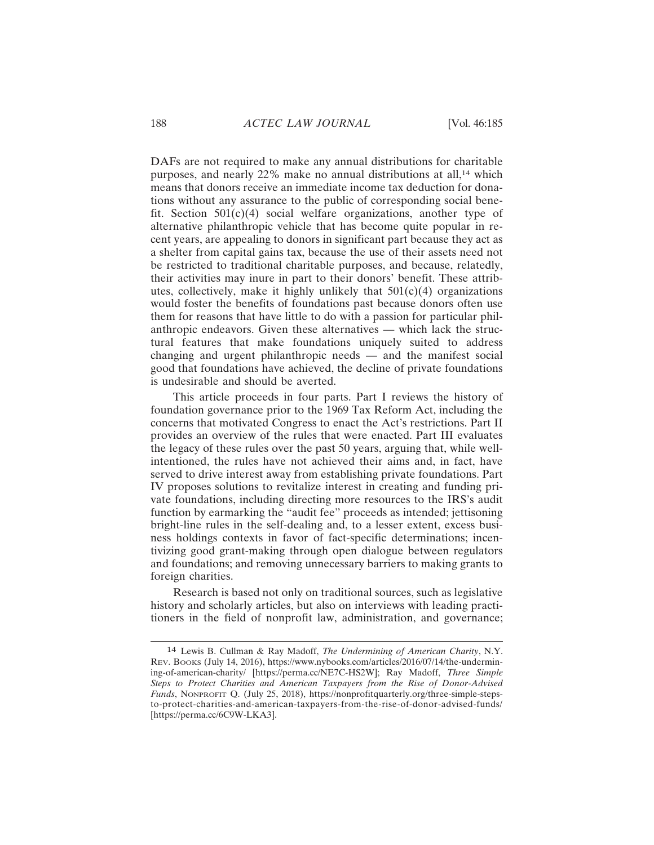DAFs are not required to make any annual distributions for charitable purposes, and nearly 22% make no annual distributions at all,<sup>14</sup> which means that donors receive an immediate income tax deduction for donations without any assurance to the public of corresponding social benefit. Section 501(c)(4) social welfare organizations, another type of alternative philanthropic vehicle that has become quite popular in recent years, are appealing to donors in significant part because they act as a shelter from capital gains tax, because the use of their assets need not be restricted to traditional charitable purposes, and because, relatedly, their activities may inure in part to their donors' benefit. These attributes, collectively, make it highly unlikely that  $501(c)(4)$  organizations would foster the benefits of foundations past because donors often use them for reasons that have little to do with a passion for particular philanthropic endeavors. Given these alternatives — which lack the structural features that make foundations uniquely suited to address changing and urgent philanthropic needs — and the manifest social good that foundations have achieved, the decline of private foundations is undesirable and should be averted.

This article proceeds in four parts. Part I reviews the history of foundation governance prior to the 1969 Tax Reform Act, including the concerns that motivated Congress to enact the Act's restrictions. Part II provides an overview of the rules that were enacted. Part III evaluates the legacy of these rules over the past 50 years, arguing that, while wellintentioned, the rules have not achieved their aims and, in fact, have served to drive interest away from establishing private foundations. Part IV proposes solutions to revitalize interest in creating and funding private foundations, including directing more resources to the IRS's audit function by earmarking the "audit fee" proceeds as intended; jettisoning bright-line rules in the self-dealing and, to a lesser extent, excess business holdings contexts in favor of fact-specific determinations; incentivizing good grant-making through open dialogue between regulators and foundations; and removing unnecessary barriers to making grants to foreign charities.

Research is based not only on traditional sources, such as legislative history and scholarly articles, but also on interviews with leading practitioners in the field of nonprofit law, administration, and governance;

<sup>14</sup> Lewis B. Cullman & Ray Madoff, *The Undermining of American Charity*, N.Y. REV. BOOKS (July 14, 2016), https://www.nybooks.com/articles/2016/07/14/the-undermining-of-american-charity/ [https://perma.cc/NE7C-HS2W]; Ray Madoff, *Three Simple Steps to Protect Charities and American Taxpayers from the Rise of Donor-Advised Funds*, NONPROFIT Q. (July 25, 2018), https://nonprofitquarterly.org/three-simple-stepsto-protect-charities-and-american-taxpayers-from-the-rise-of-donor-advised-funds/ [https://perma.cc/6C9W-LKA3].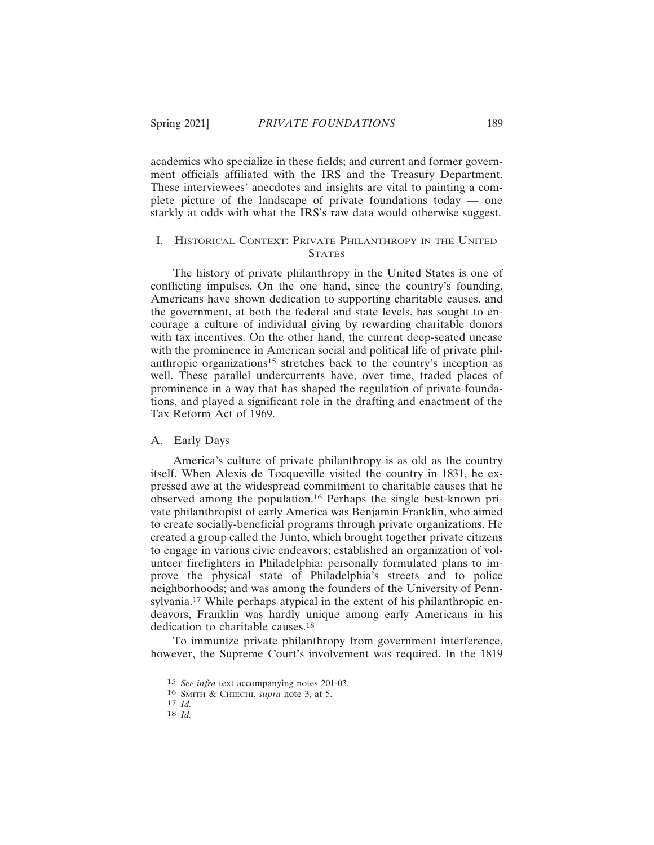academics who specialize in these fields; and current and former government officials affiliated with the IRS and the Treasury Department. These interviewees' anecdotes and insights are vital to painting a complete picture of the landscape of private foundations today — one starkly at odds with what the IRS's raw data would otherwise suggest.

# I. HISTORICAL CONTEXT: PRIVATE PHILANTHROPY IN THE UNITED **STATES**

The history of private philanthropy in the United States is one of conflicting impulses. On the one hand, since the country's founding, Americans have shown dedication to supporting charitable causes, and the government, at both the federal and state levels, has sought to encourage a culture of individual giving by rewarding charitable donors with tax incentives. On the other hand, the current deep-seated unease with the prominence in American social and political life of private philanthropic organizations<sup>15</sup> stretches back to the country's inception as well. These parallel undercurrents have, over time, traded places of prominence in a way that has shaped the regulation of private foundations, and played a significant role in the drafting and enactment of the Tax Reform Act of 1969.

### A. Early Days

America's culture of private philanthropy is as old as the country itself. When Alexis de Tocqueville visited the country in 1831, he expressed awe at the widespread commitment to charitable causes that he observed among the population.16 Perhaps the single best-known private philanthropist of early America was Benjamin Franklin, who aimed to create socially-beneficial programs through private organizations. He created a group called the Junto, which brought together private citizens to engage in various civic endeavors; established an organization of volunteer firefighters in Philadelphia; personally formulated plans to improve the physical state of Philadelphia's streets and to police neighborhoods; and was among the founders of the University of Pennsylvania.17 While perhaps atypical in the extent of his philanthropic endeavors, Franklin was hardly unique among early Americans in his dedication to charitable causes.<sup>18</sup>

To immunize private philanthropy from government interference, however, the Supreme Court's involvement was required. In the 1819

<sup>15</sup> *See infra* text accompanying notes 201-03.

<sup>16</sup> SMITH & CHIECHI, *supra* note 3, at 5.

<sup>17</sup> *Id.*

<sup>18</sup> *Id.*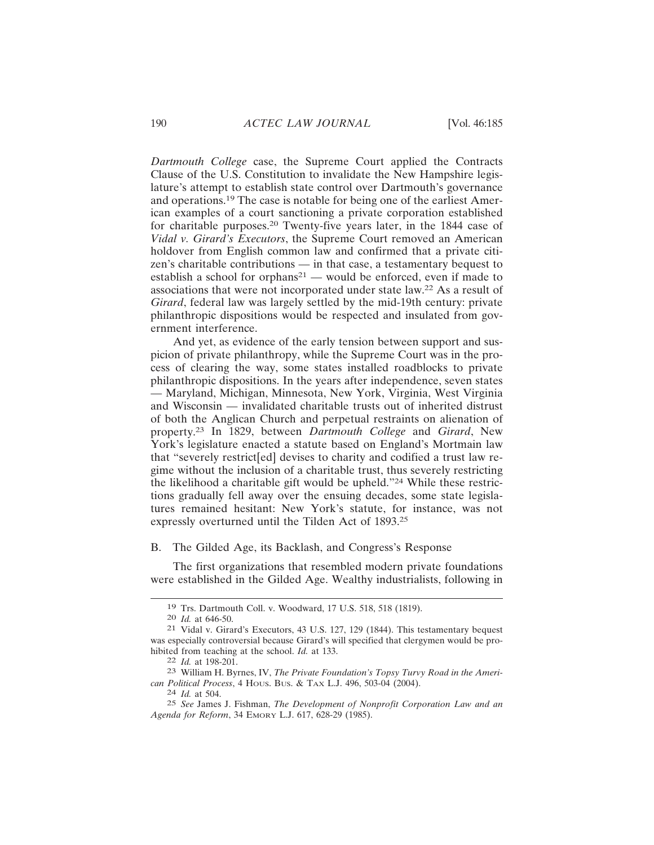*Dartmouth College* case, the Supreme Court applied the Contracts Clause of the U.S. Constitution to invalidate the New Hampshire legislature's attempt to establish state control over Dartmouth's governance and operations.19 The case is notable for being one of the earliest American examples of a court sanctioning a private corporation established for charitable purposes.20 Twenty-five years later, in the 1844 case of *Vidal v. Girard's Executors*, the Supreme Court removed an American holdover from English common law and confirmed that a private citizen's charitable contributions — in that case, a testamentary bequest to establish a school for orphans<sup>21</sup> — would be enforced, even if made to associations that were not incorporated under state law.22 As a result of *Girard*, federal law was largely settled by the mid-19th century: private philanthropic dispositions would be respected and insulated from government interference.

And yet, as evidence of the early tension between support and suspicion of private philanthropy, while the Supreme Court was in the process of clearing the way, some states installed roadblocks to private philanthropic dispositions. In the years after independence, seven states — Maryland, Michigan, Minnesota, New York, Virginia, West Virginia and Wisconsin — invalidated charitable trusts out of inherited distrust of both the Anglican Church and perpetual restraints on alienation of property.23 In 1829, between *Dartmouth College* and *Girard*, New York's legislature enacted a statute based on England's Mortmain law that "severely restrict[ed] devises to charity and codified a trust law regime without the inclusion of a charitable trust, thus severely restricting the likelihood a charitable gift would be upheld."24 While these restrictions gradually fell away over the ensuing decades, some state legislatures remained hesitant: New York's statute, for instance, was not expressly overturned until the Tilden Act of 1893.<sup>25</sup>

## B. The Gilded Age, its Backlash, and Congress's Response

The first organizations that resembled modern private foundations were established in the Gilded Age. Wealthy industrialists, following in

<sup>19</sup> Trs. Dartmouth Coll. v. Woodward, 17 U.S. 518, 518 (1819).

<sup>20</sup> *Id.* at 646-50.

<sup>21</sup> Vidal v. Girard's Executors, 43 U.S. 127, 129 (1844). This testamentary bequest was especially controversial because Girard's will specified that clergymen would be prohibited from teaching at the school. *Id.* at 133.

<sup>22</sup> *Id.* at 198-201.

<sup>23</sup> William H. Byrnes, IV, *The Private Foundation's Topsy Turvy Road in the American Political Process*, 4 HOUS. BUS. & TAX L.J. 496, 503-04 (2004).

<sup>24</sup> *Id.* at 504.

<sup>25</sup> *See* James J. Fishman, *The Development of Nonprofit Corporation Law and an Agenda for Reform*, 34 EMORY L.J. 617, 628-29 (1985).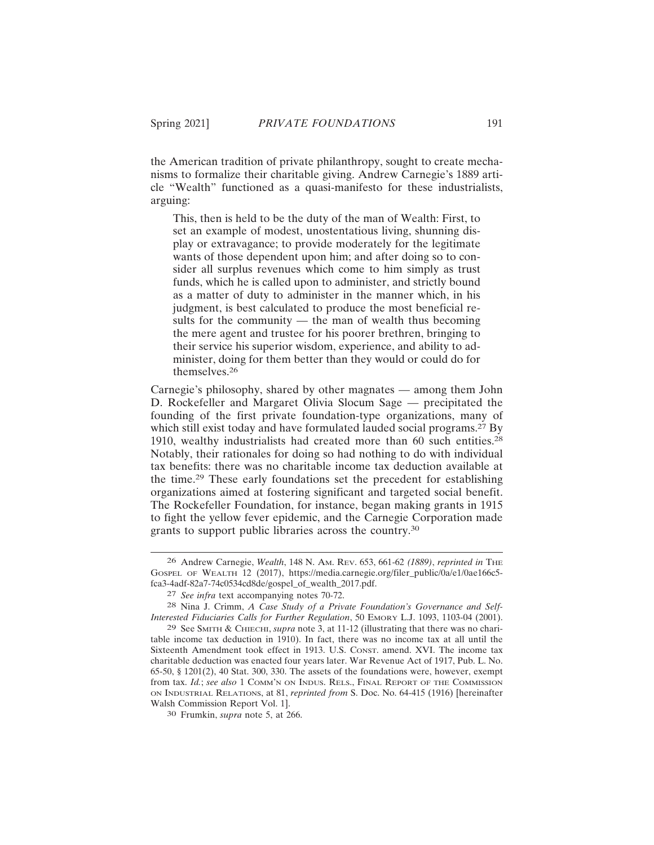the American tradition of private philanthropy, sought to create mechanisms to formalize their charitable giving. Andrew Carnegie's 1889 article "Wealth" functioned as a quasi-manifesto for these industrialists, arguing:

This, then is held to be the duty of the man of Wealth: First, to set an example of modest, unostentatious living, shunning display or extravagance; to provide moderately for the legitimate wants of those dependent upon him; and after doing so to consider all surplus revenues which come to him simply as trust funds, which he is called upon to administer, and strictly bound as a matter of duty to administer in the manner which, in his judgment, is best calculated to produce the most beneficial results for the community  $-$  the man of wealth thus becoming the mere agent and trustee for his poorer brethren, bringing to their service his superior wisdom, experience, and ability to administer, doing for them better than they would or could do for themselves.26

Carnegie's philosophy, shared by other magnates — among them John D. Rockefeller and Margaret Olivia Slocum Sage — precipitated the founding of the first private foundation-type organizations, many of which still exist today and have formulated lauded social programs.<sup>27</sup> By 1910, wealthy industrialists had created more than 60 such entities.<sup>28</sup> Notably, their rationales for doing so had nothing to do with individual tax benefits: there was no charitable income tax deduction available at the time.29 These early foundations set the precedent for establishing organizations aimed at fostering significant and targeted social benefit. The Rockefeller Foundation, for instance, began making grants in 1915 to fight the yellow fever epidemic, and the Carnegie Corporation made grants to support public libraries across the country.<sup>30</sup>

<sup>26</sup> Andrew Carnegie, *Wealth*, 148 N. AM. REV. 653, 661-62 *(1889)*, *reprinted in* THE GOSPEL OF WEALTH 12 (2017), https://media.carnegie.org/filer\_public/0a/e1/0ae166c5 fca3-4adf-82a7-74c0534cd8de/gospel\_of\_wealth\_2017.pdf.

<sup>27</sup> *See infra* text accompanying notes 70-72.

<sup>28</sup> Nina J. Crimm, *A Case Study of a Private Foundation's Governance and Self-Interested Fiduciaries Calls for Further Regulation*, 50 EMORY L.J. 1093, 1103-04 (2001).

<sup>29</sup> See SMITH & CHIECHI, *supra* note 3, at 11-12 (illustrating that there was no charitable income tax deduction in 1910). In fact, there was no income tax at all until the Sixteenth Amendment took effect in 1913. U.S. CONST. amend. XVI. The income tax charitable deduction was enacted four years later. War Revenue Act of 1917, Pub. L. No. 65-50, § 1201(2), 40 Stat. 300, 330. The assets of the foundations were, however, exempt from tax. *Id.*; *see also* 1 COMM'N ON INDUS. RELS., FINAL REPORT OF THE COMMISSION ON INDUSTRIAL RELATIONS, at 81, *reprinted from* S. Doc. No. 64-415 (1916) [hereinafter Walsh Commission Report Vol. 1].

<sup>30</sup> Frumkin, *supra* note 5, at 266.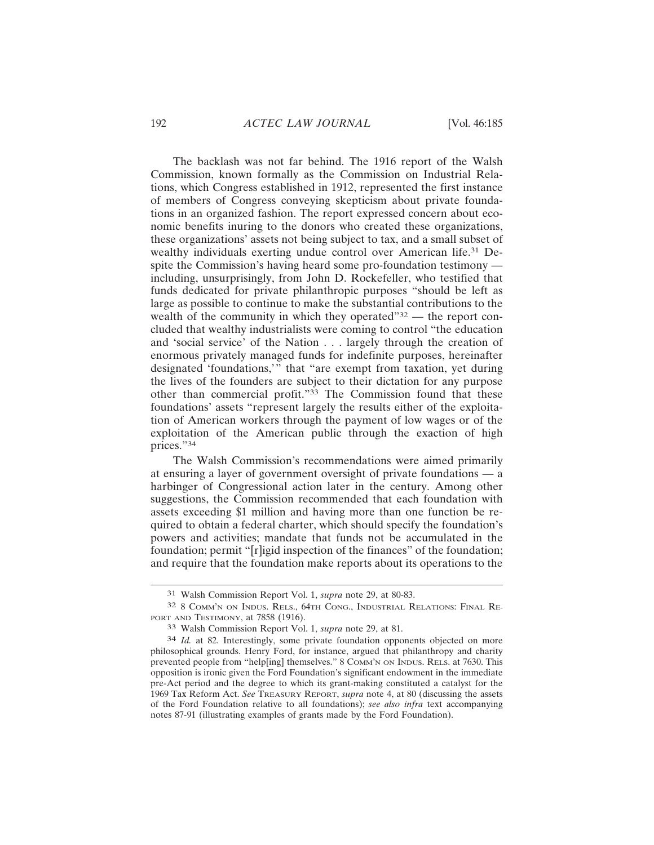The backlash was not far behind. The 1916 report of the Walsh Commission, known formally as the Commission on Industrial Relations, which Congress established in 1912, represented the first instance of members of Congress conveying skepticism about private foundations in an organized fashion. The report expressed concern about economic benefits inuring to the donors who created these organizations, these organizations' assets not being subject to tax, and a small subset of wealthy individuals exerting undue control over American life.31 Despite the Commission's having heard some pro-foundation testimony including, unsurprisingly, from John D. Rockefeller, who testified that funds dedicated for private philanthropic purposes "should be left as large as possible to continue to make the substantial contributions to the wealth of the community in which they operated" $32$  — the report concluded that wealthy industrialists were coming to control "the education and 'social service' of the Nation . . . largely through the creation of enormous privately managed funds for indefinite purposes, hereinafter designated 'foundations,'" that "are exempt from taxation, yet during the lives of the founders are subject to their dictation for any purpose other than commercial profit."33 The Commission found that these foundations' assets "represent largely the results either of the exploitation of American workers through the payment of low wages or of the exploitation of the American public through the exaction of high prices."34

The Walsh Commission's recommendations were aimed primarily at ensuring a layer of government oversight of private foundations — a harbinger of Congressional action later in the century. Among other suggestions, the Commission recommended that each foundation with assets exceeding \$1 million and having more than one function be required to obtain a federal charter, which should specify the foundation's powers and activities; mandate that funds not be accumulated in the foundation; permit "[r]igid inspection of the finances" of the foundation; and require that the foundation make reports about its operations to the

<sup>31</sup> Walsh Commission Report Vol. 1, *supra* note 29, at 80-83.

<sup>32</sup> 8 COMM'N ON INDUS. RELS., 64TH CONG., INDUSTRIAL RELATIONS: FINAL RE-PORT AND TESTIMONY, at 7858 (1916).

<sup>33</sup> Walsh Commission Report Vol. 1, *supra* note 29, at 81.

<sup>34</sup> *Id.* at 82. Interestingly, some private foundation opponents objected on more philosophical grounds. Henry Ford, for instance, argued that philanthropy and charity prevented people from "help[ing] themselves." 8 COMM'N ON INDUS. RELS. at 7630. This opposition is ironic given the Ford Foundation's significant endowment in the immediate pre-Act period and the degree to which its grant-making constituted a catalyst for the 1969 Tax Reform Act. *See* TREASURY REPORT, *supra* note 4, at 80 (discussing the assets of the Ford Foundation relative to all foundations); *see also infra* text accompanying notes 87-91 (illustrating examples of grants made by the Ford Foundation).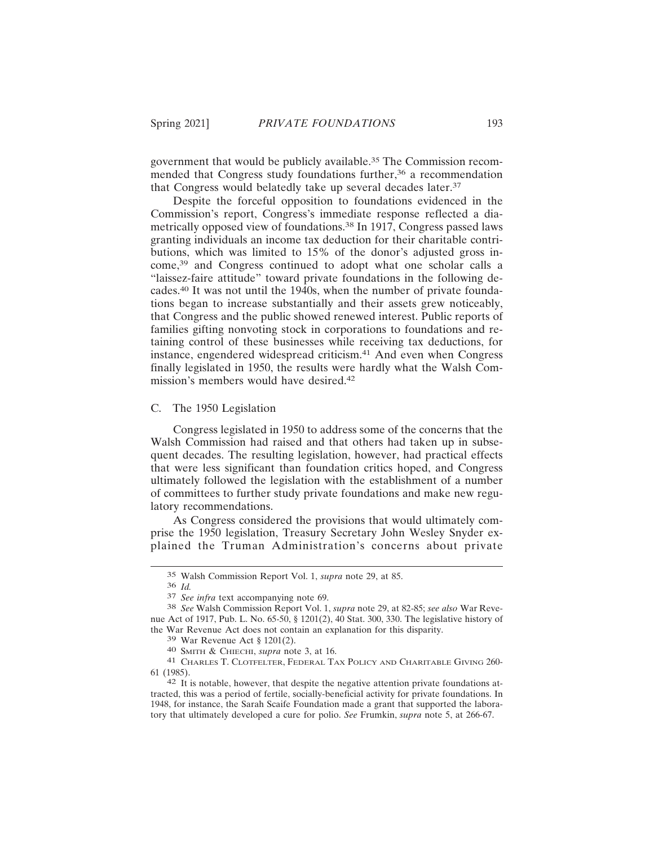government that would be publicly available.35 The Commission recommended that Congress study foundations further,<sup>36</sup> a recommendation that Congress would belatedly take up several decades later.<sup>37</sup>

Despite the forceful opposition to foundations evidenced in the Commission's report, Congress's immediate response reflected a diametrically opposed view of foundations.38 In 1917, Congress passed laws granting individuals an income tax deduction for their charitable contributions, which was limited to 15% of the donor's adjusted gross income,39 and Congress continued to adopt what one scholar calls a "laissez-faire attitude" toward private foundations in the following decades.40 It was not until the 1940s, when the number of private foundations began to increase substantially and their assets grew noticeably, that Congress and the public showed renewed interest. Public reports of families gifting nonvoting stock in corporations to foundations and retaining control of these businesses while receiving tax deductions, for instance, engendered widespread criticism.41 And even when Congress finally legislated in 1950, the results were hardly what the Walsh Commission's members would have desired.<sup>42</sup>

## C. The 1950 Legislation

Congress legislated in 1950 to address some of the concerns that the Walsh Commission had raised and that others had taken up in subsequent decades. The resulting legislation, however, had practical effects that were less significant than foundation critics hoped, and Congress ultimately followed the legislation with the establishment of a number of committees to further study private foundations and make new regulatory recommendations.

As Congress considered the provisions that would ultimately comprise the 1950 legislation, Treasury Secretary John Wesley Snyder explained the Truman Administration's concerns about private

<sup>35</sup> Walsh Commission Report Vol. 1, *supra* note 29, at 85.

<sup>36</sup> *Id.*

<sup>37</sup> *See infra* text accompanying note 69.

<sup>38</sup> *See* Walsh Commission Report Vol. 1, *supra* note 29, at 82-85; *see also* War Revenue Act of 1917, Pub. L. No. 65-50, § 1201(2), 40 Stat. 300, 330. The legislative history of the War Revenue Act does not contain an explanation for this disparity.

<sup>39</sup> War Revenue Act § 1201(2).

<sup>40</sup> SMITH & CHIECHI, *supra* note 3, at 16.

<sup>41</sup> CHARLES T. CLOTFELTER, FEDERAL TAX POLICY AND CHARITABLE GIVING 260- 61 (1985).

<sup>42</sup> It is notable, however, that despite the negative attention private foundations attracted, this was a period of fertile, socially-beneficial activity for private foundations. In 1948, for instance, the Sarah Scaife Foundation made a grant that supported the laboratory that ultimately developed a cure for polio. *See* Frumkin, *supra* note 5, at 266-67.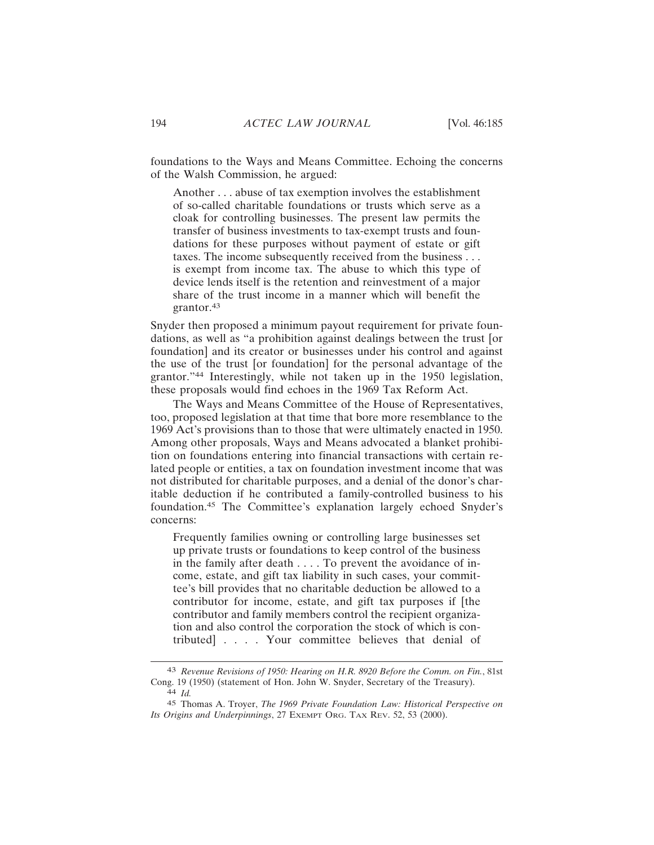foundations to the Ways and Means Committee. Echoing the concerns of the Walsh Commission, he argued:

Another . . . abuse of tax exemption involves the establishment of so-called charitable foundations or trusts which serve as a cloak for controlling businesses. The present law permits the transfer of business investments to tax-exempt trusts and foundations for these purposes without payment of estate or gift taxes. The income subsequently received from the business . . . is exempt from income tax. The abuse to which this type of device lends itself is the retention and reinvestment of a major share of the trust income in a manner which will benefit the grantor.43

Snyder then proposed a minimum payout requirement for private foundations, as well as "a prohibition against dealings between the trust [or foundation] and its creator or businesses under his control and against the use of the trust [or foundation] for the personal advantage of the grantor."44 Interestingly, while not taken up in the 1950 legislation, these proposals would find echoes in the 1969 Tax Reform Act.

The Ways and Means Committee of the House of Representatives, too, proposed legislation at that time that bore more resemblance to the 1969 Act's provisions than to those that were ultimately enacted in 1950. Among other proposals, Ways and Means advocated a blanket prohibition on foundations entering into financial transactions with certain related people or entities, a tax on foundation investment income that was not distributed for charitable purposes, and a denial of the donor's charitable deduction if he contributed a family-controlled business to his foundation.45 The Committee's explanation largely echoed Snyder's concerns:

Frequently families owning or controlling large businesses set up private trusts or foundations to keep control of the business in the family after death . . . . To prevent the avoidance of income, estate, and gift tax liability in such cases, your committee's bill provides that no charitable deduction be allowed to a contributor for income, estate, and gift tax purposes if [the contributor and family members control the recipient organization and also control the corporation the stock of which is contributed] . . . . Your committee believes that denial of

<sup>43</sup> *Revenue Revisions of 1950: Hearing on H.R. 8920 Before the Comm. on Fin.*, 81st Cong. 19 (1950) (statement of Hon. John W. Snyder, Secretary of the Treasury). 44 *Id.*

<sup>45</sup> Thomas A. Troyer, *The 1969 Private Foundation Law: Historical Perspective on Its Origins and Underpinnings*, 27 EXEMPT ORG. TAX REV. 52, 53 (2000).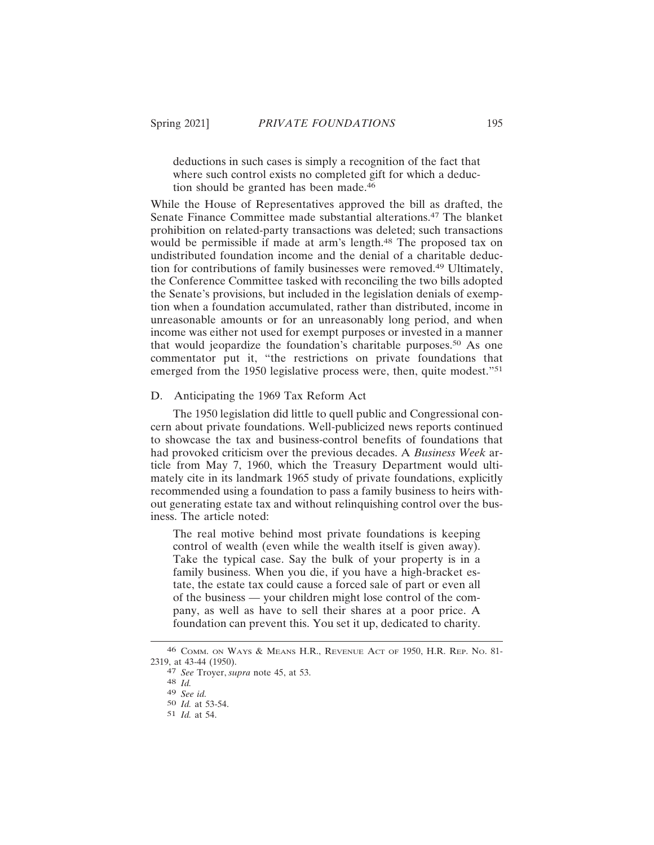deductions in such cases is simply a recognition of the fact that where such control exists no completed gift for which a deduction should be granted has been made.<sup>46</sup>

While the House of Representatives approved the bill as drafted, the Senate Finance Committee made substantial alterations.47 The blanket prohibition on related-party transactions was deleted; such transactions would be permissible if made at arm's length.<sup>48</sup> The proposed tax on undistributed foundation income and the denial of a charitable deduction for contributions of family businesses were removed.49 Ultimately, the Conference Committee tasked with reconciling the two bills adopted the Senate's provisions, but included in the legislation denials of exemption when a foundation accumulated, rather than distributed, income in unreasonable amounts or for an unreasonably long period, and when income was either not used for exempt purposes or invested in a manner that would jeopardize the foundation's charitable purposes.50 As one commentator put it, "the restrictions on private foundations that emerged from the 1950 legislative process were, then, quite modest."<sup>51</sup>

## D. Anticipating the 1969 Tax Reform Act

The 1950 legislation did little to quell public and Congressional concern about private foundations. Well-publicized news reports continued to showcase the tax and business-control benefits of foundations that had provoked criticism over the previous decades. A *Business Week* article from May 7, 1960, which the Treasury Department would ultimately cite in its landmark 1965 study of private foundations, explicitly recommended using a foundation to pass a family business to heirs without generating estate tax and without relinquishing control over the business. The article noted:

The real motive behind most private foundations is keeping control of wealth (even while the wealth itself is given away). Take the typical case. Say the bulk of your property is in a family business. When you die, if you have a high-bracket estate, the estate tax could cause a forced sale of part or even all of the business — your children might lose control of the company, as well as have to sell their shares at a poor price. A foundation can prevent this. You set it up, dedicated to charity.

<sup>46</sup> COMM. ON WAYS & MEANS H.R., REVENUE ACT OF 1950, H.R. REP. NO. 81- 2319, at 43-44 (1950).

<sup>47</sup> *See* Troyer, *supra* note 45, at 53.

<sup>48</sup> *Id.*

<sup>49</sup> *See id.*

<sup>50</sup> *Id.* at 53-54.

<sup>51</sup> *Id.* at 54.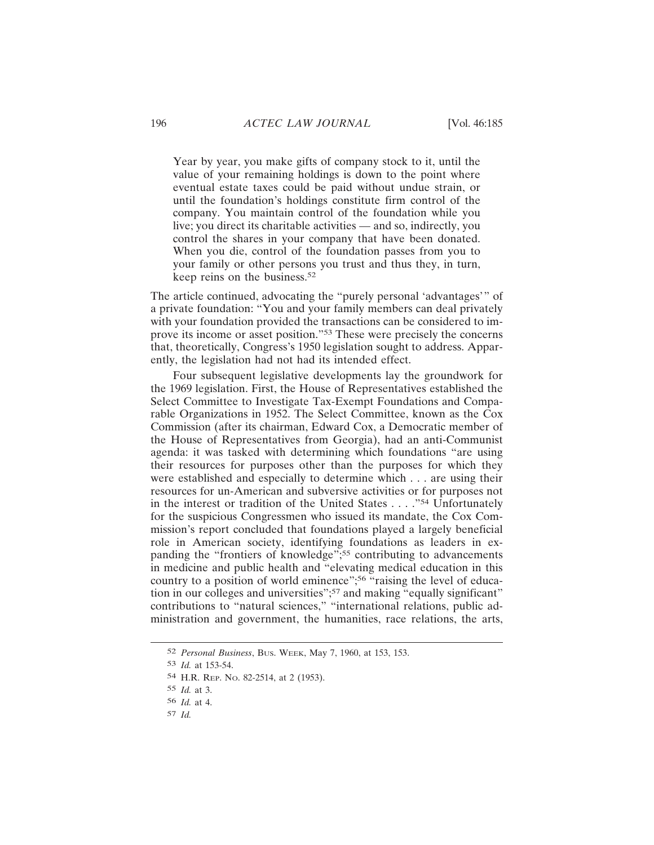Year by year, you make gifts of company stock to it, until the value of your remaining holdings is down to the point where eventual estate taxes could be paid without undue strain, or until the foundation's holdings constitute firm control of the company. You maintain control of the foundation while you live; you direct its charitable activities — and so, indirectly, you control the shares in your company that have been donated. When you die, control of the foundation passes from you to your family or other persons you trust and thus they, in turn, keep reins on the business.<sup>52</sup>

The article continued, advocating the "purely personal 'advantages'" of a private foundation: "You and your family members can deal privately with your foundation provided the transactions can be considered to improve its income or asset position."53 These were precisely the concerns that, theoretically, Congress's 1950 legislation sought to address. Apparently, the legislation had not had its intended effect.

Four subsequent legislative developments lay the groundwork for the 1969 legislation. First, the House of Representatives established the Select Committee to Investigate Tax-Exempt Foundations and Comparable Organizations in 1952. The Select Committee, known as the Cox Commission (after its chairman, Edward Cox, a Democratic member of the House of Representatives from Georgia), had an anti-Communist agenda: it was tasked with determining which foundations "are using their resources for purposes other than the purposes for which they were established and especially to determine which . . . are using their resources for un-American and subversive activities or for purposes not in the interest or tradition of the United States . . . ."54 Unfortunately for the suspicious Congressmen who issued its mandate, the Cox Commission's report concluded that foundations played a largely beneficial role in American society, identifying foundations as leaders in expanding the "frontiers of knowledge";<sup>55</sup> contributing to advancements in medicine and public health and "elevating medical education in this country to a position of world eminence";<sup>56</sup>  $\frac{6}{10}$  raising the level of education in our colleges and universities";<sup>57</sup> and making "equally significant" contributions to "natural sciences," "international relations, public administration and government, the humanities, race relations, the arts,

<sup>52</sup> *Personal Business*, BUS. WEEK, May 7, 1960, at 153, 153.

<sup>53</sup> *Id.* at 153-54.

<sup>54</sup> H.R. REP. NO. 82-2514, at 2 (1953).

<sup>55</sup> *Id.* at 3.

<sup>56</sup> *Id.* at 4.

<sup>57</sup> *Id.*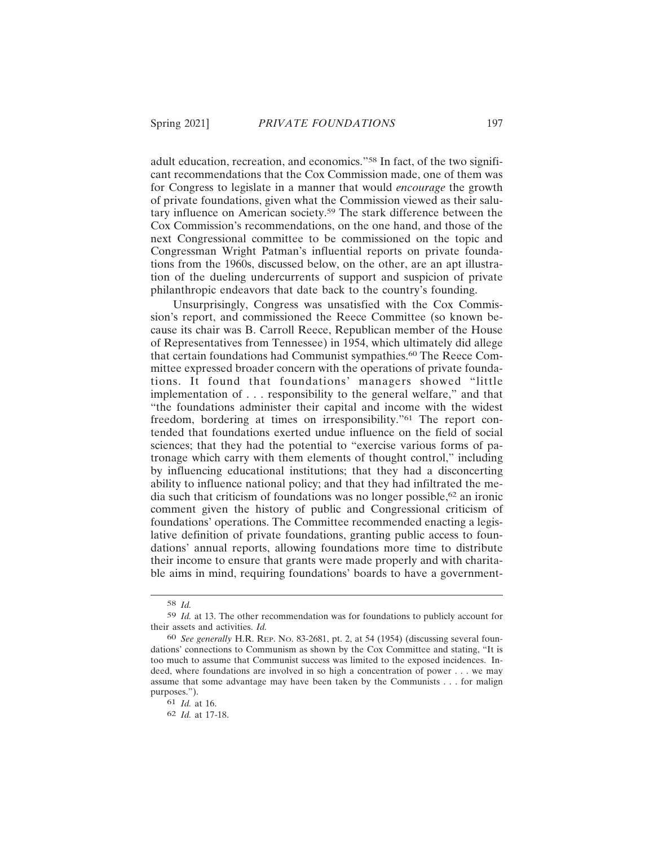adult education, recreation, and economics."58 In fact, of the two significant recommendations that the Cox Commission made, one of them was for Congress to legislate in a manner that would *encourage* the growth of private foundations, given what the Commission viewed as their salutary influence on American society.59 The stark difference between the Cox Commission's recommendations, on the one hand, and those of the next Congressional committee to be commissioned on the topic and Congressman Wright Patman's influential reports on private foundations from the 1960s, discussed below, on the other, are an apt illustration of the dueling undercurrents of support and suspicion of private philanthropic endeavors that date back to the country's founding.

Unsurprisingly, Congress was unsatisfied with the Cox Commission's report, and commissioned the Reece Committee (so known because its chair was B. Carroll Reece, Republican member of the House of Representatives from Tennessee) in 1954, which ultimately did allege that certain foundations had Communist sympathies.<sup>60</sup> The Reece Committee expressed broader concern with the operations of private foundations. It found that foundations' managers showed "little implementation of . . . responsibility to the general welfare," and that "the foundations administer their capital and income with the widest freedom, bordering at times on irresponsibility."61 The report contended that foundations exerted undue influence on the field of social sciences; that they had the potential to "exercise various forms of patronage which carry with them elements of thought control," including by influencing educational institutions; that they had a disconcerting ability to influence national policy; and that they had infiltrated the media such that criticism of foundations was no longer possible,  $62$  an ironic comment given the history of public and Congressional criticism of foundations' operations. The Committee recommended enacting a legislative definition of private foundations, granting public access to foundations' annual reports, allowing foundations more time to distribute their income to ensure that grants were made properly and with charitable aims in mind, requiring foundations' boards to have a government-

<sup>58</sup> *Id.*

<sup>59</sup> *Id.* at 13. The other recommendation was for foundations to publicly account for their assets and activities. *Id.*

<sup>60</sup> *See generally* H.R. REP. NO. 83-2681, pt. 2, at 54 (1954) (discussing several foundations' connections to Communism as shown by the Cox Committee and stating, "It is too much to assume that Communist success was limited to the exposed incidences. Indeed, where foundations are involved in so high a concentration of power . . . we may assume that some advantage may have been taken by the Communists . . . for malign purposes.").

<sup>61</sup> *Id.* at 16.

<sup>62</sup> *Id.* at 17-18.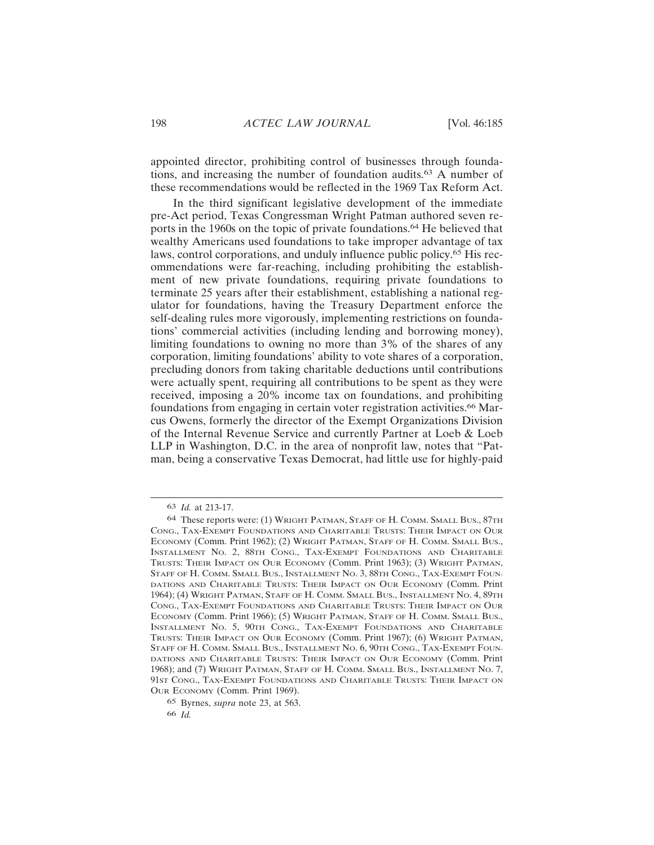appointed director, prohibiting control of businesses through foundations, and increasing the number of foundation audits.63 A number of these recommendations would be reflected in the 1969 Tax Reform Act.

In the third significant legislative development of the immediate pre-Act period, Texas Congressman Wright Patman authored seven reports in the 1960s on the topic of private foundations.<sup>64</sup> He believed that wealthy Americans used foundations to take improper advantage of tax laws, control corporations, and unduly influence public policy.65 His recommendations were far-reaching, including prohibiting the establishment of new private foundations, requiring private foundations to terminate 25 years after their establishment, establishing a national regulator for foundations, having the Treasury Department enforce the self-dealing rules more vigorously, implementing restrictions on foundations' commercial activities (including lending and borrowing money), limiting foundations to owning no more than 3% of the shares of any corporation, limiting foundations' ability to vote shares of a corporation, precluding donors from taking charitable deductions until contributions were actually spent, requiring all contributions to be spent as they were received, imposing a 20% income tax on foundations, and prohibiting foundations from engaging in certain voter registration activities.66 Marcus Owens, formerly the director of the Exempt Organizations Division of the Internal Revenue Service and currently Partner at Loeb & Loeb LLP in Washington, D.C. in the area of nonprofit law, notes that "Patman, being a conservative Texas Democrat, had little use for highly-paid

<sup>63</sup> *Id.* at 213-17.

<sup>64</sup> These reports were: (1) WRIGHT PATMAN, STAFF OF H. COMM. SMALL BUS., 87TH CONG., TAX-EXEMPT FOUNDATIONS AND CHARITABLE TRUSTS: THEIR IMPACT ON OUR ECONOMY (COMM. Print 1962); (2) WRIGHT PATMAN, STAFF OF H. COMM. SMALL BUS., INSTALLMENT NO. 2, 88TH CONG., TAX-EXEMPT FOUNDATIONS AND CHARITABLE TRUSTS: THEIR IMPACT ON OUR ECONOMY (Comm. Print 1963); (3) WRIGHT PATMAN, STAFF OF H. COMM. SMALL BUS., INSTALLMENT NO. 3, 88TH CONG., TAX-EXEMPT FOUN-DATIONS AND CHARITABLE TRUSTS: THEIR IMPACT ON OUR ECONOMY (Comm. Print 1964); (4) WRIGHT PATMAN, STAFF OF H. COMM. SMALL BUS., INSTALLMENT NO. 4, 89TH CONG., TAX-EXEMPT FOUNDATIONS AND CHARITABLE TRUSTS: THEIR IMPACT ON OUR ECONOMY (COMM. Print 1966); (5) WRIGHT PATMAN, STAFF OF H. COMM. SMALL BUS., INSTALLMENT NO. 5, 90TH CONG., TAX-EXEMPT FOUNDATIONS AND CHARITABLE TRUSTS: THEIR IMPACT ON OUR ECONOMY (Comm. Print 1967); (6) WRIGHT PATMAN, STAFF OF H. COMM. SMALL BUS., INSTALLMENT NO. 6, 90TH CONG., TAX-EXEMPT FOUN-DATIONS AND CHARITABLE TRUSTS: THEIR IMPACT ON OUR ECONOMY (Comm. Print 1968); and (7) WRIGHT PATMAN, STAFF OF H. COMM. SMALL BUS., INSTALLMENT NO. 7, 91ST CONG., TAX-EXEMPT FOUNDATIONS AND CHARITABLE TRUSTS: THEIR IMPACT ON OUR ECONOMY (Comm. Print 1969).

<sup>65</sup> Byrnes, *supra* note 23, at 563.

<sup>66</sup> *Id.*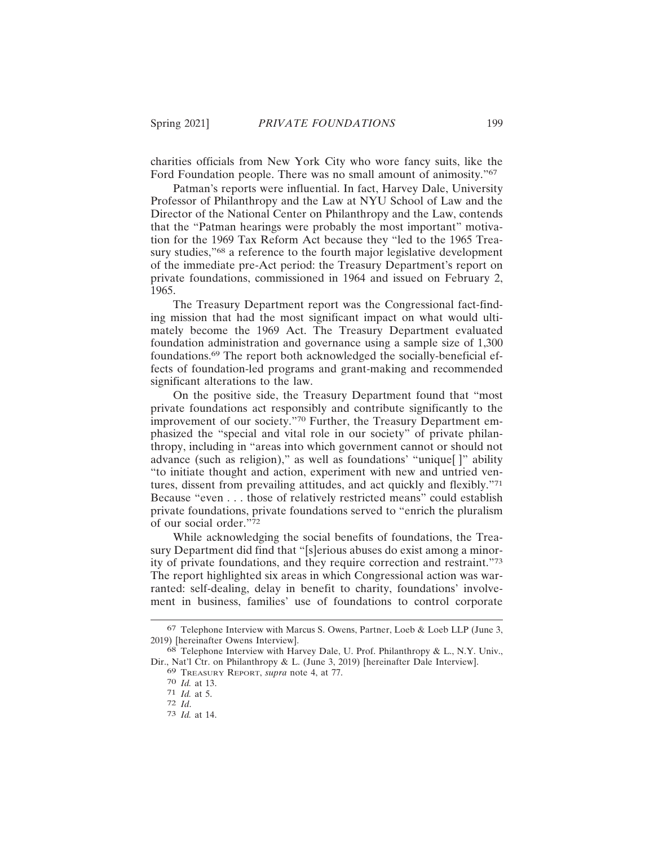charities officials from New York City who wore fancy suits, like the Ford Foundation people. There was no small amount of animosity."<sup>67</sup>

Patman's reports were influential. In fact, Harvey Dale, University Professor of Philanthropy and the Law at NYU School of Law and the Director of the National Center on Philanthropy and the Law, contends that the "Patman hearings were probably the most important" motivation for the 1969 Tax Reform Act because they "led to the 1965 Treasury studies,"<sup>68</sup> a reference to the fourth major legislative development of the immediate pre-Act period: the Treasury Department's report on private foundations, commissioned in 1964 and issued on February 2, 1965.

The Treasury Department report was the Congressional fact-finding mission that had the most significant impact on what would ultimately become the 1969 Act. The Treasury Department evaluated foundation administration and governance using a sample size of 1,300 foundations.69 The report both acknowledged the socially-beneficial effects of foundation-led programs and grant-making and recommended significant alterations to the law.

On the positive side, the Treasury Department found that "most private foundations act responsibly and contribute significantly to the improvement of our society."70 Further, the Treasury Department emphasized the "special and vital role in our society" of private philanthropy, including in "areas into which government cannot or should not advance (such as religion)," as well as foundations' "unique[ ]" ability "to initiate thought and action, experiment with new and untried ventures, dissent from prevailing attitudes, and act quickly and flexibly."<sup>71</sup> Because "even . . . those of relatively restricted means" could establish private foundations, private foundations served to "enrich the pluralism of our social order."<sup>72</sup>

While acknowledging the social benefits of foundations, the Treasury Department did find that "[s]erious abuses do exist among a minority of private foundations, and they require correction and restraint."<sup>73</sup> The report highlighted six areas in which Congressional action was warranted: self-dealing, delay in benefit to charity, foundations' involvement in business, families' use of foundations to control corporate

<sup>67</sup> Telephone Interview with Marcus S. Owens, Partner, Loeb & Loeb LLP (June 3, 2019) [hereinafter Owens Interview].

<sup>68</sup> Telephone Interview with Harvey Dale, U. Prof. Philanthropy & L., N.Y. Univ., Dir., Nat'l Ctr. on Philanthropy & L. (June 3, 2019) [hereinafter Dale Interview].

<sup>69</sup> TREASURY REPORT, *supra* note 4, at 77.

<sup>70</sup> *Id.* at 13.

 $\frac{71}{72}$  *Id.* at 5.<br> $\frac{72}{72}$  *Id.* 

<sup>72</sup> *Id*. <sup>73</sup> *Id.* at 14.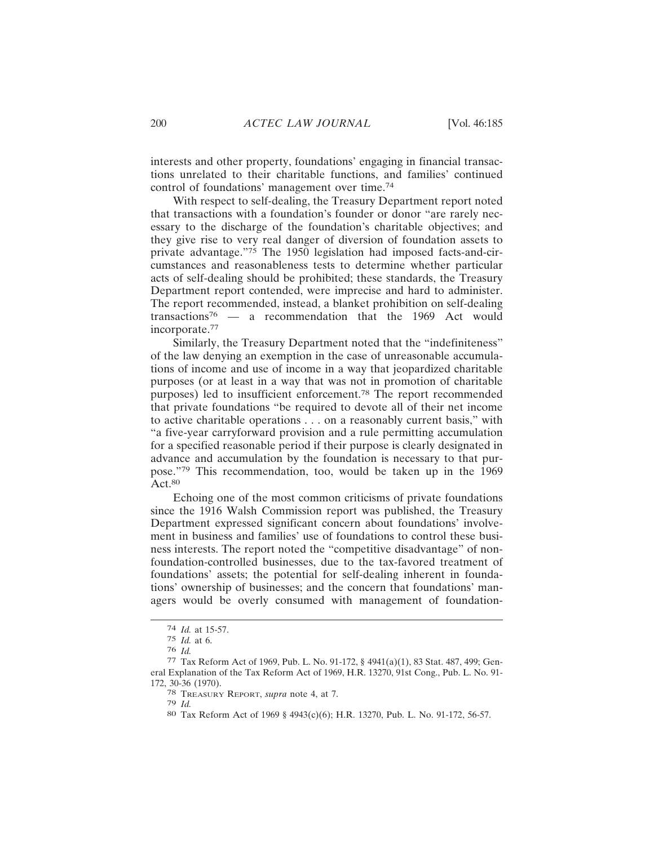interests and other property, foundations' engaging in financial transactions unrelated to their charitable functions, and families' continued control of foundations' management over time.<sup>74</sup>

With respect to self-dealing, the Treasury Department report noted that transactions with a foundation's founder or donor "are rarely necessary to the discharge of the foundation's charitable objectives; and they give rise to very real danger of diversion of foundation assets to private advantage."75 The 1950 legislation had imposed facts-and-circumstances and reasonableness tests to determine whether particular acts of self-dealing should be prohibited; these standards, the Treasury Department report contended, were imprecise and hard to administer. The report recommended, instead, a blanket prohibition on self-dealing transactions76 — a recommendation that the 1969 Act would incorporate.77

Similarly, the Treasury Department noted that the "indefiniteness" of the law denying an exemption in the case of unreasonable accumulations of income and use of income in a way that jeopardized charitable purposes (or at least in a way that was not in promotion of charitable purposes) led to insufficient enforcement.78 The report recommended that private foundations "be required to devote all of their net income to active charitable operations . . . on a reasonably current basis," with "a five-year carryforward provision and a rule permitting accumulation for a specified reasonable period if their purpose is clearly designated in advance and accumulation by the foundation is necessary to that purpose."79 This recommendation, too, would be taken up in the 1969  $Act.80$ 

Echoing one of the most common criticisms of private foundations since the 1916 Walsh Commission report was published, the Treasury Department expressed significant concern about foundations' involvement in business and families' use of foundations to control these business interests. The report noted the "competitive disadvantage" of nonfoundation-controlled businesses, due to the tax-favored treatment of foundations' assets; the potential for self-dealing inherent in foundations' ownership of businesses; and the concern that foundations' managers would be overly consumed with management of foundation-

<sup>74</sup> *Id.* at 15-57.

<sup>75</sup> *Id.* at 6.

<sup>76</sup> *Id.*

<sup>77</sup> Tax Reform Act of 1969, Pub. L. No. 91-172, § 4941(a)(1), 83 Stat. 487, 499; General Explanation of the Tax Reform Act of 1969, H.R. 13270, 91st Cong., Pub. L. No. 91- 172, 30-36 (1970).

<sup>78</sup> TREASURY REPORT, *supra* note 4, at 7.

<sup>79</sup> *Id.*

<sup>80</sup> Tax Reform Act of 1969 § 4943(c)(6); H.R. 13270, Pub. L. No. 91-172, 56-57.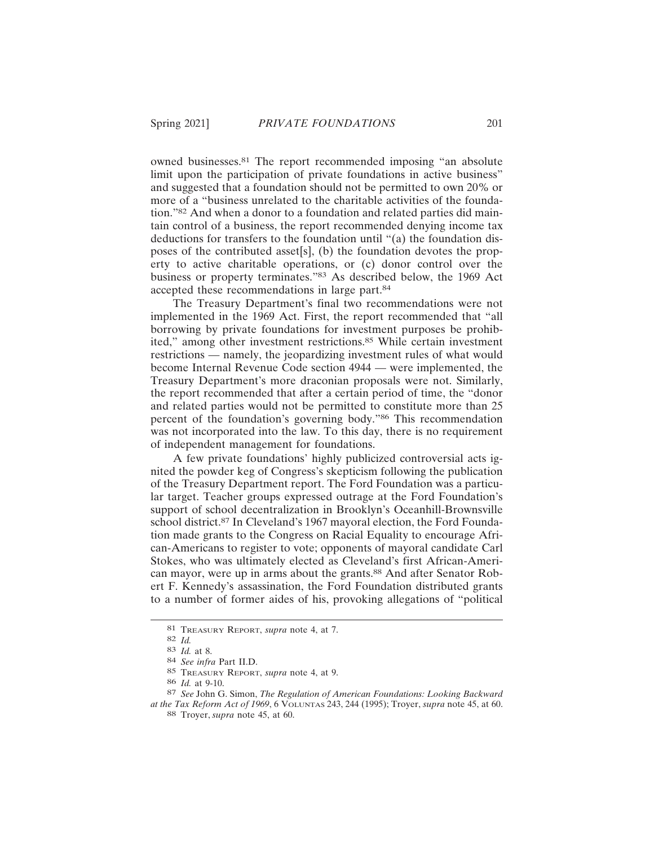owned businesses.81 The report recommended imposing "an absolute limit upon the participation of private foundations in active business" and suggested that a foundation should not be permitted to own 20% or more of a "business unrelated to the charitable activities of the foundation."82 And when a donor to a foundation and related parties did maintain control of a business, the report recommended denying income tax deductions for transfers to the foundation until "(a) the foundation disposes of the contributed asset[s], (b) the foundation devotes the property to active charitable operations, or (c) donor control over the business or property terminates."83 As described below, the 1969 Act accepted these recommendations in large part.<sup>84</sup>

The Treasury Department's final two recommendations were not implemented in the 1969 Act. First, the report recommended that "all borrowing by private foundations for investment purposes be prohibited," among other investment restrictions.85 While certain investment restrictions — namely, the jeopardizing investment rules of what would become Internal Revenue Code section 4944 — were implemented, the Treasury Department's more draconian proposals were not. Similarly, the report recommended that after a certain period of time, the "donor and related parties would not be permitted to constitute more than 25 percent of the foundation's governing body."86 This recommendation was not incorporated into the law. To this day, there is no requirement of independent management for foundations.

A few private foundations' highly publicized controversial acts ignited the powder keg of Congress's skepticism following the publication of the Treasury Department report. The Ford Foundation was a particular target. Teacher groups expressed outrage at the Ford Foundation's support of school decentralization in Brooklyn's Oceanhill-Brownsville school district.<sup>87</sup> In Cleveland's 1967 mayoral election, the Ford Foundation made grants to the Congress on Racial Equality to encourage African-Americans to register to vote; opponents of mayoral candidate Carl Stokes, who was ultimately elected as Cleveland's first African-American mayor, were up in arms about the grants.<sup>88</sup> And after Senator Robert F. Kennedy's assassination, the Ford Foundation distributed grants to a number of former aides of his, provoking allegations of "political

<sup>81</sup> TREASURY REPORT, *supra* note 4, at 7.

<sup>82</sup> *Id.*

<sup>83</sup> *Id.* at 8.

<sup>84</sup> *See infra* Part II.D.

<sup>85</sup> TREASURY REPORT, *supra* note 4, at 9.

<sup>86</sup> *Id.* at 9-10.

<sup>87</sup> *See* John G. Simon, *The Regulation of American Foundations: Looking Backward at the Tax Reform Act of 1969*, 6 VOLUNTAS 243, 244 (1995); Troyer, *supra* note 45, at 60. 88 Troyer, *supra* note 45, at 60.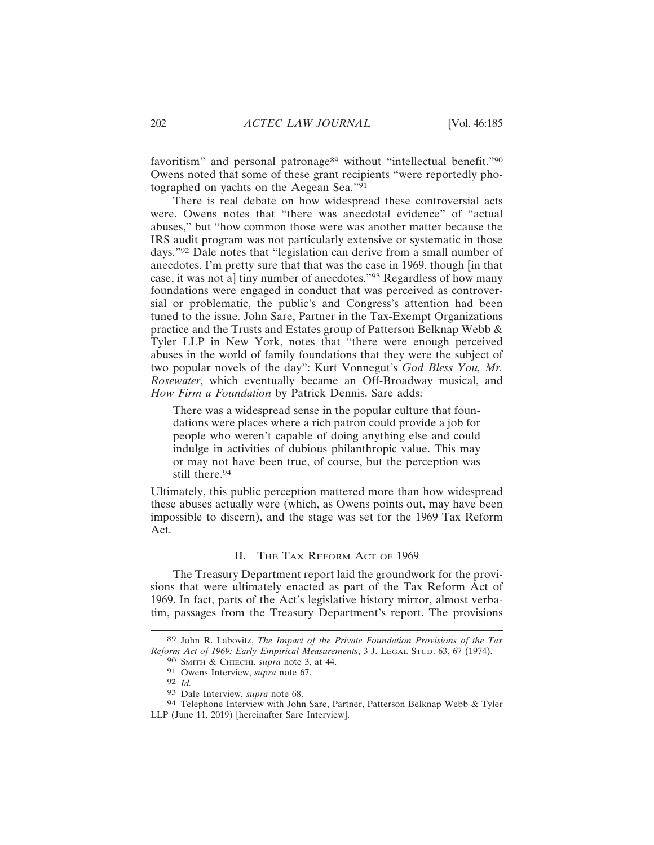favoritism" and personal patronage<sup>89</sup> without "intellectual benefit."<sup>90</sup> Owens noted that some of these grant recipients "were reportedly photographed on yachts on the Aegean Sea."<sup>91</sup>

There is real debate on how widespread these controversial acts were. Owens notes that "there was anecdotal evidence" of "actual abuses," but "how common those were was another matter because the IRS audit program was not particularly extensive or systematic in those days."92 Dale notes that "legislation can derive from a small number of anecdotes. I'm pretty sure that that was the case in 1969, though [in that case, it was not a] tiny number of anecdotes."93 Regardless of how many foundations were engaged in conduct that was perceived as controversial or problematic, the public's and Congress's attention had been tuned to the issue. John Sare, Partner in the Tax-Exempt Organizations practice and the Trusts and Estates group of Patterson Belknap Webb & Tyler LLP in New York, notes that "there were enough perceived abuses in the world of family foundations that they were the subject of two popular novels of the day": Kurt Vonnegut's *God Bless You, Mr. Rosewater*, which eventually became an Off-Broadway musical, and *How Firm a Foundation* by Patrick Dennis. Sare adds:

There was a widespread sense in the popular culture that foundations were places where a rich patron could provide a job for people who weren't capable of doing anything else and could indulge in activities of dubious philanthropic value. This may or may not have been true, of course, but the perception was still there.<sup>94</sup>

Ultimately, this public perception mattered more than how widespread these abuses actually were (which, as Owens points out, may have been impossible to discern), and the stage was set for the 1969 Tax Reform Act.

## II. THE TAX REFORM ACT OF 1969

The Treasury Department report laid the groundwork for the provisions that were ultimately enacted as part of the Tax Reform Act of 1969. In fact, parts of the Act's legislative history mirror, almost verbatim, passages from the Treasury Department's report. The provisions

<sup>89</sup> John R. Labovitz, *The Impact of the Private Foundation Provisions of the Tax Reform Act of 1969: Early Empirical Measurements*, 3 J. LEGAL STUD. 63, 67 (1974). 90 SMITH & CHIECHI, *supra* note 3, at 44.

<sup>91</sup> Owens Interview, *supra* note 67.

<sup>92</sup> *Id.*

<sup>93</sup> Dale Interview, *supra* note 68.

<sup>94</sup> Telephone Interview with John Sare, Partner, Patterson Belknap Webb & Tyler LLP (June 11, 2019) [hereinafter Sare Interview].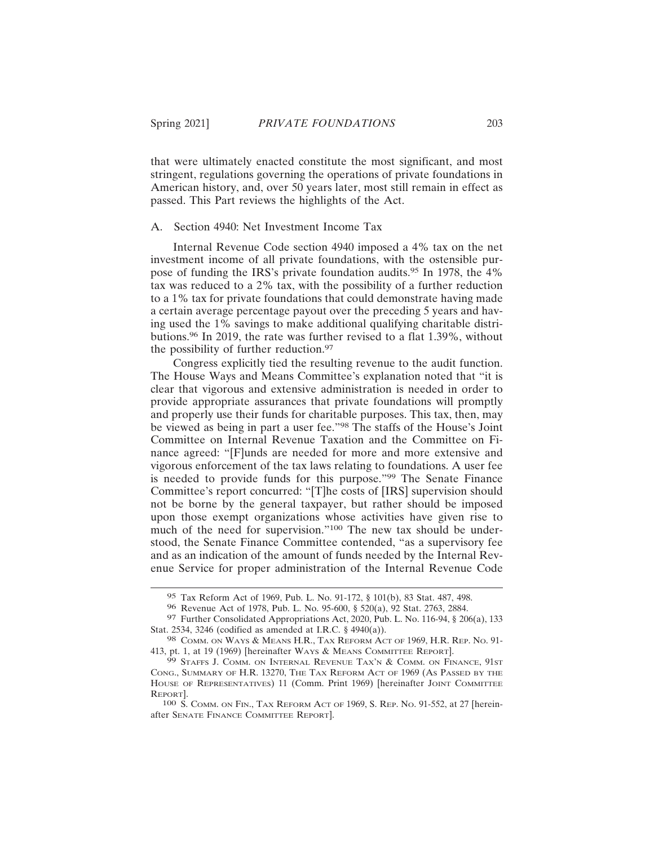that were ultimately enacted constitute the most significant, and most stringent, regulations governing the operations of private foundations in American history, and, over 50 years later, most still remain in effect as passed. This Part reviews the highlights of the Act.

#### A. Section 4940: Net Investment Income Tax

Internal Revenue Code section 4940 imposed a 4% tax on the net investment income of all private foundations, with the ostensible purpose of funding the IRS's private foundation audits.95 In 1978, the 4% tax was reduced to a 2% tax, with the possibility of a further reduction to a 1% tax for private foundations that could demonstrate having made a certain average percentage payout over the preceding 5 years and having used the 1% savings to make additional qualifying charitable distributions.96 In 2019, the rate was further revised to a flat 1.39%, without the possibility of further reduction.<sup>97</sup>

Congress explicitly tied the resulting revenue to the audit function. The House Ways and Means Committee's explanation noted that "it is clear that vigorous and extensive administration is needed in order to provide appropriate assurances that private foundations will promptly and properly use their funds for charitable purposes. This tax, then, may be viewed as being in part a user fee."98 The staffs of the House's Joint Committee on Internal Revenue Taxation and the Committee on Finance agreed: "[F]unds are needed for more and more extensive and vigorous enforcement of the tax laws relating to foundations. A user fee is needed to provide funds for this purpose."99 The Senate Finance Committee's report concurred: "[T]he costs of [IRS] supervision should not be borne by the general taxpayer, but rather should be imposed upon those exempt organizations whose activities have given rise to much of the need for supervision."<sup>100</sup> The new tax should be understood, the Senate Finance Committee contended, "as a supervisory fee and as an indication of the amount of funds needed by the Internal Revenue Service for proper administration of the Internal Revenue Code

<sup>95</sup> Tax Reform Act of 1969, Pub. L. No. 91-172, § 101(b), 83 Stat. 487, 498.

<sup>96</sup> Revenue Act of 1978, Pub. L. No. 95-600, § 520(a), 92 Stat. 2763, 2884.

<sup>97</sup> Further Consolidated Appropriations Act, 2020, Pub. L. No. 116-94, § 206(a), 133 Stat. 2534, 3246 (codified as amended at I.R.C. § 4940(a)).

<sup>98</sup> COMM. ON WAYS & MEANS H.R., TAX REFORM ACT OF 1969, H.R. REP. No. 91-413, pt. 1, at 19 (1969) [hereinafter WAYS & MEANS COMMITTEE REPORT].

<sup>99</sup> STAFFS J. COMM. ON INTERNAL REVENUE TAX'N & COMM. ON FINANCE, 91ST CONG., SUMMARY OF H.R. 13270, THE TAX REFORM ACT OF 1969 (AS PASSED BY THE HOUSE OF REPRESENTATIVES) 11 (Comm. Print 1969) [hereinafter JOINT COMMITTEE REPORT].

<sup>100</sup> S. COMM. ON FIN., TAX REFORM ACT OF 1969, S. REP. NO. 91-552, at 27 [hereinafter SENATE FINANCE COMMITTEE REPORT].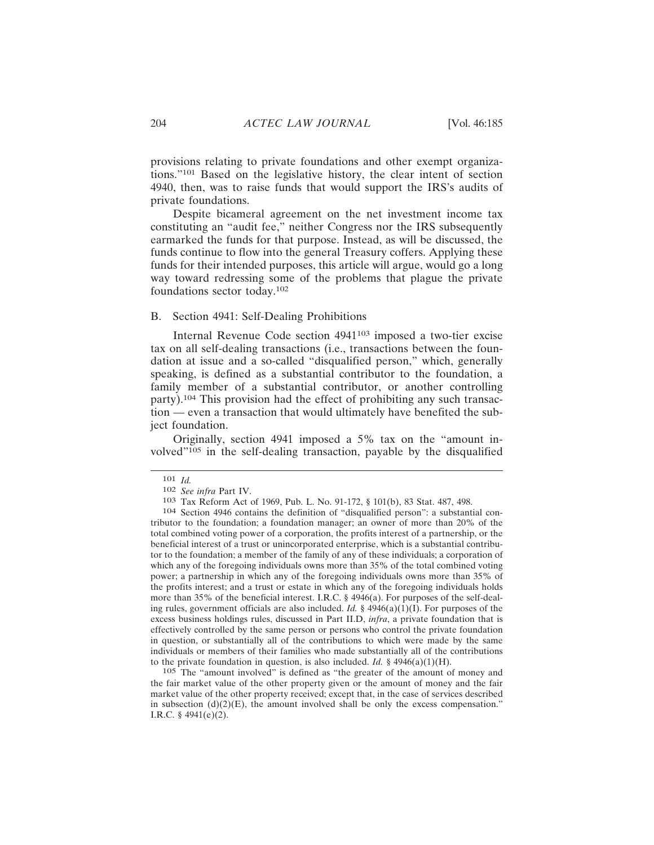provisions relating to private foundations and other exempt organizations."101 Based on the legislative history, the clear intent of section 4940, then, was to raise funds that would support the IRS's audits of private foundations.

Despite bicameral agreement on the net investment income tax constituting an "audit fee," neither Congress nor the IRS subsequently earmarked the funds for that purpose. Instead, as will be discussed, the funds continue to flow into the general Treasury coffers. Applying these funds for their intended purposes, this article will argue, would go a long way toward redressing some of the problems that plague the private foundations sector today.<sup>102</sup>

## B. Section 4941: Self-Dealing Prohibitions

Internal Revenue Code section 4941103 imposed a two-tier excise tax on all self-dealing transactions (i.e., transactions between the foundation at issue and a so-called "disqualified person," which, generally speaking, is defined as a substantial contributor to the foundation, a family member of a substantial contributor, or another controlling party).104 This provision had the effect of prohibiting any such transaction — even a transaction that would ultimately have benefited the subject foundation.

Originally, section 4941 imposed a 5% tax on the "amount involved"105 in the self-dealing transaction, payable by the disqualified

105 The "amount involved" is defined as "the greater of the amount of money and the fair market value of the other property given or the amount of money and the fair market value of the other property received; except that, in the case of services described in subsection  $(d)(2)(E)$ , the amount involved shall be only the excess compensation." I.R.C. § 4941(e)(2).

<sup>101</sup> *Id.*

<sup>102</sup> *See infra* Part IV.

<sup>103</sup> Tax Reform Act of 1969, Pub. L. No. 91-172, § 101(b), 83 Stat. 487, 498.

<sup>104</sup> Section 4946 contains the definition of "disqualified person": a substantial contributor to the foundation; a foundation manager; an owner of more than 20% of the total combined voting power of a corporation, the profits interest of a partnership, or the beneficial interest of a trust or unincorporated enterprise, which is a substantial contributor to the foundation; a member of the family of any of these individuals; a corporation of which any of the foregoing individuals owns more than 35% of the total combined voting power; a partnership in which any of the foregoing individuals owns more than 35% of the profits interest; and a trust or estate in which any of the foregoing individuals holds more than 35% of the beneficial interest. I.R.C. § 4946(a). For purposes of the self-dealing rules, government officials are also included. *Id.* §  $4946(a)(1)(I)$ . For purposes of the excess business holdings rules, discussed in Part II.D, *infra*, a private foundation that is effectively controlled by the same person or persons who control the private foundation in question, or substantially all of the contributions to which were made by the same individuals or members of their families who made substantially all of the contributions to the private foundation in question, is also included. *Id.*  $\S$  4946(a)(1)(H).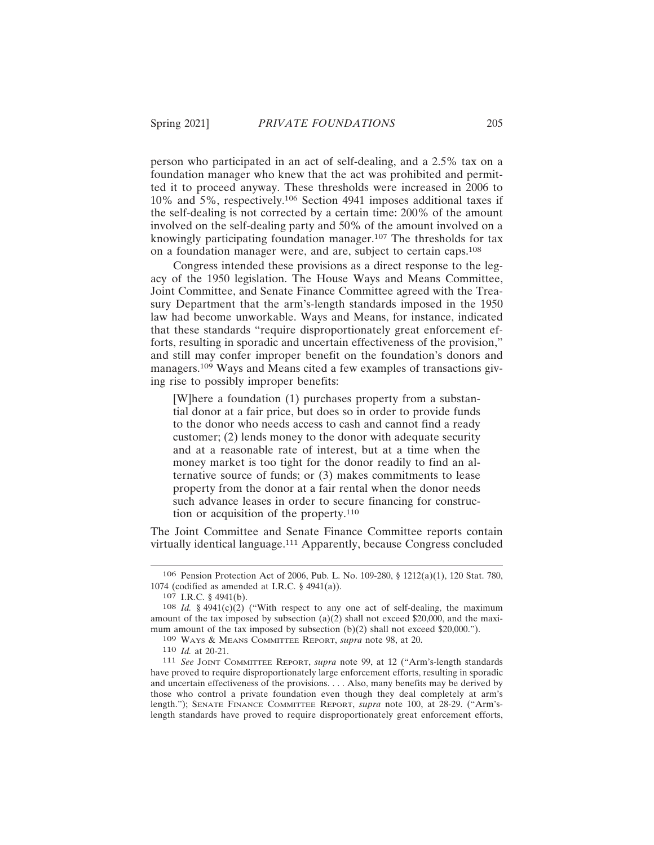person who participated in an act of self-dealing, and a 2.5% tax on a foundation manager who knew that the act was prohibited and permitted it to proceed anyway. These thresholds were increased in 2006 to 10% and 5%, respectively.106 Section 4941 imposes additional taxes if the self-dealing is not corrected by a certain time: 200% of the amount involved on the self-dealing party and 50% of the amount involved on a knowingly participating foundation manager.107 The thresholds for tax on a foundation manager were, and are, subject to certain caps.<sup>108</sup>

Congress intended these provisions as a direct response to the legacy of the 1950 legislation. The House Ways and Means Committee, Joint Committee, and Senate Finance Committee agreed with the Treasury Department that the arm's-length standards imposed in the 1950 law had become unworkable. Ways and Means, for instance, indicated that these standards "require disproportionately great enforcement efforts, resulting in sporadic and uncertain effectiveness of the provision," and still may confer improper benefit on the foundation's donors and managers.109 Ways and Means cited a few examples of transactions giving rise to possibly improper benefits:

[W]here a foundation (1) purchases property from a substantial donor at a fair price, but does so in order to provide funds to the donor who needs access to cash and cannot find a ready customer; (2) lends money to the donor with adequate security and at a reasonable rate of interest, but at a time when the money market is too tight for the donor readily to find an alternative source of funds; or (3) makes commitments to lease property from the donor at a fair rental when the donor needs such advance leases in order to secure financing for construction or acquisition of the property.<sup>110</sup>

The Joint Committee and Senate Finance Committee reports contain virtually identical language.111 Apparently, because Congress concluded

<sup>106</sup> Pension Protection Act of 2006, Pub. L. No. 109-280, § 1212(a)(1), 120 Stat. 780, 1074 (codified as amended at I.R.C. § 4941(a)).

 $107$  I.R.C. § 4941(b).

<sup>108</sup> *Id.* § 4941(c)(2) ("With respect to any one act of self-dealing, the maximum amount of the tax imposed by subsection  $(a)(2)$  shall not exceed \$20,000, and the maximum amount of the tax imposed by subsection (b)(2) shall not exceed \$20,000.").

<sup>109</sup> WAYS & MEANS COMMITTEE REPORT, *supra* note 98, at 20.

<sup>110</sup> *Id.* at 20-21.

<sup>111</sup> *See* JOINT COMMITTEE REPORT, *supra* note 99, at 12 ("Arm's-length standards have proved to require disproportionately large enforcement efforts, resulting in sporadic and uncertain effectiveness of the provisions. . . . Also, many benefits may be derived by those who control a private foundation even though they deal completely at arm's length."); SENATE FINANCE COMMITTEE REPORT, *supra* note 100, at 28-29. ("Arm'slength standards have proved to require disproportionately great enforcement efforts,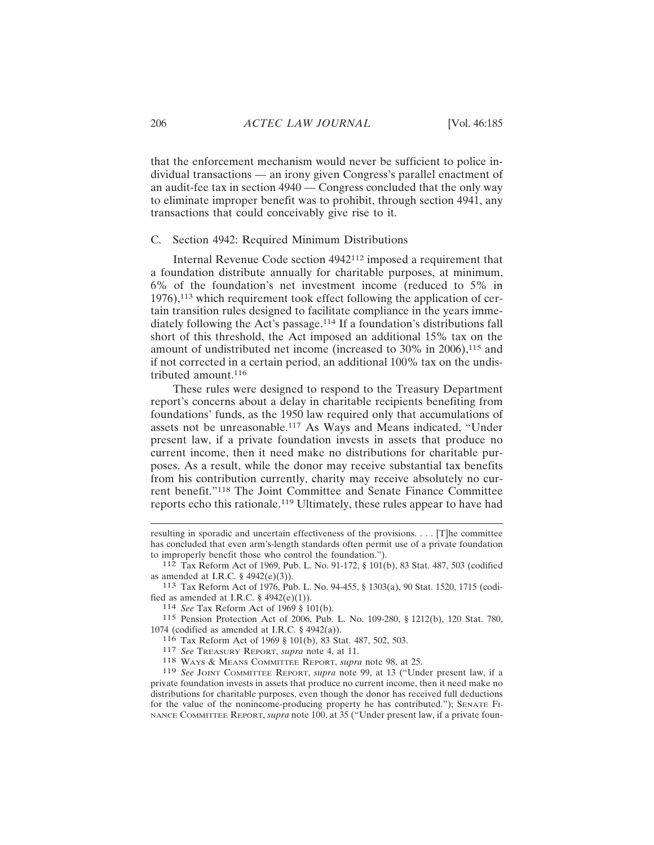that the enforcement mechanism would never be sufficient to police individual transactions — an irony given Congress's parallel enactment of an audit-fee tax in section 4940 — Congress concluded that the only way to eliminate improper benefit was to prohibit, through section 4941, any transactions that could conceivably give rise to it.

#### C. Section 4942: Required Minimum Distributions

Internal Revenue Code section 4942112 imposed a requirement that a foundation distribute annually for charitable purposes, at minimum, 6% of the foundation's net investment income (reduced to 5% in 1976),113 which requirement took effect following the application of certain transition rules designed to facilitate compliance in the years immediately following the Act's passage.114 If a foundation's distributions fall short of this threshold, the Act imposed an additional 15% tax on the amount of undistributed net income (increased to 30% in 2006),<sup>115</sup> and if not corrected in a certain period, an additional 100% tax on the undistributed amount.<sup>116</sup>

These rules were designed to respond to the Treasury Department report's concerns about a delay in charitable recipients benefiting from foundations' funds, as the 1950 law required only that accumulations of assets not be unreasonable.117 As Ways and Means indicated, "Under present law, if a private foundation invests in assets that produce no current income, then it need make no distributions for charitable purposes. As a result, while the donor may receive substantial tax benefits from his contribution currently, charity may receive absolutely no current benefit."118 The Joint Committee and Senate Finance Committee reports echo this rationale.119 Ultimately, these rules appear to have had

114 *See* Tax Reform Act of 1969 § 101(b).

115 Pension Protection Act of 2006, Pub. L. No. 109-280, § 1212(b), 120 Stat. 780, 1074 (codified as amended at I.R.C.  $\S$  4942(a)).

116 Tax Reform Act of 1969 § 101(b), 83 Stat. 487, 502, 503.

117 *See* TREASURY REPORT, *supra* note 4, at 11.

118 WAYS & MEANS COMMITTEE REPORT, *supra* note 98, at 25.

resulting in sporadic and uncertain effectiveness of the provisions. . . . [T]he committee has concluded that even arm's-length standards often permit use of a private foundation to improperly benefit those who control the foundation.").

<sup>112</sup> Tax Reform Act of 1969, Pub. L. No. 91-172, § 101(b), 83 Stat. 487, 503 (codified as amended at I.R.C. § 4942(e)(3)).

<sup>113</sup> Tax Reform Act of 1976, Pub. L. No. 94-455, § 1303(a), 90 Stat. 1520, 1715 (codified as amended at I.R.C.  $\S$  4942(e)(1)).

<sup>119</sup> *See* JOINT COMMITTEE REPORT, *supra* note 99, at 13 ("Under present law, if a private foundation invests in assets that produce no current income, then it need make no distributions for charitable purposes, even though the donor has received full deductions for the value of the nonincome-producing property he has contributed."); SENATE FI-NANCE COMMITTEE REPORT, *supra* note 100, at 35 ("Under present law, if a private foun-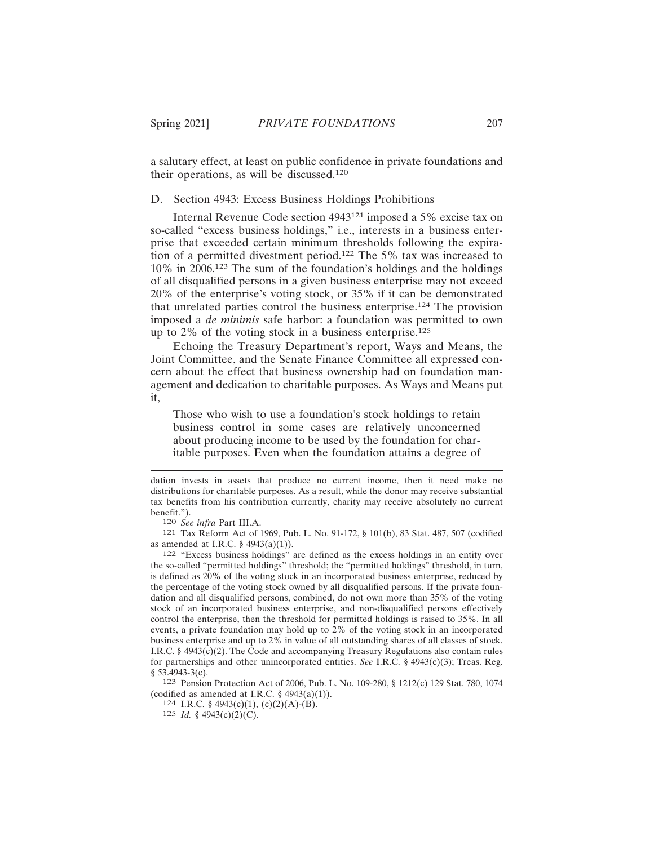a salutary effect, at least on public confidence in private foundations and their operations, as will be discussed.<sup>120</sup>

D. Section 4943: Excess Business Holdings Prohibitions

Internal Revenue Code section 4943121 imposed a 5% excise tax on so-called "excess business holdings," i.e., interests in a business enterprise that exceeded certain minimum thresholds following the expiration of a permitted divestment period.122 The 5% tax was increased to 10% in 2006.123 The sum of the foundation's holdings and the holdings of all disqualified persons in a given business enterprise may not exceed 20% of the enterprise's voting stock, or 35% if it can be demonstrated that unrelated parties control the business enterprise.124 The provision imposed a *de minimis* safe harbor: a foundation was permitted to own up to 2% of the voting stock in a business enterprise.<sup>125</sup>

Echoing the Treasury Department's report, Ways and Means, the Joint Committee, and the Senate Finance Committee all expressed concern about the effect that business ownership had on foundation management and dedication to charitable purposes. As Ways and Means put it,

Those who wish to use a foundation's stock holdings to retain business control in some cases are relatively unconcerned about producing income to be used by the foundation for charitable purposes. Even when the foundation attains a degree of

dation invests in assets that produce no current income, then it need make no distributions for charitable purposes. As a result, while the donor may receive substantial tax benefits from his contribution currently, charity may receive absolutely no current benefit.").

<sup>120</sup> *See infra* Part III.A.

<sup>121</sup> Tax Reform Act of 1969, Pub. L. No. 91-172, § 101(b), 83 Stat. 487, 507 (codified as amended at I.R.C. § 4943(a)(1)).

<sup>122</sup> "Excess business holdings" are defined as the excess holdings in an entity over the so-called "permitted holdings" threshold; the "permitted holdings" threshold, in turn, is defined as 20% of the voting stock in an incorporated business enterprise, reduced by the percentage of the voting stock owned by all disqualified persons. If the private foundation and all disqualified persons, combined, do not own more than 35% of the voting stock of an incorporated business enterprise, and non-disqualified persons effectively control the enterprise, then the threshold for permitted holdings is raised to 35%. In all events, a private foundation may hold up to 2% of the voting stock in an incorporated business enterprise and up to 2% in value of all outstanding shares of all classes of stock. I.R.C. § 4943(c)(2). The Code and accompanying Treasury Regulations also contain rules for partnerships and other unincorporated entities. *See* I.R.C. § 4943(c)(3); Treas. Reg.  $§$  53.4943-3(c).

<sup>123</sup> Pension Protection Act of 2006, Pub. L. No. 109-280, § 1212(c) 129 Stat. 780, 1074 (codified as amended at I.R.C.  $\S$  4943(a)(1)).

<sup>124</sup> I.R.C. § 4943(c)(1), (c)(2)(A)-(B).

<sup>125</sup> *Id.* § 4943(c)(2)(C).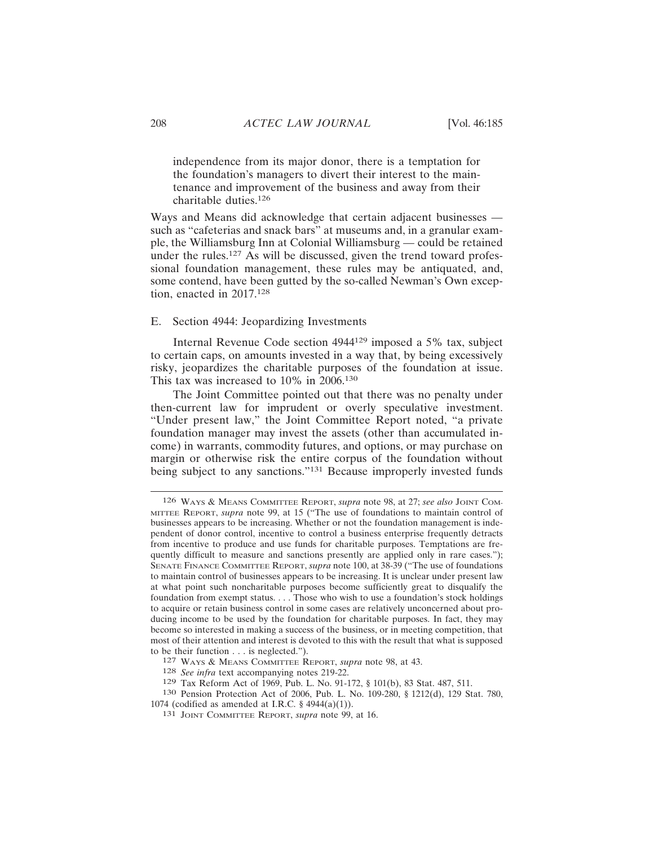independence from its major donor, there is a temptation for the foundation's managers to divert their interest to the maintenance and improvement of the business and away from their charitable duties.<sup>126</sup>

Ways and Means did acknowledge that certain adjacent businesses such as "cafeterias and snack bars" at museums and, in a granular example, the Williamsburg Inn at Colonial Williamsburg — could be retained under the rules.<sup>127</sup> As will be discussed, given the trend toward professional foundation management, these rules may be antiquated, and, some contend, have been gutted by the so-called Newman's Own exception, enacted in 2017.<sup>128</sup>

#### E. Section 4944: Jeopardizing Investments

Internal Revenue Code section 4944129 imposed a 5% tax, subject to certain caps, on amounts invested in a way that, by being excessively risky, jeopardizes the charitable purposes of the foundation at issue. This tax was increased to 10% in 2006.<sup>130</sup>

The Joint Committee pointed out that there was no penalty under then-current law for imprudent or overly speculative investment. "Under present law," the Joint Committee Report noted, "a private foundation manager may invest the assets (other than accumulated income) in warrants, commodity futures, and options, or may purchase on margin or otherwise risk the entire corpus of the foundation without being subject to any sanctions."<sup>131</sup> Because improperly invested funds

<sup>126</sup> WAYS & MEANS COMMITTEE REPORT, *supra* note 98, at 27; *see also* JOINT COM-MITTEE REPORT, *supra* note 99, at 15 ("The use of foundations to maintain control of businesses appears to be increasing. Whether or not the foundation management is independent of donor control, incentive to control a business enterprise frequently detracts from incentive to produce and use funds for charitable purposes. Temptations are frequently difficult to measure and sanctions presently are applied only in rare cases."); SENATE FINANCE COMMITTEE REPORT, *supra* note 100, at 38-39 ("The use of foundations to maintain control of businesses appears to be increasing. It is unclear under present law at what point such noncharitable purposes become sufficiently great to disqualify the foundation from exempt status. . . . Those who wish to use a foundation's stock holdings to acquire or retain business control in some cases are relatively unconcerned about producing income to be used by the foundation for charitable purposes. In fact, they may become so interested in making a success of the business, or in meeting competition, that most of their attention and interest is devoted to this with the result that what is supposed to be their function . . . is neglected.").

<sup>127</sup> WAYS & MEANS COMMITTEE REPORT, *supra* note 98, at 43.

<sup>128</sup> *See infra* text accompanying notes 219-22.

<sup>129</sup> Tax Reform Act of 1969, Pub. L. No. 91-172, § 101(b), 83 Stat. 487, 511.

<sup>130</sup> Pension Protection Act of 2006, Pub. L. No. 109-280, § 1212(d), 129 Stat. 780, 1074 (codified as amended at I.R.C. § 4944(a)(1)).

<sup>131</sup> JOINT COMMITTEE REPORT, *supra* note 99, at 16.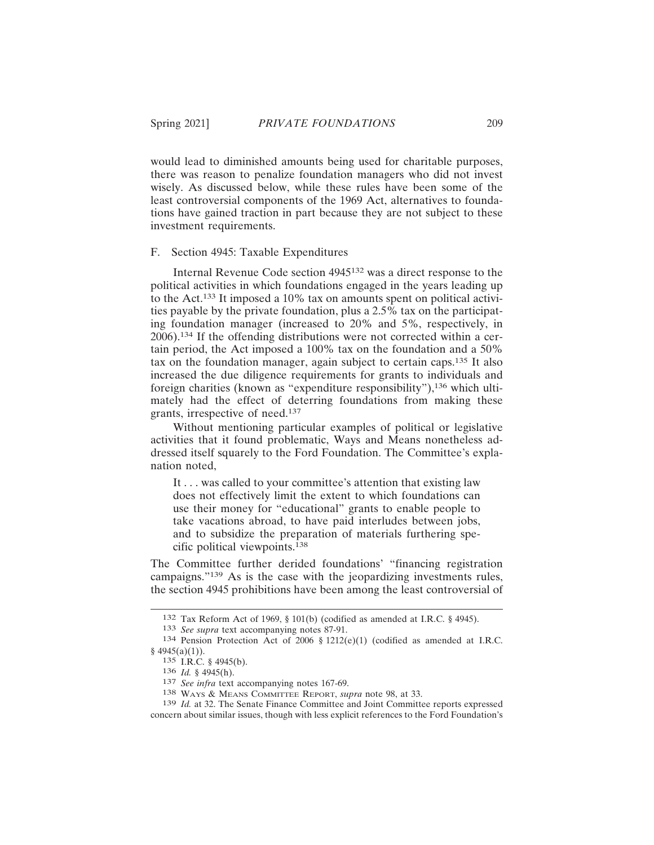would lead to diminished amounts being used for charitable purposes, there was reason to penalize foundation managers who did not invest wisely. As discussed below, while these rules have been some of the least controversial components of the 1969 Act, alternatives to foundations have gained traction in part because they are not subject to these investment requirements.

#### F. Section 4945: Taxable Expenditures

Internal Revenue Code section 4945132 was a direct response to the political activities in which foundations engaged in the years leading up to the Act.133 It imposed a 10% tax on amounts spent on political activities payable by the private foundation, plus a  $2.5\%$  tax on the participating foundation manager (increased to 20% and 5%, respectively, in 2006).134 If the offending distributions were not corrected within a certain period, the Act imposed a 100% tax on the foundation and a 50% tax on the foundation manager, again subject to certain caps.135 It also increased the due diligence requirements for grants to individuals and foreign charities (known as "expenditure responsibility"),136 which ultimately had the effect of deterring foundations from making these grants, irrespective of need.<sup>137</sup>

Without mentioning particular examples of political or legislative activities that it found problematic, Ways and Means nonetheless addressed itself squarely to the Ford Foundation. The Committee's explanation noted,

It . . . was called to your committee's attention that existing law does not effectively limit the extent to which foundations can use their money for "educational" grants to enable people to take vacations abroad, to have paid interludes between jobs, and to subsidize the preparation of materials furthering specific political viewpoints.<sup>138</sup>

The Committee further derided foundations' "financing registration campaigns."139 As is the case with the jeopardizing investments rules, the section 4945 prohibitions have been among the least controversial of

<sup>132</sup> Tax Reform Act of 1969, § 101(b) (codified as amended at I.R.C. § 4945).

<sup>133</sup> *See supra* text accompanying notes 87-91.

<sup>134</sup> Pension Protection Act of 2006 § 1212(e)(1) (codified as amended at I.R.C.  $§$  4945(a)(1)).

<sup>135</sup> I.R.C. § 4945(b).

<sup>136</sup> *Id.* § 4945(h).

<sup>137</sup> *See infra* text accompanying notes 167-69.

<sup>138</sup> WAYS & MEANS COMMITTEE REPORT, *supra* note 98, at 33.

<sup>139</sup> *Id.* at 32. The Senate Finance Committee and Joint Committee reports expressed concern about similar issues, though with less explicit references to the Ford Foundation's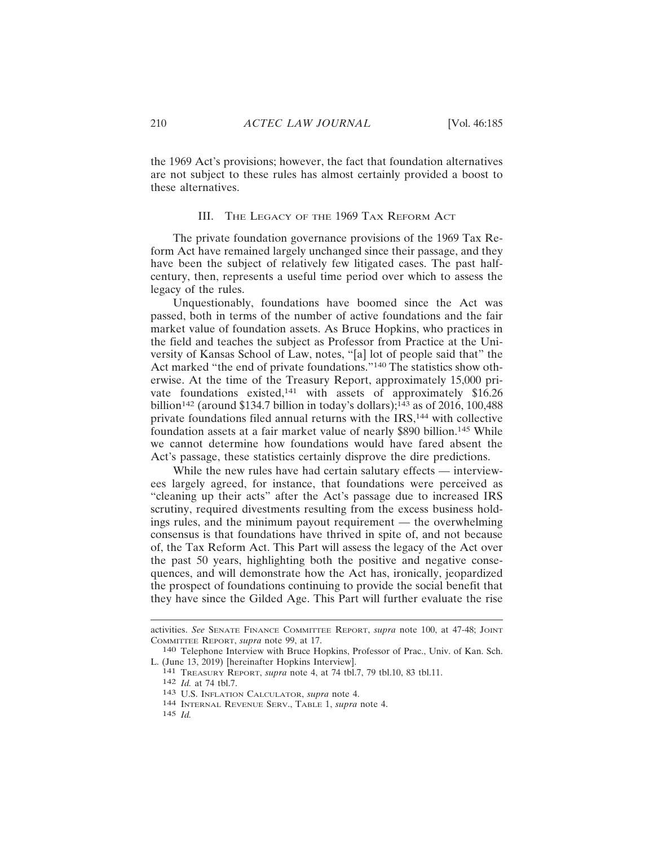the 1969 Act's provisions; however, the fact that foundation alternatives are not subject to these rules has almost certainly provided a boost to these alternatives.

#### III. THE LEGACY OF THE 1969 TAX REFORM ACT

The private foundation governance provisions of the 1969 Tax Reform Act have remained largely unchanged since their passage, and they have been the subject of relatively few litigated cases. The past halfcentury, then, represents a useful time period over which to assess the legacy of the rules.

Unquestionably, foundations have boomed since the Act was passed, both in terms of the number of active foundations and the fair market value of foundation assets. As Bruce Hopkins, who practices in the field and teaches the subject as Professor from Practice at the University of Kansas School of Law, notes, "[a] lot of people said that" the Act marked "the end of private foundations."140 The statistics show otherwise. At the time of the Treasury Report, approximately 15,000 private foundations existed,<sup>141</sup> with assets of approximately \$16.26 billion<sup>142</sup> (around \$134.7 billion in today's dollars);<sup>143</sup> as of 2016, 100,488 private foundations filed annual returns with the IRS,<sup>144</sup> with collective foundation assets at a fair market value of nearly \$890 billion.145 While we cannot determine how foundations would have fared absent the Act's passage, these statistics certainly disprove the dire predictions.

While the new rules have had certain salutary effects — interviewees largely agreed, for instance, that foundations were perceived as "cleaning up their acts" after the Act's passage due to increased IRS scrutiny, required divestments resulting from the excess business holdings rules, and the minimum payout requirement — the overwhelming consensus is that foundations have thrived in spite of, and not because of, the Tax Reform Act. This Part will assess the legacy of the Act over the past 50 years, highlighting both the positive and negative consequences, and will demonstrate how the Act has, ironically, jeopardized the prospect of foundations continuing to provide the social benefit that they have since the Gilded Age. This Part will further evaluate the rise

145 *Id.*

activities. *See* SENATE FINANCE COMMITTEE REPORT, *supra* note 100, at 47-48; JOINT COMMITTEE REPORT, *supra* note 99, at 17.

<sup>140</sup> Telephone Interview with Bruce Hopkins, Professor of Prac., Univ. of Kan. Sch. L. (June 13, 2019) [hereinafter Hopkins Interview].

<sup>141</sup> TREASURY REPORT, *supra* note 4, at 74 tbl.7, 79 tbl.10, 83 tbl.11.

<sup>142</sup> *Id.* at 74 tbl.7.

<sup>143</sup> U.S. INFLATION CALCULATOR, *supra* note 4.

<sup>144</sup> INTERNAL REVENUE SERV., TABLE 1, *supra* note 4.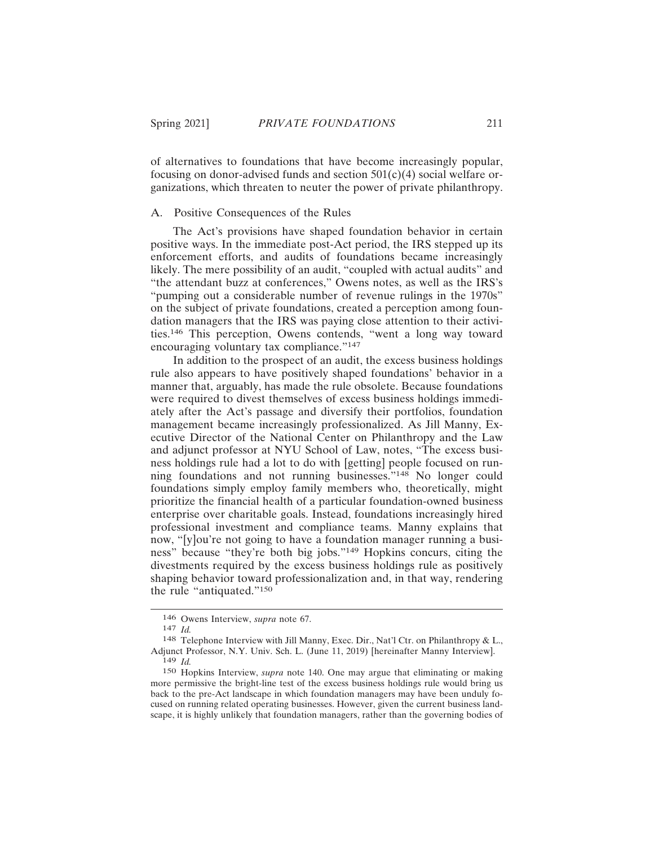of alternatives to foundations that have become increasingly popular, focusing on donor-advised funds and section  $501(c)(4)$  social welfare organizations, which threaten to neuter the power of private philanthropy.

# A. Positive Consequences of the Rules

The Act's provisions have shaped foundation behavior in certain positive ways. In the immediate post-Act period, the IRS stepped up its enforcement efforts, and audits of foundations became increasingly likely. The mere possibility of an audit, "coupled with actual audits" and "the attendant buzz at conferences," Owens notes, as well as the IRS's "pumping out a considerable number of revenue rulings in the 1970s" on the subject of private foundations, created a perception among foundation managers that the IRS was paying close attention to their activities.146 This perception, Owens contends, "went a long way toward encouraging voluntary tax compliance."<sup>147</sup>

In addition to the prospect of an audit, the excess business holdings rule also appears to have positively shaped foundations' behavior in a manner that, arguably, has made the rule obsolete. Because foundations were required to divest themselves of excess business holdings immediately after the Act's passage and diversify their portfolios, foundation management became increasingly professionalized. As Jill Manny, Executive Director of the National Center on Philanthropy and the Law and adjunct professor at NYU School of Law, notes, "The excess business holdings rule had a lot to do with [getting] people focused on running foundations and not running businesses."<sup>148</sup> No longer could foundations simply employ family members who, theoretically, might prioritize the financial health of a particular foundation-owned business enterprise over charitable goals. Instead, foundations increasingly hired professional investment and compliance teams. Manny explains that now, "[y]ou're not going to have a foundation manager running a business" because "they're both big jobs."149 Hopkins concurs, citing the divestments required by the excess business holdings rule as positively shaping behavior toward professionalization and, in that way, rendering the rule "antiquated."<sup>150</sup>

<sup>146</sup> Owens Interview, *supra* note 67.

<sup>147</sup> *Id.*

<sup>148</sup> Telephone Interview with Jill Manny, Exec. Dir., Nat'l Ctr. on Philanthropy & L., Adjunct Professor, N.Y. Univ. Sch. L. (June 11, 2019) [hereinafter Manny Interview]. 149 *Id.*

<sup>150</sup> Hopkins Interview, *supra* note 140. One may argue that eliminating or making more permissive the bright-line test of the excess business holdings rule would bring us back to the pre-Act landscape in which foundation managers may have been unduly focused on running related operating businesses. However, given the current business landscape, it is highly unlikely that foundation managers, rather than the governing bodies of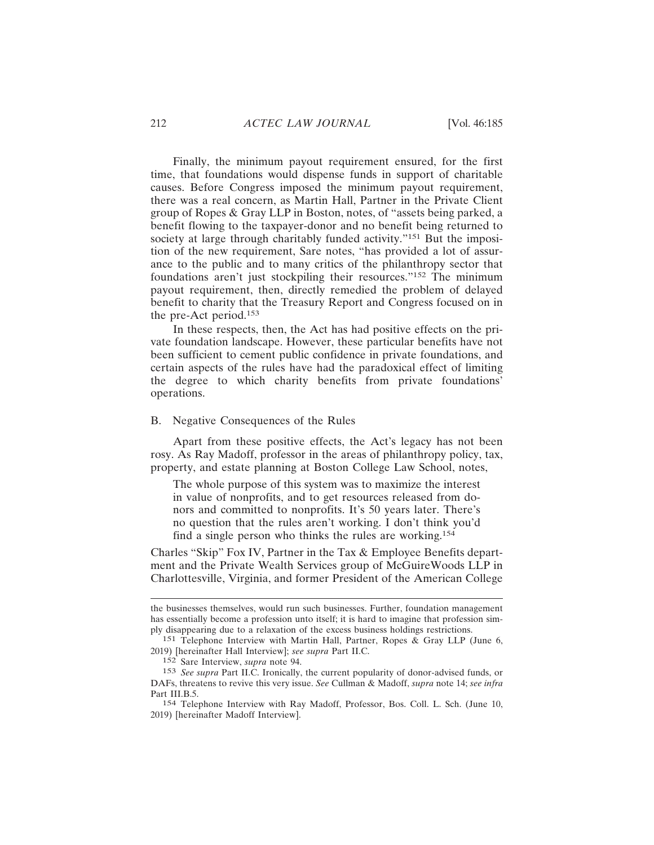Finally, the minimum payout requirement ensured, for the first time, that foundations would dispense funds in support of charitable causes. Before Congress imposed the minimum payout requirement, there was a real concern, as Martin Hall, Partner in the Private Client group of Ropes & Gray LLP in Boston, notes, of "assets being parked, a benefit flowing to the taxpayer-donor and no benefit being returned to society at large through charitably funded activity."<sup>151</sup> But the imposition of the new requirement, Sare notes, "has provided a lot of assurance to the public and to many critics of the philanthropy sector that foundations aren't just stockpiling their resources."152 The minimum payout requirement, then, directly remedied the problem of delayed benefit to charity that the Treasury Report and Congress focused on in the pre-Act period.<sup>153</sup>

In these respects, then, the Act has had positive effects on the private foundation landscape. However, these particular benefits have not been sufficient to cement public confidence in private foundations, and certain aspects of the rules have had the paradoxical effect of limiting the degree to which charity benefits from private foundations' operations.

## B. Negative Consequences of the Rules

Apart from these positive effects, the Act's legacy has not been rosy. As Ray Madoff, professor in the areas of philanthropy policy, tax, property, and estate planning at Boston College Law School, notes,

The whole purpose of this system was to maximize the interest in value of nonprofits, and to get resources released from donors and committed to nonprofits. It's 50 years later. There's no question that the rules aren't working. I don't think you'd find a single person who thinks the rules are working.<sup>154</sup>

Charles "Skip" Fox IV, Partner in the Tax & Employee Benefits department and the Private Wealth Services group of McGuireWoods LLP in Charlottesville, Virginia, and former President of the American College

the businesses themselves, would run such businesses. Further, foundation management has essentially become a profession unto itself; it is hard to imagine that profession simply disappearing due to a relaxation of the excess business holdings restrictions.

<sup>151</sup> Telephone Interview with Martin Hall, Partner, Ropes & Gray LLP (June 6, 2019) [hereinafter Hall Interview]; *see supra* Part II.C.

<sup>152</sup> Sare Interview, *supra* note 94.

<sup>153</sup> *See supra* Part II.C. Ironically, the current popularity of donor-advised funds, or DAFs, threatens to revive this very issue. *See* Cullman & Madoff, *supra* note 14; *see infra* Part III.B.5.

<sup>154</sup> Telephone Interview with Ray Madoff, Professor, Bos. Coll. L. Sch. (June 10, 2019) [hereinafter Madoff Interview].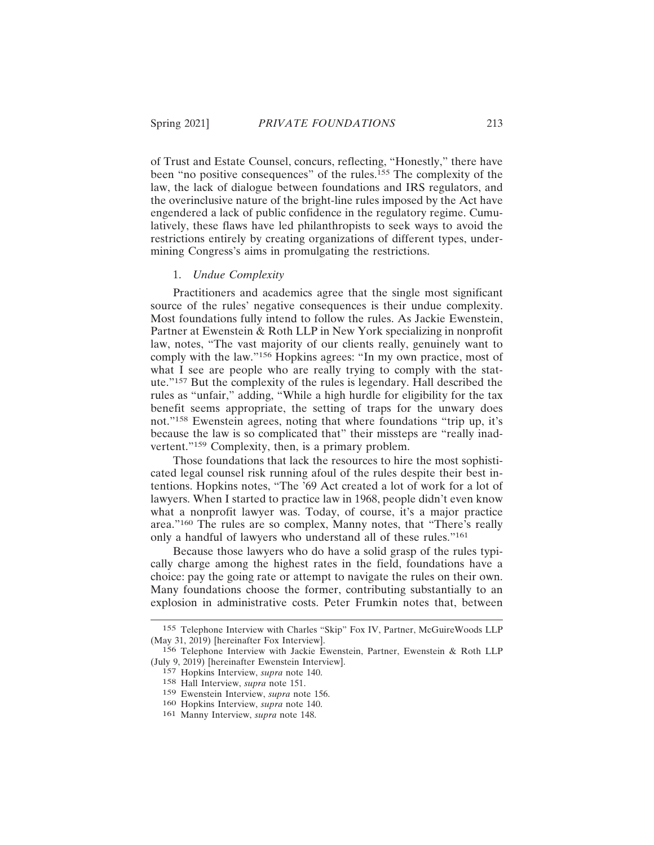of Trust and Estate Counsel, concurs, reflecting, "Honestly," there have been "no positive consequences" of the rules.155 The complexity of the law, the lack of dialogue between foundations and IRS regulators, and the overinclusive nature of the bright-line rules imposed by the Act have engendered a lack of public confidence in the regulatory regime. Cumulatively, these flaws have led philanthropists to seek ways to avoid the restrictions entirely by creating organizations of different types, undermining Congress's aims in promulgating the restrictions.

## 1. *Undue Complexity*

Practitioners and academics agree that the single most significant source of the rules' negative consequences is their undue complexity. Most foundations fully intend to follow the rules. As Jackie Ewenstein, Partner at Ewenstein & Roth LLP in New York specializing in nonprofit law, notes, "The vast majority of our clients really, genuinely want to comply with the law."156 Hopkins agrees: "In my own practice, most of what I see are people who are really trying to comply with the statute."157 But the complexity of the rules is legendary. Hall described the rules as "unfair," adding, "While a high hurdle for eligibility for the tax benefit seems appropriate, the setting of traps for the unwary does not."158 Ewenstein agrees, noting that where foundations "trip up, it's because the law is so complicated that" their missteps are "really inadvertent."159 Complexity, then, is a primary problem.

Those foundations that lack the resources to hire the most sophisticated legal counsel risk running afoul of the rules despite their best intentions. Hopkins notes, "The '69 Act created a lot of work for a lot of lawyers. When I started to practice law in 1968, people didn't even know what a nonprofit lawyer was. Today, of course, it's a major practice area."160 The rules are so complex, Manny notes, that "There's really only a handful of lawyers who understand all of these rules."<sup>161</sup>

Because those lawyers who do have a solid grasp of the rules typically charge among the highest rates in the field, foundations have a choice: pay the going rate or attempt to navigate the rules on their own. Many foundations choose the former, contributing substantially to an explosion in administrative costs. Peter Frumkin notes that, between

<sup>155</sup> Telephone Interview with Charles "Skip" Fox IV, Partner, McGuireWoods LLP (May 31, 2019) [hereinafter Fox Interview].

<sup>156</sup> Telephone Interview with Jackie Ewenstein, Partner, Ewenstein & Roth LLP (July 9, 2019) [hereinafter Ewenstein Interview].

<sup>157</sup> Hopkins Interview, *supra* note 140.

<sup>158</sup> Hall Interview, *supra* note 151.

<sup>159</sup> Ewenstein Interview, *supra* note 156.

<sup>160</sup> Hopkins Interview, *supra* note 140.

<sup>161</sup> Manny Interview, *supra* note 148.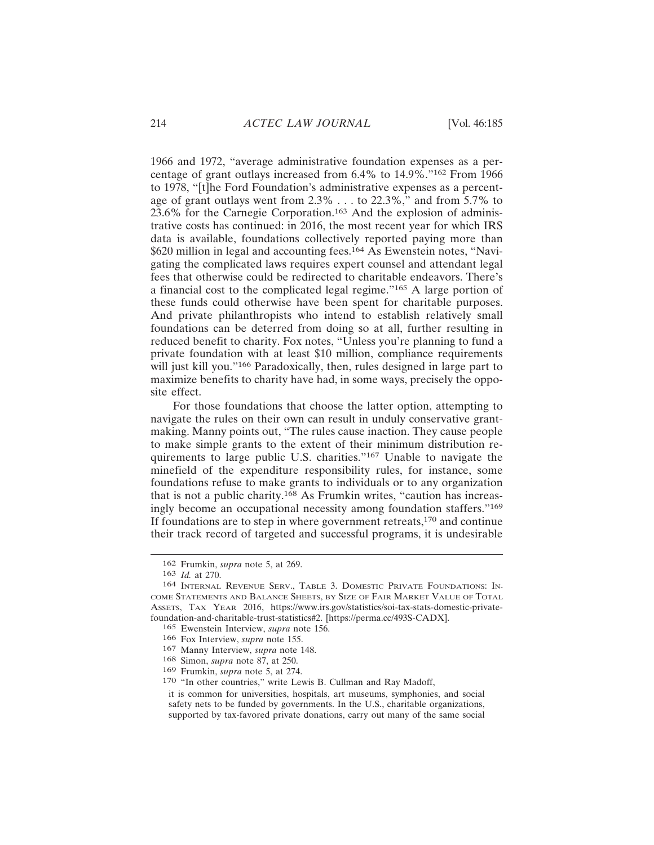1966 and 1972, "average administrative foundation expenses as a percentage of grant outlays increased from 6.4% to 14.9%."162 From 1966 to 1978, "[t]he Ford Foundation's administrative expenses as a percentage of grant outlays went from 2.3% . . . to 22.3%," and from 5.7% to 23.6% for the Carnegie Corporation.163 And the explosion of administrative costs has continued: in 2016, the most recent year for which IRS data is available, foundations collectively reported paying more than \$620 million in legal and accounting fees.164 As Ewenstein notes, "Navigating the complicated laws requires expert counsel and attendant legal fees that otherwise could be redirected to charitable endeavors. There's a financial cost to the complicated legal regime."165 A large portion of these funds could otherwise have been spent for charitable purposes. And private philanthropists who intend to establish relatively small foundations can be deterred from doing so at all, further resulting in reduced benefit to charity. Fox notes, "Unless you're planning to fund a private foundation with at least \$10 million, compliance requirements will just kill you."<sup>166</sup> Paradoxically, then, rules designed in large part to maximize benefits to charity have had, in some ways, precisely the opposite effect.

For those foundations that choose the latter option, attempting to navigate the rules on their own can result in unduly conservative grantmaking. Manny points out, "The rules cause inaction. They cause people to make simple grants to the extent of their minimum distribution requirements to large public U.S. charities."167 Unable to navigate the minefield of the expenditure responsibility rules, for instance, some foundations refuse to make grants to individuals or to any organization that is not a public charity.<sup>168</sup> As Frumkin writes, "caution has increasingly become an occupational necessity among foundation staffers."<sup>169</sup> If foundations are to step in where government retreats,170 and continue their track record of targeted and successful programs, it is undesirable

<sup>162</sup> Frumkin, *supra* note 5, at 269.

<sup>163</sup> *Id.* at 270.

<sup>164</sup> INTERNAL REVENUE SERV., TABLE 3. DOMESTIC PRIVATE FOUNDATIONS: IN-COME STATEMENTS AND BALANCE SHEETS, BY SIZE OF FAIR MARKET VALUE OF TOTAL ASSETS, TAX YEAR 2016, https://www.irs.gov/statistics/soi-tax-stats-domestic-privatefoundation-and-charitable-trust-statistics#2. [https://perma.cc/493S-CADX].

<sup>165</sup> Ewenstein Interview, *supra* note 156.

<sup>166</sup> Fox Interview, *supra* note 155.

<sup>167</sup> Manny Interview, *supra* note 148.

<sup>168</sup> Simon, *supra* note 87, at 250.

<sup>169</sup> Frumkin, *supra* note 5, at 274.

<sup>170</sup> "In other countries," write Lewis B. Cullman and Ray Madoff,

it is common for universities, hospitals, art museums, symphonies, and social safety nets to be funded by governments. In the U.S., charitable organizations, supported by tax-favored private donations, carry out many of the same social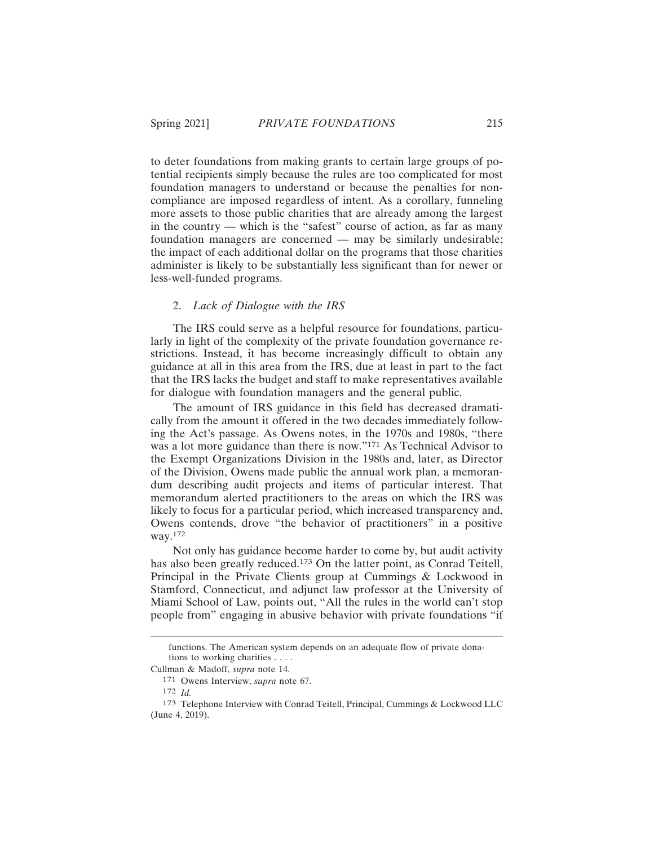to deter foundations from making grants to certain large groups of potential recipients simply because the rules are too complicated for most foundation managers to understand or because the penalties for noncompliance are imposed regardless of intent. As a corollary, funneling more assets to those public charities that are already among the largest in the country — which is the "safest" course of action, as far as many foundation managers are concerned — may be similarly undesirable; the impact of each additional dollar on the programs that those charities administer is likely to be substantially less significant than for newer or less-well-funded programs.

## 2. *Lack of Dialogue with the IRS*

The IRS could serve as a helpful resource for foundations, particularly in light of the complexity of the private foundation governance restrictions. Instead, it has become increasingly difficult to obtain any guidance at all in this area from the IRS, due at least in part to the fact that the IRS lacks the budget and staff to make representatives available for dialogue with foundation managers and the general public.

The amount of IRS guidance in this field has decreased dramatically from the amount it offered in the two decades immediately following the Act's passage. As Owens notes, in the 1970s and 1980s, "there was a lot more guidance than there is now."171 As Technical Advisor to the Exempt Organizations Division in the 1980s and, later, as Director of the Division, Owens made public the annual work plan, a memorandum describing audit projects and items of particular interest. That memorandum alerted practitioners to the areas on which the IRS was likely to focus for a particular period, which increased transparency and, Owens contends, drove "the behavior of practitioners" in a positive way.172

Not only has guidance become harder to come by, but audit activity has also been greatly reduced.<sup>173</sup> On the latter point, as Conrad Teitell, Principal in the Private Clients group at Cummings & Lockwood in Stamford, Connecticut, and adjunct law professor at the University of Miami School of Law, points out, "All the rules in the world can't stop people from" engaging in abusive behavior with private foundations "if

functions. The American system depends on an adequate flow of private donations to working charities . . . .

Cullman & Madoff, *supra* note 14.

<sup>171</sup> Owens Interview, *supra* note 67.

<sup>172</sup> *Id.*

<sup>173</sup> Telephone Interview with Conrad Teitell, Principal, Cummings & Lockwood LLC (June 4, 2019).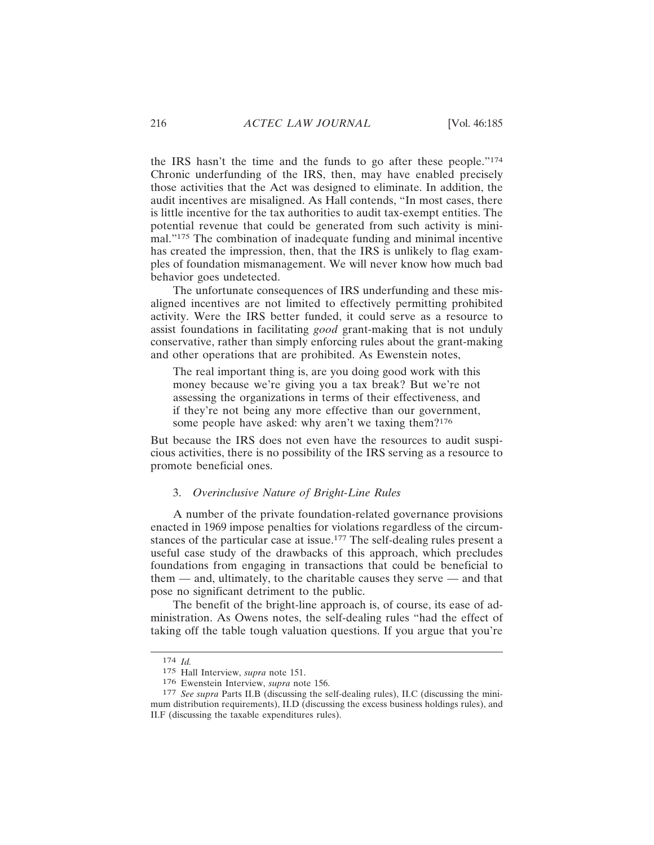the IRS hasn't the time and the funds to go after these people."<sup>174</sup> Chronic underfunding of the IRS, then, may have enabled precisely those activities that the Act was designed to eliminate. In addition, the audit incentives are misaligned. As Hall contends, "In most cases, there is little incentive for the tax authorities to audit tax-exempt entities. The potential revenue that could be generated from such activity is minimal."175 The combination of inadequate funding and minimal incentive has created the impression, then, that the IRS is unlikely to flag examples of foundation mismanagement. We will never know how much bad behavior goes undetected.

The unfortunate consequences of IRS underfunding and these misaligned incentives are not limited to effectively permitting prohibited activity. Were the IRS better funded, it could serve as a resource to assist foundations in facilitating *good* grant-making that is not unduly conservative, rather than simply enforcing rules about the grant-making and other operations that are prohibited. As Ewenstein notes,

The real important thing is, are you doing good work with this money because we're giving you a tax break? But we're not assessing the organizations in terms of their effectiveness, and if they're not being any more effective than our government, some people have asked: why aren't we taxing them?<sup>176</sup>

But because the IRS does not even have the resources to audit suspicious activities, there is no possibility of the IRS serving as a resource to promote beneficial ones.

### 3. *Overinclusive Nature of Bright-Line Rules*

A number of the private foundation-related governance provisions enacted in 1969 impose penalties for violations regardless of the circumstances of the particular case at issue.<sup>177</sup> The self-dealing rules present a useful case study of the drawbacks of this approach, which precludes foundations from engaging in transactions that could be beneficial to them — and, ultimately, to the charitable causes they serve — and that pose no significant detriment to the public.

The benefit of the bright-line approach is, of course, its ease of administration. As Owens notes, the self-dealing rules "had the effect of taking off the table tough valuation questions. If you argue that you're

<sup>174</sup> *Id.*

<sup>175</sup> Hall Interview, *supra* note 151.

<sup>176</sup> Ewenstein Interview, *supra* note 156.

<sup>177</sup> *See supra* Parts II.B (discussing the self-dealing rules), II.C (discussing the minimum distribution requirements), II.D (discussing the excess business holdings rules), and II.F (discussing the taxable expenditures rules).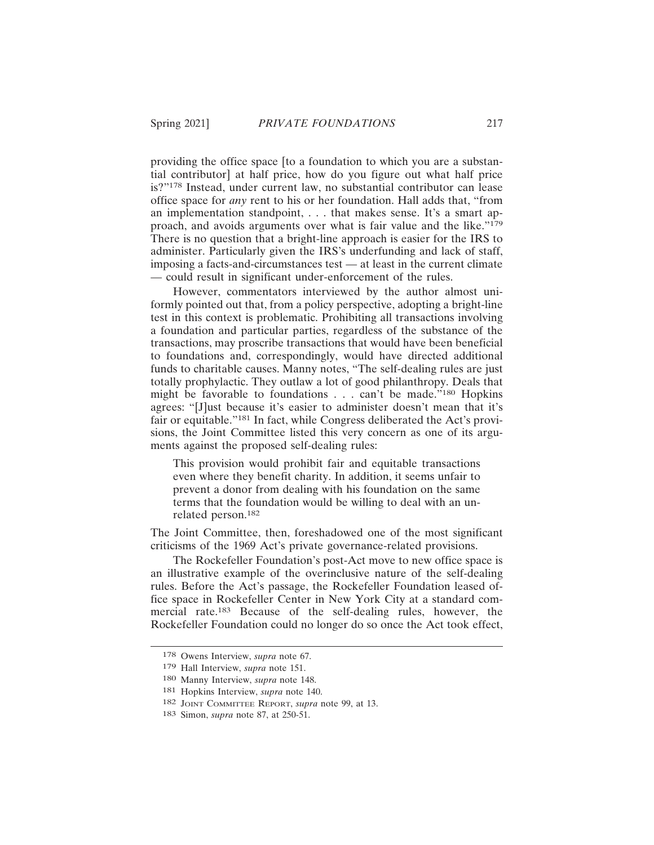providing the office space [to a foundation to which you are a substantial contributor] at half price, how do you figure out what half price is?"178 Instead, under current law, no substantial contributor can lease office space for *any* rent to his or her foundation. Hall adds that, "from an implementation standpoint, . . . that makes sense. It's a smart approach, and avoids arguments over what is fair value and the like."<sup>179</sup> There is no question that a bright-line approach is easier for the IRS to administer. Particularly given the IRS's underfunding and lack of staff, imposing a facts-and-circumstances test — at least in the current climate — could result in significant under-enforcement of the rules.

However, commentators interviewed by the author almost uniformly pointed out that, from a policy perspective, adopting a bright-line test in this context is problematic. Prohibiting all transactions involving a foundation and particular parties, regardless of the substance of the transactions, may proscribe transactions that would have been beneficial to foundations and, correspondingly, would have directed additional funds to charitable causes. Manny notes, "The self-dealing rules are just totally prophylactic. They outlaw a lot of good philanthropy. Deals that might be favorable to foundations . . . can't be made."180 Hopkins agrees: "[J]ust because it's easier to administer doesn't mean that it's fair or equitable."181 In fact, while Congress deliberated the Act's provisions, the Joint Committee listed this very concern as one of its arguments against the proposed self-dealing rules:

This provision would prohibit fair and equitable transactions even where they benefit charity. In addition, it seems unfair to prevent a donor from dealing with his foundation on the same terms that the foundation would be willing to deal with an unrelated person.<sup>182</sup>

The Joint Committee, then, foreshadowed one of the most significant criticisms of the 1969 Act's private governance-related provisions.

The Rockefeller Foundation's post-Act move to new office space is an illustrative example of the overinclusive nature of the self-dealing rules. Before the Act's passage, the Rockefeller Foundation leased office space in Rockefeller Center in New York City at a standard commercial rate.183 Because of the self-dealing rules, however, the Rockefeller Foundation could no longer do so once the Act took effect,

<sup>178</sup> Owens Interview, *supra* note 67.

<sup>179</sup> Hall Interview, *supra* note 151.

<sup>180</sup> Manny Interview, *supra* note 148.

<sup>181</sup> Hopkins Interview, *supra* note 140.

<sup>182</sup> JOINT COMMITTEE REPORT, *supra* note 99, at 13.

<sup>183</sup> Simon, *supra* note 87, at 250-51.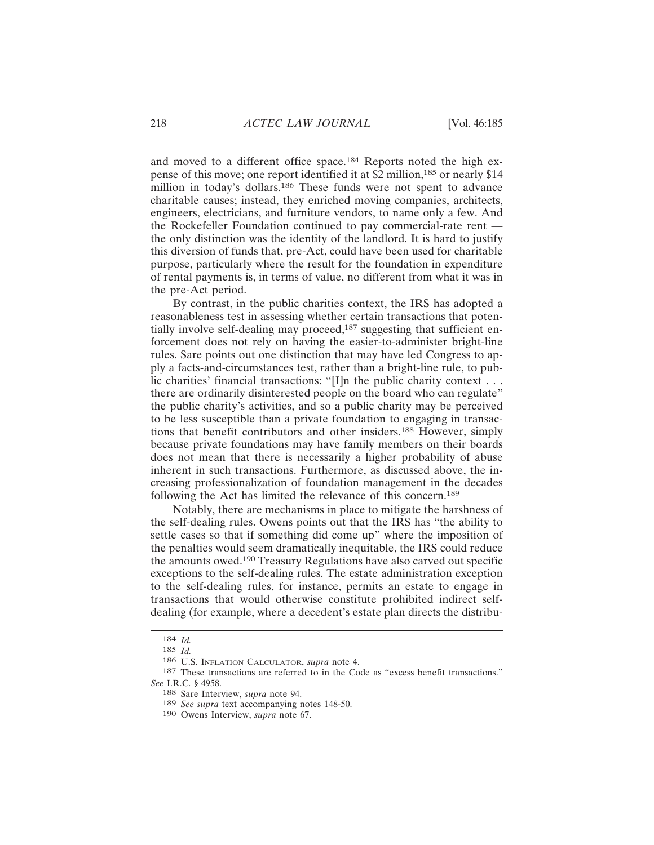and moved to a different office space.<sup>184</sup> Reports noted the high expense of this move; one report identified it at \$2 million,185 or nearly \$14 million in today's dollars.<sup>186</sup> These funds were not spent to advance charitable causes; instead, they enriched moving companies, architects, engineers, electricians, and furniture vendors, to name only a few. And the Rockefeller Foundation continued to pay commercial-rate rent the only distinction was the identity of the landlord. It is hard to justify this diversion of funds that, pre-Act, could have been used for charitable purpose, particularly where the result for the foundation in expenditure of rental payments is, in terms of value, no different from what it was in the pre-Act period.

By contrast, in the public charities context, the IRS has adopted a reasonableness test in assessing whether certain transactions that potentially involve self-dealing may proceed,<sup>187</sup> suggesting that sufficient enforcement does not rely on having the easier-to-administer bright-line rules. Sare points out one distinction that may have led Congress to apply a facts-and-circumstances test, rather than a bright-line rule, to public charities' financial transactions: "[I]n the public charity context  $\dots$ there are ordinarily disinterested people on the board who can regulate" the public charity's activities, and so a public charity may be perceived to be less susceptible than a private foundation to engaging in transactions that benefit contributors and other insiders.188 However, simply because private foundations may have family members on their boards does not mean that there is necessarily a higher probability of abuse inherent in such transactions. Furthermore, as discussed above, the increasing professionalization of foundation management in the decades following the Act has limited the relevance of this concern.<sup>189</sup>

Notably, there are mechanisms in place to mitigate the harshness of the self-dealing rules. Owens points out that the IRS has "the ability to settle cases so that if something did come up" where the imposition of the penalties would seem dramatically inequitable, the IRS could reduce the amounts owed.190 Treasury Regulations have also carved out specific exceptions to the self-dealing rules. The estate administration exception to the self-dealing rules, for instance, permits an estate to engage in transactions that would otherwise constitute prohibited indirect selfdealing (for example, where a decedent's estate plan directs the distribu-

<sup>184</sup> *Id.*

<sup>185</sup> *Id.*

<sup>186</sup> U.S. INFLATION CALCULATOR, *supra* note 4.

<sup>187</sup> These transactions are referred to in the Code as "excess benefit transactions." *See* I.R.C. § 4958.

<sup>188</sup> Sare Interview, *supra* note 94.

<sup>189</sup> *See supra* text accompanying notes 148-50.

<sup>190</sup> Owens Interview, *supra* note 67.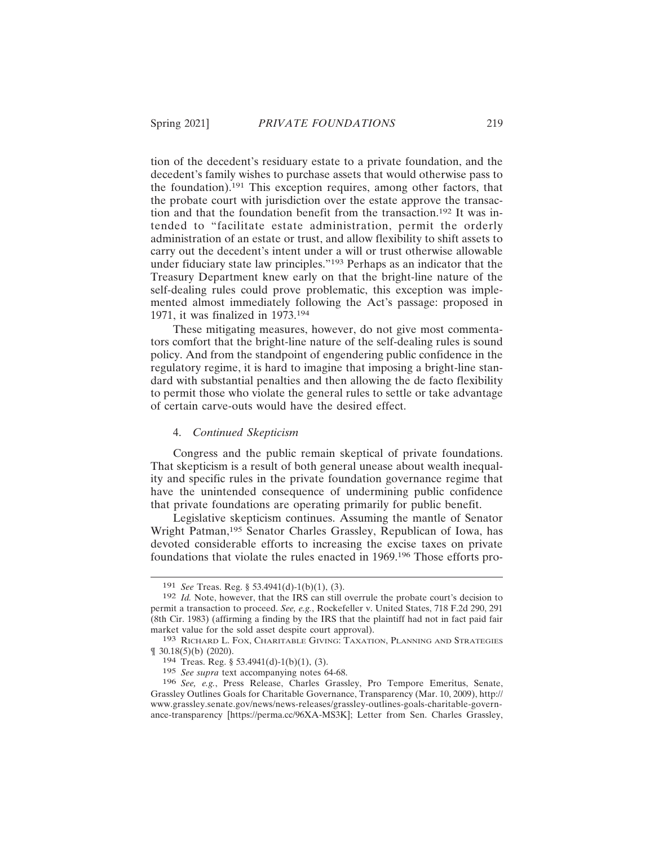tion of the decedent's residuary estate to a private foundation, and the decedent's family wishes to purchase assets that would otherwise pass to the foundation).191 This exception requires, among other factors, that the probate court with jurisdiction over the estate approve the transaction and that the foundation benefit from the transaction.192 It was intended to "facilitate estate administration, permit the orderly administration of an estate or trust, and allow flexibility to shift assets to carry out the decedent's intent under a will or trust otherwise allowable under fiduciary state law principles."193 Perhaps as an indicator that the Treasury Department knew early on that the bright-line nature of the self-dealing rules could prove problematic, this exception was implemented almost immediately following the Act's passage: proposed in 1971, it was finalized in 1973.<sup>194</sup>

These mitigating measures, however, do not give most commentators comfort that the bright-line nature of the self-dealing rules is sound policy. And from the standpoint of engendering public confidence in the regulatory regime, it is hard to imagine that imposing a bright-line standard with substantial penalties and then allowing the de facto flexibility to permit those who violate the general rules to settle or take advantage of certain carve-outs would have the desired effect.

#### 4. *Continued Skepticism*

Congress and the public remain skeptical of private foundations. That skepticism is a result of both general unease about wealth inequality and specific rules in the private foundation governance regime that have the unintended consequence of undermining public confidence that private foundations are operating primarily for public benefit.

Legislative skepticism continues. Assuming the mantle of Senator Wright Patman,195 Senator Charles Grassley, Republican of Iowa, has devoted considerable efforts to increasing the excise taxes on private foundations that violate the rules enacted in 1969.196 Those efforts pro-

<sup>191</sup> *See* Treas. Reg. § 53.4941(d)-1(b)(1), (3).

<sup>192</sup> *Id.* Note, however, that the IRS can still overrule the probate court's decision to permit a transaction to proceed. *See, e.g.*, Rockefeller v. United States, 718 F.2d 290, 291 (8th Cir. 1983) (affirming a finding by the IRS that the plaintiff had not in fact paid fair market value for the sold asset despite court approval).

<sup>193</sup> RICHARD L. FOX, CHARITABLE GIVING: TAXATION, PLANNING AND STRATEGIES ¶ 30.18(5)(b) (2020).

<sup>194</sup> Treas. Reg. § 53.4941(d)-1(b)(1), (3).

<sup>195</sup> *See supra* text accompanying notes 64-68.

<sup>196</sup> *See, e.g.*, Press Release, Charles Grassley, Pro Tempore Emeritus, Senate, Grassley Outlines Goals for Charitable Governance, Transparency (Mar. 10, 2009), http:// www.grassley.senate.gov/news/news-releases/grassley-outlines-goals-charitable-governance-transparency [https://perma.cc/96XA-MS3K]; Letter from Sen. Charles Grassley,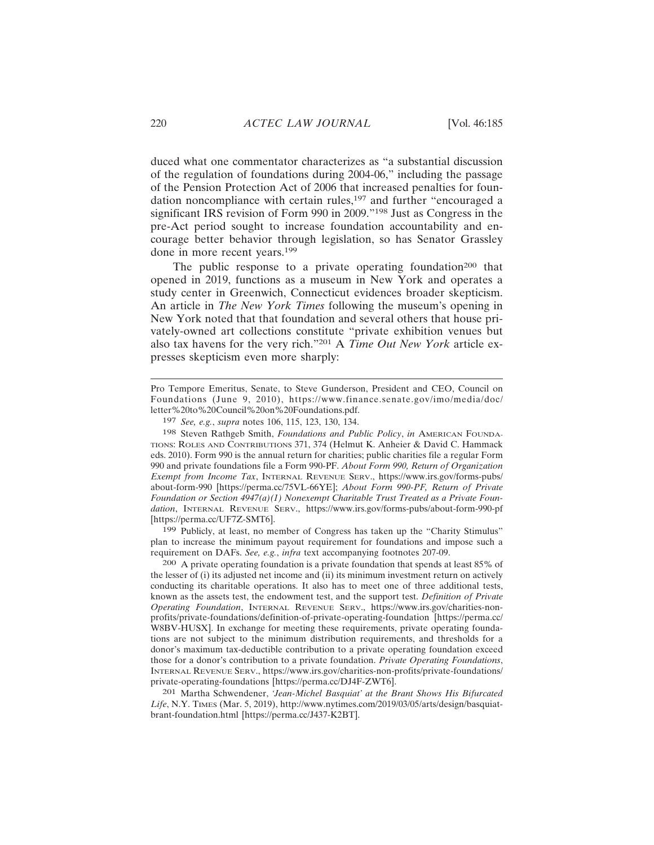duced what one commentator characterizes as "a substantial discussion of the regulation of foundations during 2004-06," including the passage of the Pension Protection Act of 2006 that increased penalties for foundation noncompliance with certain rules,<sup>197</sup> and further "encouraged a significant IRS revision of Form 990 in 2009."<sup>198</sup> Just as Congress in the pre-Act period sought to increase foundation accountability and encourage better behavior through legislation, so has Senator Grassley done in more recent years.<sup>199</sup>

The public response to a private operating foundation<sup>200</sup> that opened in 2019, functions as a museum in New York and operates a study center in Greenwich, Connecticut evidences broader skepticism. An article in *The New York Times* following the museum's opening in New York noted that that foundation and several others that house privately-owned art collections constitute "private exhibition venues but also tax havens for the very rich."201 A *Time Out New York* article expresses skepticism even more sharply:

198 Steven Rathgeb Smith, *Foundations and Public Policy*, *in* AMERICAN FOUNDA-TIONS: ROLES AND CONTRIBUTIONS 371, 374 (Helmut K. Anheier & David C. Hammack eds. 2010). Form 990 is the annual return for charities; public charities file a regular Form 990 and private foundations file a Form 990-PF. *About Form 990, Return of Organization Exempt from Income Tax*, INTERNAL REVENUE SERV., https://www.irs.gov/forms-pubs/ about-form-990 [https://perma.cc/75VL-66YE]; *About Form 990-PF, Return of Private Foundation or Section 4947(a)(1) Nonexempt Charitable Trust Treated as a Private Foundation*, INTERNAL REVENUE SERV., https://www.irs.gov/forms-pubs/about-form-990-pf [https://perma.cc/UF7Z-SMT6].

199 Publicly, at least, no member of Congress has taken up the "Charity Stimulus" plan to increase the minimum payout requirement for foundations and impose such a requirement on DAFs. *See, e.g.*, *infra* text accompanying footnotes 207-09.

200 A private operating foundation is a private foundation that spends at least 85% of the lesser of  $(i)$  its adjusted net income and  $(ii)$  its minimum investment return on actively conducting its charitable operations. It also has to meet one of three additional tests, known as the assets test, the endowment test, and the support test. *Definition of Private Operating Foundation*, INTERNAL REVENUE SERV., https://www.irs.gov/charities-nonprofits/private-foundations/definition-of-private-operating-foundation [https://perma.cc/ W8BV-HUSX]. In exchange for meeting these requirements, private operating foundations are not subject to the minimum distribution requirements, and thresholds for a donor's maximum tax-deductible contribution to a private operating foundation exceed those for a donor's contribution to a private foundation. *Private Operating Foundations*, INTERNAL REVENUE SERV., https://www.irs.gov/charities-non-profits/private-foundations/ private-operating-foundations [https://perma.cc/DJ4F-ZWT6].

201 Martha Schwendener, *'Jean-Michel Basquiat' at the Brant Shows His Bifurcated Life*, N.Y. TIMES (Mar. 5, 2019), http://www.nytimes.com/2019/03/05/arts/design/basquiatbrant-foundation.html [https://perma.cc/J437-K2BT].

Pro Tempore Emeritus, Senate, to Steve Gunderson, President and CEO, Council on Foundations (June 9, 2010), https://www.finance.senate.gov/imo/media/doc/ letter%20to%20Council%20on%20Foundations.pdf.

<sup>197</sup> *See, e.g.*, *supra* notes 106, 115, 123, 130, 134.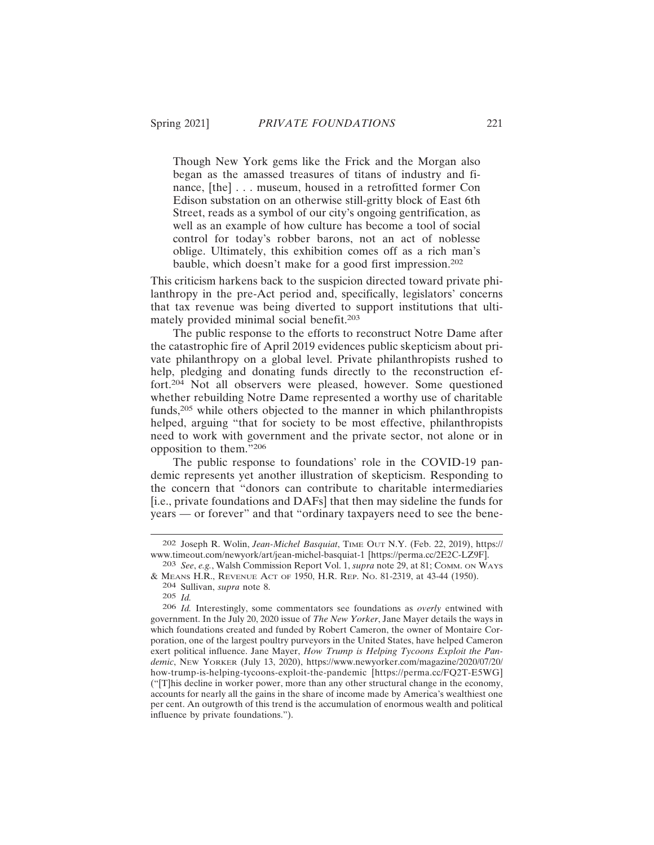Though New York gems like the Frick and the Morgan also began as the amassed treasures of titans of industry and finance, [the] . . . museum, housed in a retrofitted former Con Edison substation on an otherwise still-gritty block of East 6th Street, reads as a symbol of our city's ongoing gentrification, as well as an example of how culture has become a tool of social control for today's robber barons, not an act of noblesse oblige. Ultimately, this exhibition comes off as a rich man's bauble, which doesn't make for a good first impression.<sup>202</sup>

This criticism harkens back to the suspicion directed toward private philanthropy in the pre-Act period and, specifically, legislators' concerns that tax revenue was being diverted to support institutions that ultimately provided minimal social benefit.<sup>203</sup>

The public response to the efforts to reconstruct Notre Dame after the catastrophic fire of April 2019 evidences public skepticism about private philanthropy on a global level. Private philanthropists rushed to help, pledging and donating funds directly to the reconstruction effort.204 Not all observers were pleased, however. Some questioned whether rebuilding Notre Dame represented a worthy use of charitable funds,205 while others objected to the manner in which philanthropists helped, arguing "that for society to be most effective, philanthropists need to work with government and the private sector, not alone or in opposition to them."<sup>206</sup>

The public response to foundations' role in the COVID-19 pandemic represents yet another illustration of skepticism. Responding to the concern that "donors can contribute to charitable intermediaries [i.e., private foundations and DAFs] that then may sideline the funds for years — or forever" and that "ordinary taxpayers need to see the bene-

<sup>202</sup> Joseph R. Wolin, *Jean-Michel Basquiat*, TIME OUT N.Y. (Feb. 22, 2019), https:// www.timeout.com/newyork/art/jean-michel-basquiat-1 [https://perma.cc/2E2C-LZ9F].

<sup>203</sup> *See*, *e.g.*, Walsh Commission Report Vol. 1, *supra* note 29, at 81; COMM. ON WAYS & MEANS H.R., REVENUE ACT OF 1950, H.R. REP. NO. 81-2319, at 43-44 (1950).

<sup>204</sup> Sullivan, *supra* note 8.

<sup>205</sup> *Id.*

<sup>206</sup> *Id.* Interestingly, some commentators see foundations as *overly* entwined with government. In the July 20, 2020 issue of *The New Yorker*, Jane Mayer details the ways in which foundations created and funded by Robert Cameron, the owner of Montaire Corporation, one of the largest poultry purveyors in the United States, have helped Cameron exert political influence. Jane Mayer, *How Trump is Helping Tycoons Exploit the Pandemic*, NEW YORKER (July 13, 2020), https://www.newyorker.com/magazine/2020/07/20/ how-trump-is-helping-tycoons-exploit-the-pandemic [https://perma.cc/FQ2T-E5WG] ("[T]his decline in worker power, more than any other structural change in the economy, accounts for nearly all the gains in the share of income made by America's wealthiest one per cent. An outgrowth of this trend is the accumulation of enormous wealth and political influence by private foundations.").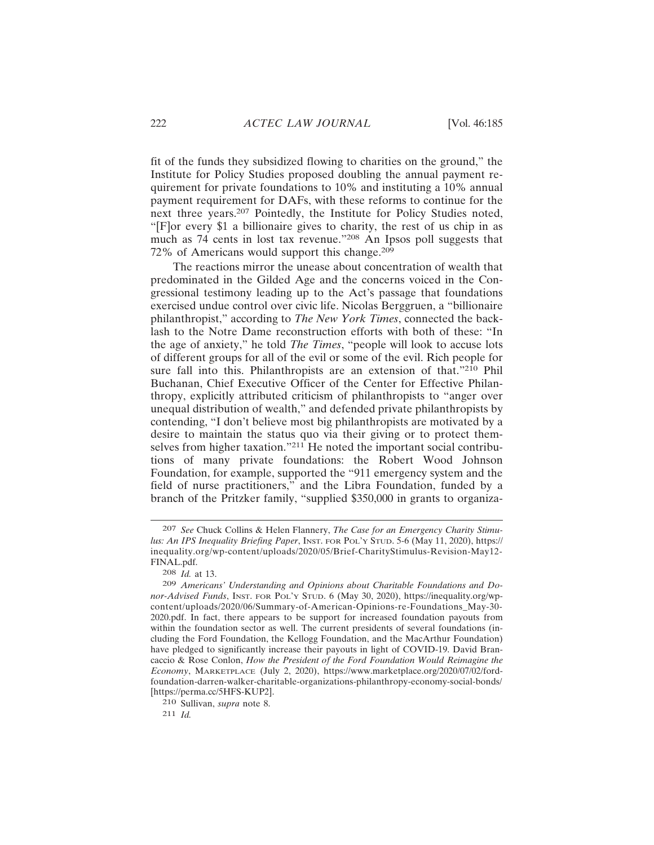fit of the funds they subsidized flowing to charities on the ground," the Institute for Policy Studies proposed doubling the annual payment requirement for private foundations to 10% and instituting a 10% annual payment requirement for DAFs, with these reforms to continue for the next three years.<sup>207</sup> Pointedly, the Institute for Policy Studies noted, "[F]or every \$1 a billionaire gives to charity, the rest of us chip in as much as 74 cents in lost tax revenue."208 An Ipsos poll suggests that 72% of Americans would support this change.<sup>209</sup>

The reactions mirror the unease about concentration of wealth that predominated in the Gilded Age and the concerns voiced in the Congressional testimony leading up to the Act's passage that foundations exercised undue control over civic life. Nicolas Berggruen, a "billionaire philanthropist," according to *The New York Times*, connected the backlash to the Notre Dame reconstruction efforts with both of these: "In the age of anxiety," he told *The Times*, "people will look to accuse lots of different groups for all of the evil or some of the evil. Rich people for sure fall into this. Philanthropists are an extension of that."210 Phil Buchanan, Chief Executive Officer of the Center for Effective Philanthropy, explicitly attributed criticism of philanthropists to "anger over unequal distribution of wealth," and defended private philanthropists by contending, "I don't believe most big philanthropists are motivated by a desire to maintain the status quo via their giving or to protect themselves from higher taxation."<sup>211</sup> He noted the important social contributions of many private foundations: the Robert Wood Johnson Foundation, for example, supported the "911 emergency system and the field of nurse practitioners," and the Libra Foundation, funded by a branch of the Pritzker family, "supplied \$350,000 in grants to organiza-

<sup>207</sup> *See* Chuck Collins & Helen Flannery, *The Case for an Emergency Charity Stimulus: An IPS Inequality Briefing Paper*, INST. FOR POL'Y STUD. 5-6 (May 11, 2020), https:// inequality.org/wp-content/uploads/2020/05/Brief-CharityStimulus-Revision-May12- FINAL.pdf.

<sup>208</sup> *Id.* at 13.

<sup>209</sup> *Americans' Understanding and Opinions about Charitable Foundations and Donor-Advised Funds*, INST. FOR POL'Y STUD. 6 (May 30, 2020), https://inequality.org/wpcontent/uploads/2020/06/Summary-of-American-Opinions-re-Foundations\_May-30- 2020.pdf. In fact, there appears to be support for increased foundation payouts from within the foundation sector as well. The current presidents of several foundations (including the Ford Foundation, the Kellogg Foundation, and the MacArthur Foundation) have pledged to significantly increase their payouts in light of COVID-19. David Brancaccio & Rose Conlon, *How the President of the Ford Foundation Would Reimagine the Economy*, MARKETPLACE (July 2, 2020), https://www.marketplace.org/2020/07/02/fordfoundation-darren-walker-charitable-organizations-philanthropy-economy-social-bonds/ [https://perma.cc/5HFS-KUP2].

<sup>210</sup> Sullivan, *supra* note 8.

<sup>211</sup> *Id.*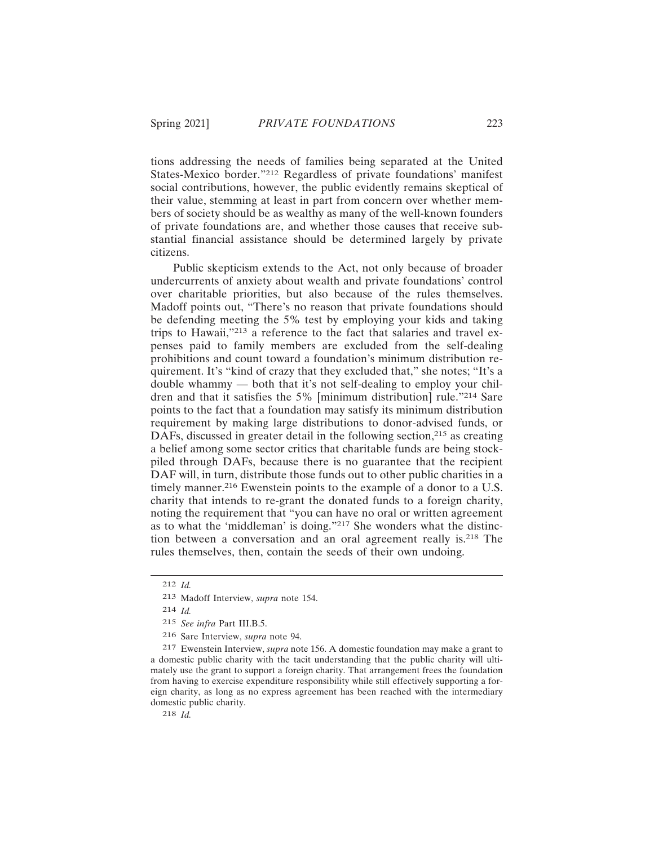tions addressing the needs of families being separated at the United States-Mexico border."212 Regardless of private foundations' manifest social contributions, however, the public evidently remains skeptical of their value, stemming at least in part from concern over whether members of society should be as wealthy as many of the well-known founders of private foundations are, and whether those causes that receive substantial financial assistance should be determined largely by private citizens.

Public skepticism extends to the Act, not only because of broader undercurrents of anxiety about wealth and private foundations' control over charitable priorities, but also because of the rules themselves. Madoff points out, "There's no reason that private foundations should be defending meeting the 5% test by employing your kids and taking trips to Hawaii,"213 a reference to the fact that salaries and travel expenses paid to family members are excluded from the self-dealing prohibitions and count toward a foundation's minimum distribution requirement. It's "kind of crazy that they excluded that," she notes; "It's a double whammy — both that it's not self-dealing to employ your children and that it satisfies the 5% [minimum distribution] rule."214 Sare points to the fact that a foundation may satisfy its minimum distribution requirement by making large distributions to donor-advised funds, or DAFs, discussed in greater detail in the following section,<sup>215</sup> as creating a belief among some sector critics that charitable funds are being stockpiled through DAFs, because there is no guarantee that the recipient DAF will, in turn, distribute those funds out to other public charities in a timely manner.<sup>216</sup> Ewenstein points to the example of a donor to a U.S. charity that intends to re-grant the donated funds to a foreign charity, noting the requirement that "you can have no oral or written agreement as to what the 'middleman' is doing."217 She wonders what the distinction between a conversation and an oral agreement really is.218 The rules themselves, then, contain the seeds of their own undoing.

217 Ewenstein Interview, *supra* note 156. A domestic foundation may make a grant to a domestic public charity with the tacit understanding that the public charity will ultimately use the grant to support a foreign charity. That arrangement frees the foundation from having to exercise expenditure responsibility while still effectively supporting a foreign charity, as long as no express agreement has been reached with the intermediary domestic public charity.

218 *Id.*

<sup>212</sup> *Id.*

<sup>213</sup> Madoff Interview, *supra* note 154.

<sup>214</sup> *Id.*

<sup>215</sup> *See infra* Part III.B.5.

<sup>216</sup> Sare Interview, *supra* note 94.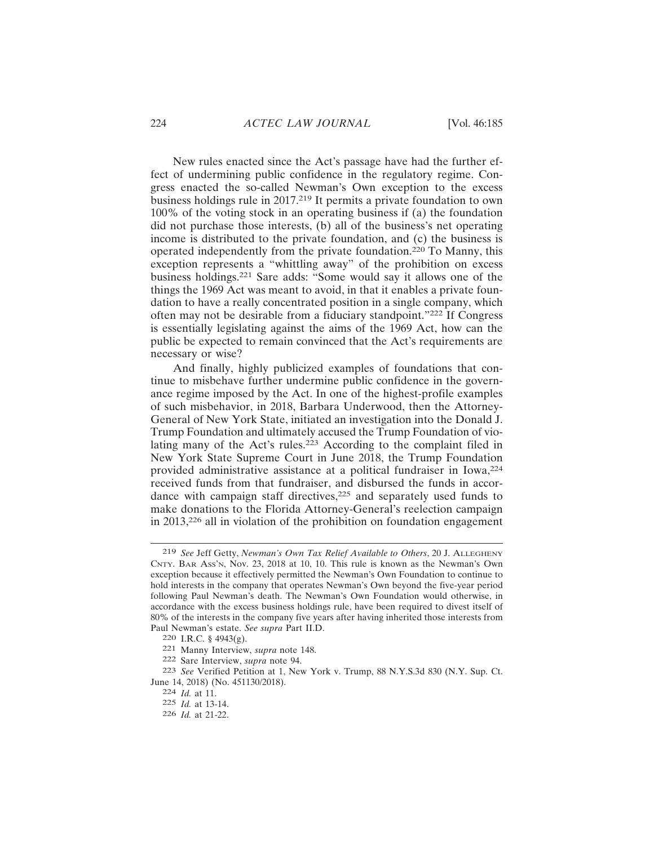New rules enacted since the Act's passage have had the further effect of undermining public confidence in the regulatory regime. Congress enacted the so-called Newman's Own exception to the excess business holdings rule in 2017.219 It permits a private foundation to own 100% of the voting stock in an operating business if (a) the foundation did not purchase those interests, (b) all of the business's net operating income is distributed to the private foundation, and (c) the business is operated independently from the private foundation.220 To Manny, this exception represents a "whittling away" of the prohibition on excess business holdings.221 Sare adds: "Some would say it allows one of the things the 1969 Act was meant to avoid, in that it enables a private foundation to have a really concentrated position in a single company, which often may not be desirable from a fiduciary standpoint."222 If Congress is essentially legislating against the aims of the 1969 Act, how can the public be expected to remain convinced that the Act's requirements are necessary or wise?

And finally, highly publicized examples of foundations that continue to misbehave further undermine public confidence in the governance regime imposed by the Act. In one of the highest-profile examples of such misbehavior, in 2018, Barbara Underwood, then the Attorney-General of New York State, initiated an investigation into the Donald J. Trump Foundation and ultimately accused the Trump Foundation of violating many of the Act's rules.<sup>223</sup> According to the complaint filed in New York State Supreme Court in June 2018, the Trump Foundation provided administrative assistance at a political fundraiser in Iowa,<sup>224</sup> received funds from that fundraiser, and disbursed the funds in accordance with campaign staff directives, $225$  and separately used funds to make donations to the Florida Attorney-General's reelection campaign in 2013,226 all in violation of the prohibition on foundation engagement

<sup>219</sup> *See* Jeff Getty, *Newman's Own Tax Relief Available to Others*, 20 J. ALLEGHENY CNTY. BAR Ass'N, Nov. 23, 2018 at 10, 10. This rule is known as the Newman's Own exception because it effectively permitted the Newman's Own Foundation to continue to hold interests in the company that operates Newman's Own beyond the five-year period following Paul Newman's death. The Newman's Own Foundation would otherwise, in accordance with the excess business holdings rule, have been required to divest itself of 80% of the interests in the company five years after having inherited those interests from Paul Newman's estate. *See supra* Part II.D.

<sup>220</sup> I.R.C. § 4943(g).

<sup>221</sup> Manny Interview, *supra* note 148.

<sup>222</sup> Sare Interview, *supra* note 94.

<sup>223</sup> *See* Verified Petition at 1, New York v. Trump, 88 N.Y.S.3d 830 (N.Y. Sup. Ct. June 14, 2018) (No. 451130/2018).

<sup>224</sup> *Id.* at 11.

<sup>225</sup> *Id.* at 13-14.

<sup>226</sup> *Id.* at 21-22.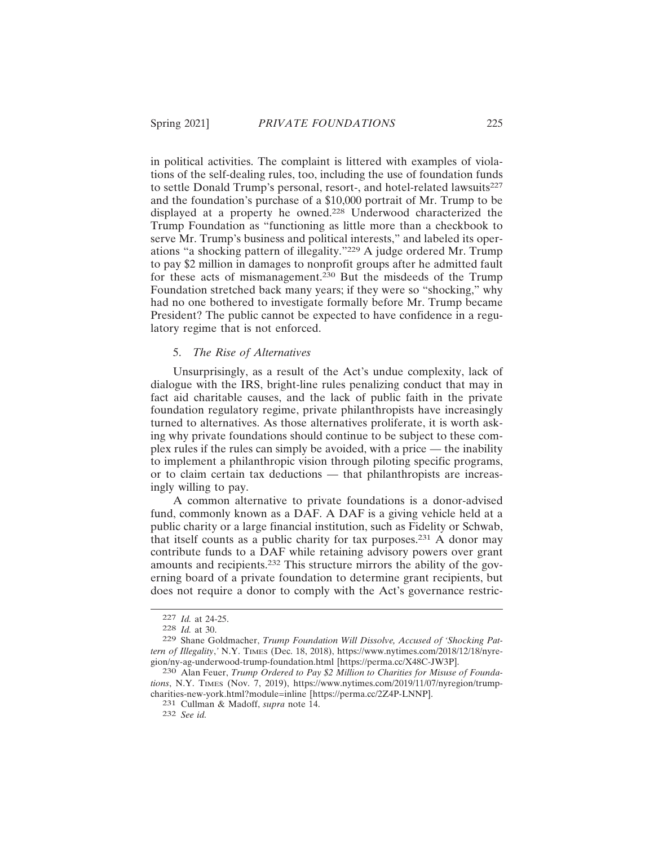in political activities. The complaint is littered with examples of violations of the self-dealing rules, too, including the use of foundation funds to settle Donald Trump's personal, resort-, and hotel-related lawsuits<sup>227</sup> and the foundation's purchase of a \$10,000 portrait of Mr. Trump to be displayed at a property he owned.228 Underwood characterized the Trump Foundation as "functioning as little more than a checkbook to serve Mr. Trump's business and political interests," and labeled its operations "a shocking pattern of illegality."229 A judge ordered Mr. Trump to pay \$2 million in damages to nonprofit groups after he admitted fault for these acts of mismanagement.230 But the misdeeds of the Trump Foundation stretched back many years; if they were so "shocking," why had no one bothered to investigate formally before Mr. Trump became President? The public cannot be expected to have confidence in a regulatory regime that is not enforced.

#### 5. *The Rise of Alternatives*

Unsurprisingly, as a result of the Act's undue complexity, lack of dialogue with the IRS, bright-line rules penalizing conduct that may in fact aid charitable causes, and the lack of public faith in the private foundation regulatory regime, private philanthropists have increasingly turned to alternatives. As those alternatives proliferate, it is worth asking why private foundations should continue to be subject to these complex rules if the rules can simply be avoided, with a price — the inability to implement a philanthropic vision through piloting specific programs, or to claim certain tax deductions — that philanthropists are increasingly willing to pay.

A common alternative to private foundations is a donor-advised fund, commonly known as a DAF. A DAF is a giving vehicle held at a public charity or a large financial institution, such as Fidelity or Schwab, that itself counts as a public charity for tax purposes.<sup>231</sup> A donor may contribute funds to a DAF while retaining advisory powers over grant amounts and recipients.232 This structure mirrors the ability of the governing board of a private foundation to determine grant recipients, but does not require a donor to comply with the Act's governance restric-

<sup>227</sup> *Id.* at 24-25.

<sup>228</sup> *Id.* at 30.

<sup>229</sup> Shane Goldmacher, *Trump Foundation Will Dissolve, Accused of 'Shocking Pattern of Illegality*,*'* N.Y. TIMES (Dec. 18, 2018), https://www.nytimes.com/2018/12/18/nyregion/ny-ag-underwood-trump-foundation.html [https://perma.cc/X48C-JW3P].

<sup>230</sup> Alan Feuer, *Trump Ordered to Pay \$2 Million to Charities for Misuse of Foundations*, N.Y. TIMES (Nov. 7, 2019), https://www.nytimes.com/2019/11/07/nyregion/trumpcharities-new-york.html?module=inline [https://perma.cc/2Z4P-LNNP].

<sup>231</sup> Cullman & Madoff, *supra* note 14.

<sup>232</sup> *See id.*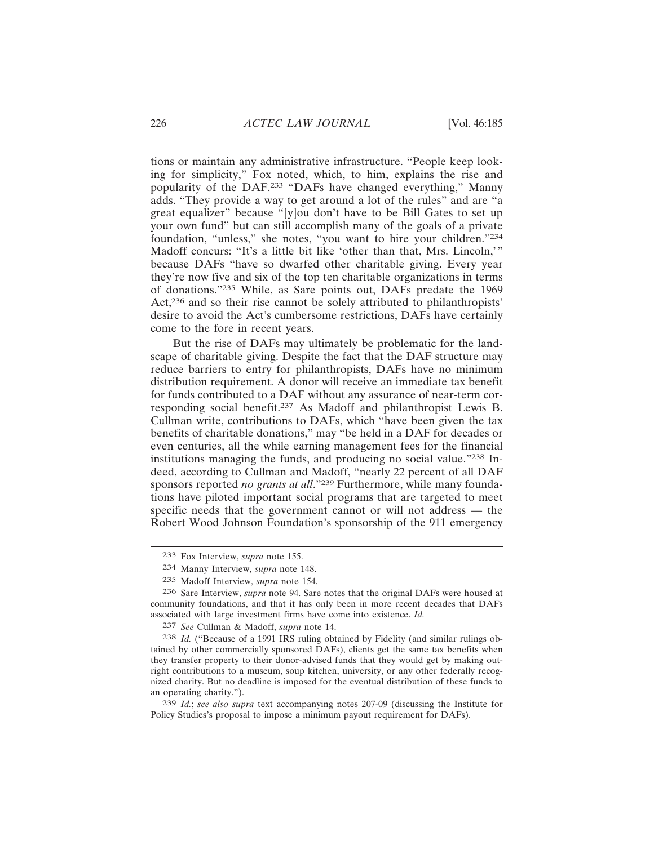tions or maintain any administrative infrastructure. "People keep looking for simplicity," Fox noted, which, to him, explains the rise and popularity of the DAF.233 "DAFs have changed everything," Manny adds. "They provide a way to get around a lot of the rules" and are "a great equalizer" because "[y]ou don't have to be Bill Gates to set up your own fund" but can still accomplish many of the goals of a private foundation, "unless," she notes, "you want to hire your children."<sup>234</sup> Madoff concurs: "It's a little bit like 'other than that, Mrs. Lincoln,'" because DAFs "have so dwarfed other charitable giving. Every year they're now five and six of the top ten charitable organizations in terms of donations."235 While, as Sare points out, DAFs predate the 1969 Act,<sup>236</sup> and so their rise cannot be solely attributed to philanthropists' desire to avoid the Act's cumbersome restrictions, DAFs have certainly come to the fore in recent years.

But the rise of DAFs may ultimately be problematic for the landscape of charitable giving. Despite the fact that the DAF structure may reduce barriers to entry for philanthropists, DAFs have no minimum distribution requirement. A donor will receive an immediate tax benefit for funds contributed to a DAF without any assurance of near-term corresponding social benefit.237 As Madoff and philanthropist Lewis B. Cullman write, contributions to DAFs, which "have been given the tax benefits of charitable donations," may "be held in a DAF for decades or even centuries, all the while earning management fees for the financial institutions managing the funds, and producing no social value."238 Indeed, according to Cullman and Madoff, "nearly 22 percent of all DAF sponsors reported *no grants at all*."<sup>239</sup> Furthermore, while many foundations have piloted important social programs that are targeted to meet specific needs that the government cannot or will not address — the Robert Wood Johnson Foundation's sponsorship of the 911 emergency

<sup>233</sup> Fox Interview, *supra* note 155.

<sup>234</sup> Manny Interview, *supra* note 148.

<sup>235</sup> Madoff Interview, *supra* note 154.

<sup>236</sup> Sare Interview, *supra* note 94. Sare notes that the original DAFs were housed at community foundations, and that it has only been in more recent decades that DAFs associated with large investment firms have come into existence. *Id.*

<sup>237</sup> *See* Cullman & Madoff, *supra* note 14.

<sup>238</sup> *Id.* ("Because of a 1991 IRS ruling obtained by Fidelity (and similar rulings obtained by other commercially sponsored DAFs), clients get the same tax benefits when they transfer property to their donor-advised funds that they would get by making outright contributions to a museum, soup kitchen, university, or any other federally recognized charity. But no deadline is imposed for the eventual distribution of these funds to an operating charity.").

<sup>239</sup> *Id.*; *see also supra* text accompanying notes 207-09 (discussing the Institute for Policy Studies's proposal to impose a minimum payout requirement for DAFs).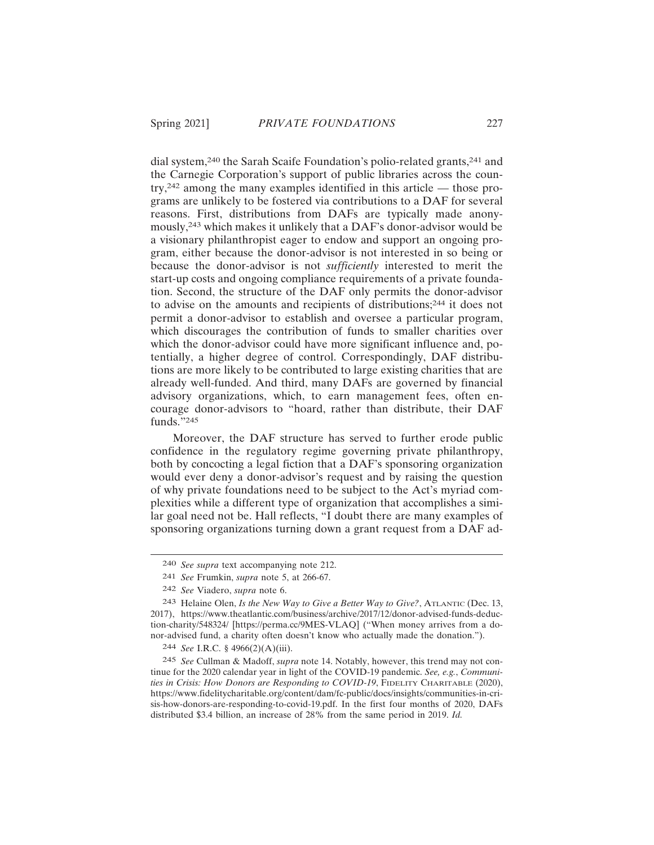dial system,240 the Sarah Scaife Foundation's polio-related grants,241 and the Carnegie Corporation's support of public libraries across the country,242 among the many examples identified in this article — those programs are unlikely to be fostered via contributions to a DAF for several reasons. First, distributions from DAFs are typically made anonymously,243 which makes it unlikely that a DAF's donor-advisor would be a visionary philanthropist eager to endow and support an ongoing program, either because the donor-advisor is not interested in so being or because the donor-advisor is not *sufficiently* interested to merit the start-up costs and ongoing compliance requirements of a private foundation. Second, the structure of the DAF only permits the donor-advisor to advise on the amounts and recipients of distributions;244 it does not permit a donor-advisor to establish and oversee a particular program, which discourages the contribution of funds to smaller charities over which the donor-advisor could have more significant influence and, potentially, a higher degree of control. Correspondingly, DAF distributions are more likely to be contributed to large existing charities that are already well-funded. And third, many DAFs are governed by financial advisory organizations, which, to earn management fees, often encourage donor-advisors to "hoard, rather than distribute, their DAF funds."245

Moreover, the DAF structure has served to further erode public confidence in the regulatory regime governing private philanthropy, both by concocting a legal fiction that a DAF's sponsoring organization would ever deny a donor-advisor's request and by raising the question of why private foundations need to be subject to the Act's myriad complexities while a different type of organization that accomplishes a similar goal need not be. Hall reflects, "I doubt there are many examples of sponsoring organizations turning down a grant request from a DAF ad-

<sup>240</sup> *See supra* text accompanying note 212.

<sup>241</sup> *See* Frumkin, *supra* note 5, at 266-67.

<sup>242</sup> *See* Viadero, *supra* note 6.

<sup>243</sup> Helaine Olen, *Is the New Way to Give a Better Way to Give?*, ATLANTIC (Dec. 13, 2017), https://www.theatlantic.com/business/archive/2017/12/donor-advised-funds-deduction-charity/548324/ [https://perma.cc/9MES-VLAQ] ("When money arrives from a donor-advised fund, a charity often doesn't know who actually made the donation.").

<sup>244</sup> *See* I.R.C. § 4966(2)(A)(iii).

<sup>245</sup> *See* Cullman & Madoff, *supra* note 14. Notably, however, this trend may not continue for the 2020 calendar year in light of the COVID-19 pandemic. *See, e.g.*, *Communities in Crisis: How Donors are Responding to COVID-19*, FIDELITY CHARITABLE (2020), https://www.fidelitycharitable.org/content/dam/fc-public/docs/insights/communities-in-crisis-how-donors-are-responding-to-covid-19.pdf. In the first four months of 2020, DAFs distributed \$3.4 billion, an increase of 28% from the same period in 2019. *Id.*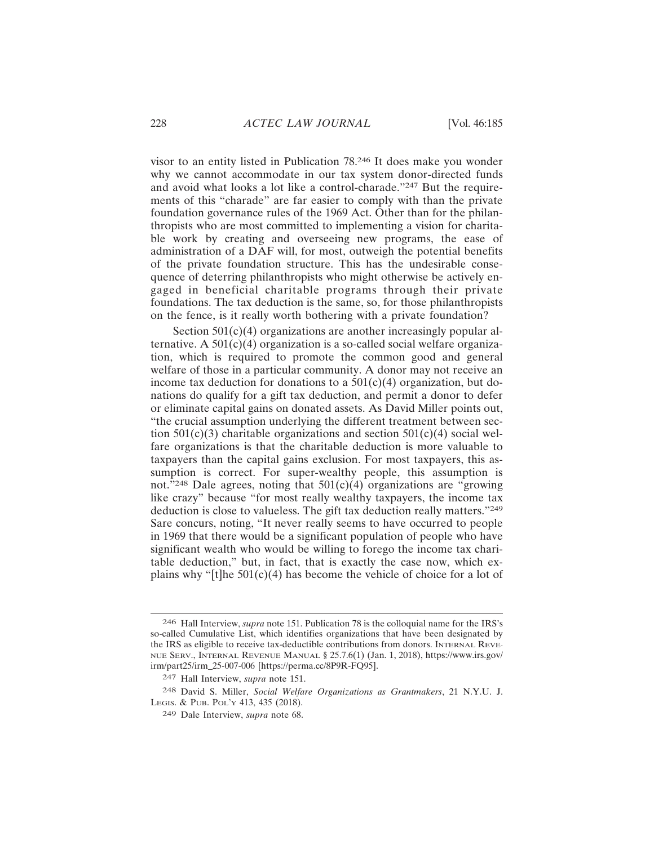visor to an entity listed in Publication 78.246 It does make you wonder why we cannot accommodate in our tax system donor-directed funds and avoid what looks a lot like a control-charade."247 But the requirements of this "charade" are far easier to comply with than the private foundation governance rules of the 1969 Act. Other than for the philanthropists who are most committed to implementing a vision for charitable work by creating and overseeing new programs, the ease of administration of a DAF will, for most, outweigh the potential benefits of the private foundation structure. This has the undesirable consequence of deterring philanthropists who might otherwise be actively engaged in beneficial charitable programs through their private foundations. The tax deduction is the same, so, for those philanthropists on the fence, is it really worth bothering with a private foundation?

Section  $501(c)(4)$  organizations are another increasingly popular alternative. A  $501(c)(4)$  organization is a so-called social welfare organization, which is required to promote the common good and general welfare of those in a particular community. A donor may not receive an income tax deduction for donations to a  $501(c)(4)$  organization, but donations do qualify for a gift tax deduction, and permit a donor to defer or eliminate capital gains on donated assets. As David Miller points out, "the crucial assumption underlying the different treatment between section  $501(c)(3)$  charitable organizations and section  $501(c)(4)$  social welfare organizations is that the charitable deduction is more valuable to taxpayers than the capital gains exclusion. For most taxpayers, this assumption is correct. For super-wealthy people, this assumption is not."<sup>248</sup> Dale agrees, noting that  $501(c)(4)$  organizations are "growing" like crazy" because "for most really wealthy taxpayers, the income tax deduction is close to valueless. The gift tax deduction really matters."<sup>249</sup> Sare concurs, noting, "It never really seems to have occurred to people in 1969 that there would be a significant population of people who have significant wealth who would be willing to forego the income tax charitable deduction," but, in fact, that is exactly the case now, which explains why " $[t]$ he 501(c)(4) has become the vehicle of choice for a lot of

<sup>246</sup> Hall Interview, *supra* note 151. Publication 78 is the colloquial name for the IRS's so-called Cumulative List, which identifies organizations that have been designated by the IRS as eligible to receive tax-deductible contributions from donors. INTERNAL REVE-NUE SERV., INTERNAL REVENUE MANUAL § 25.7.6(1) (Jan. 1, 2018), https://www.irs.gov/ irm/part25/irm\_25-007-006 [https://perma.cc/8P9R-FQ95].

<sup>247</sup> Hall Interview, *supra* note 151.

<sup>248</sup> David S. Miller, *Social Welfare Organizations as Grantmakers*, 21 N.Y.U. J. LEGIS. & PUB. POL'Y 413, 435 (2018).

<sup>249</sup> Dale Interview, *supra* note 68.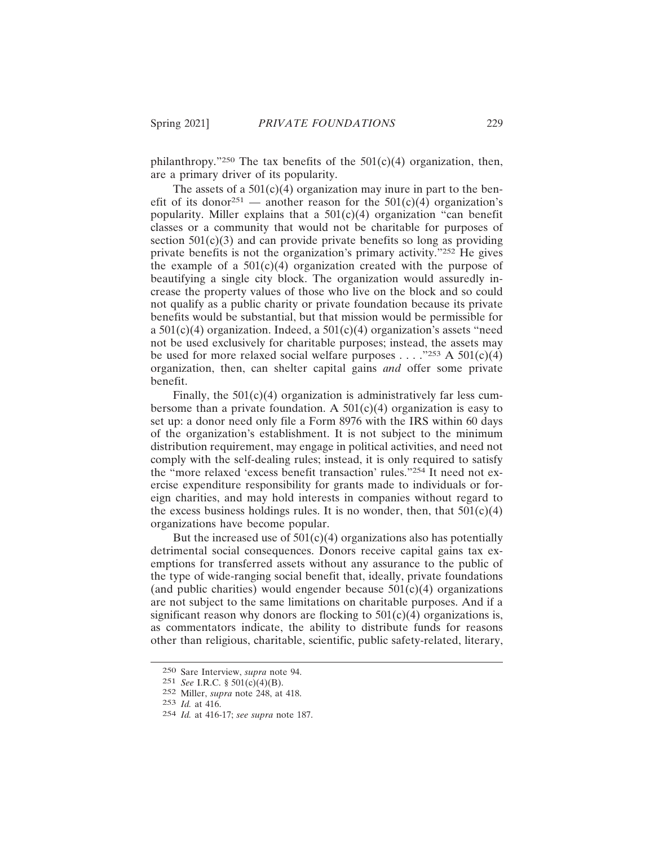philanthropy."<sup>250</sup> The tax benefits of the  $501(c)(4)$  organization, then, are a primary driver of its popularity.

The assets of a  $501(c)(4)$  organization may inure in part to the benefit of its donor<sup>251</sup> — another reason for the  $501(c)(4)$  organization's popularity. Miller explains that a  $501(c)(4)$  organization "can benefit classes or a community that would not be charitable for purposes of section  $501(c)(3)$  and can provide private benefits so long as providing private benefits is not the organization's primary activity."252 He gives the example of a  $501(c)(4)$  organization created with the purpose of beautifying a single city block. The organization would assuredly increase the property values of those who live on the block and so could not qualify as a public charity or private foundation because its private benefits would be substantial, but that mission would be permissible for a  $501(c)(4)$  organization. Indeed, a  $501(c)(4)$  organization's assets "need not be used exclusively for charitable purposes; instead, the assets may be used for more relaxed social welfare purposes . . . . . "253 A  $501(c)(4)$ organization, then, can shelter capital gains *and* offer some private benefit.

Finally, the  $501(c)(4)$  organization is administratively far less cumbersome than a private foundation. A  $501(c)(4)$  organization is easy to set up: a donor need only file a Form 8976 with the IRS within 60 days of the organization's establishment. It is not subject to the minimum distribution requirement, may engage in political activities, and need not comply with the self-dealing rules; instead, it is only required to satisfy the "more relaxed 'excess benefit transaction' rules."254 It need not exercise expenditure responsibility for grants made to individuals or foreign charities, and may hold interests in companies without regard to the excess business holdings rules. It is no wonder, then, that  $501(c)(4)$ organizations have become popular.

But the increased use of  $501(c)(4)$  organizations also has potentially detrimental social consequences. Donors receive capital gains tax exemptions for transferred assets without any assurance to the public of the type of wide-ranging social benefit that, ideally, private foundations (and public charities) would engender because  $501(c)(4)$  organizations are not subject to the same limitations on charitable purposes. And if a significant reason why donors are flocking to  $501(c)(4)$  organizations is, as commentators indicate, the ability to distribute funds for reasons other than religious, charitable, scientific, public safety-related, literary,

<sup>250</sup> Sare Interview, *supra* note 94.

<sup>251</sup> *See* I.R.C. § 501(c)(4)(B).

<sup>252</sup> Miller, *supra* note 248, at 418.

<sup>253</sup> *Id.* at 416.

<sup>254</sup> *Id.* at 416-17; *see supra* note 187.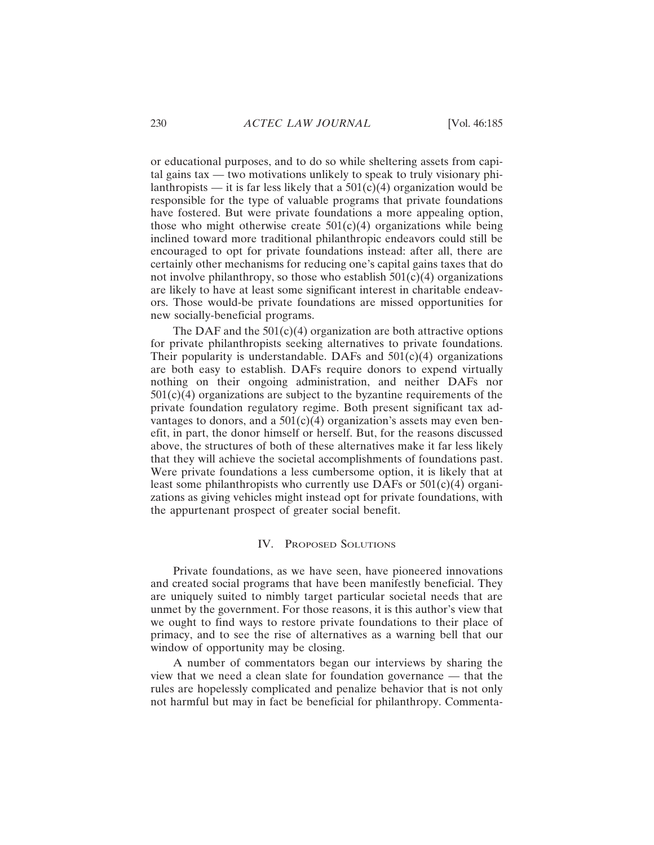or educational purposes, and to do so while sheltering assets from capital gains tax — two motivations unlikely to speak to truly visionary philanthropists — it is far less likely that a  $501(\overline{c})(4)$  organization would be responsible for the type of valuable programs that private foundations have fostered. But were private foundations a more appealing option, those who might otherwise create  $501(c)(4)$  organizations while being inclined toward more traditional philanthropic endeavors could still be encouraged to opt for private foundations instead: after all, there are certainly other mechanisms for reducing one's capital gains taxes that do not involve philanthropy, so those who establish  $501(c)(4)$  organizations are likely to have at least some significant interest in charitable endeavors. Those would-be private foundations are missed opportunities for new socially-beneficial programs.

The DAF and the  $501(c)(4)$  organization are both attractive options for private philanthropists seeking alternatives to private foundations. Their popularity is understandable. DAFs and  $501(c)(4)$  organizations are both easy to establish. DAFs require donors to expend virtually nothing on their ongoing administration, and neither DAFs nor  $501(c)(4)$  organizations are subject to the byzantine requirements of the private foundation regulatory regime. Both present significant tax advantages to donors, and a  $501(c)(4)$  organization's assets may even benefit, in part, the donor himself or herself. But, for the reasons discussed above, the structures of both of these alternatives make it far less likely that they will achieve the societal accomplishments of foundations past. Were private foundations a less cumbersome option, it is likely that at least some philanthropists who currently use DAFs or  $501(c)(4)$  organizations as giving vehicles might instead opt for private foundations, with the appurtenant prospect of greater social benefit.

### IV. PROPOSED SOLUTIONS

Private foundations, as we have seen, have pioneered innovations and created social programs that have been manifestly beneficial. They are uniquely suited to nimbly target particular societal needs that are unmet by the government. For those reasons, it is this author's view that we ought to find ways to restore private foundations to their place of primacy, and to see the rise of alternatives as a warning bell that our window of opportunity may be closing.

A number of commentators began our interviews by sharing the view that we need a clean slate for foundation governance — that the rules are hopelessly complicated and penalize behavior that is not only not harmful but may in fact be beneficial for philanthropy. Commenta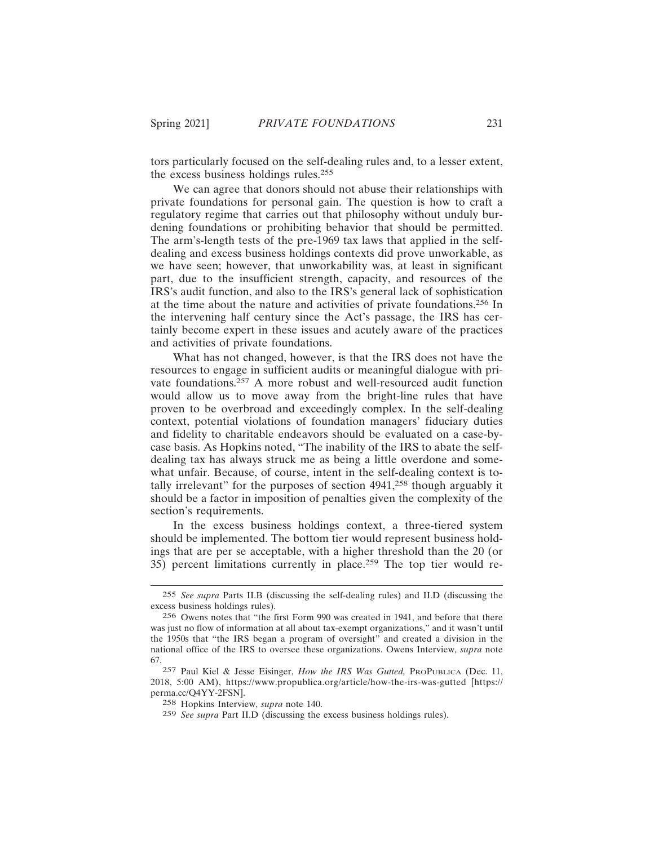tors particularly focused on the self-dealing rules and, to a lesser extent, the excess business holdings rules.<sup>255</sup>

We can agree that donors should not abuse their relationships with private foundations for personal gain. The question is how to craft a regulatory regime that carries out that philosophy without unduly burdening foundations or prohibiting behavior that should be permitted. The arm's-length tests of the pre-1969 tax laws that applied in the selfdealing and excess business holdings contexts did prove unworkable, as we have seen; however, that unworkability was, at least in significant part, due to the insufficient strength, capacity, and resources of the IRS's audit function, and also to the IRS's general lack of sophistication at the time about the nature and activities of private foundations.256 In the intervening half century since the Act's passage, the IRS has certainly become expert in these issues and acutely aware of the practices and activities of private foundations.

What has not changed, however, is that the IRS does not have the resources to engage in sufficient audits or meaningful dialogue with private foundations.<sup>257</sup> A more robust and well-resourced audit function would allow us to move away from the bright-line rules that have proven to be overbroad and exceedingly complex. In the self-dealing context, potential violations of foundation managers' fiduciary duties and fidelity to charitable endeavors should be evaluated on a case-bycase basis. As Hopkins noted, "The inability of the IRS to abate the selfdealing tax has always struck me as being a little overdone and somewhat unfair. Because, of course, intent in the self-dealing context is totally irrelevant" for the purposes of section 4941,258 though arguably it should be a factor in imposition of penalties given the complexity of the section's requirements.

In the excess business holdings context, a three-tiered system should be implemented. The bottom tier would represent business holdings that are per se acceptable, with a higher threshold than the 20 (or 35) percent limitations currently in place.259 The top tier would re-

<sup>255</sup> *See supra* Parts II.B (discussing the self-dealing rules) and II.D (discussing the excess business holdings rules).

<sup>256</sup> Owens notes that "the first Form 990 was created in 1941, and before that there was just no flow of information at all about tax-exempt organizations," and it wasn't until the 1950s that "the IRS began a program of oversight" and created a division in the national office of the IRS to oversee these organizations. Owens Interview, *supra* note 67.

<sup>257</sup> Paul Kiel & Jesse Eisinger, *How the IRS Was Gutted,* PROPUBLICA (Dec. 11, 2018, 5:00 AM), https://www.propublica.org/article/how-the-irs-was-gutted [https:// perma.cc/Q4YY-2FSN].

<sup>258</sup> Hopkins Interview, *supra* note 140.

<sup>259</sup> *See supra* Part II.D (discussing the excess business holdings rules).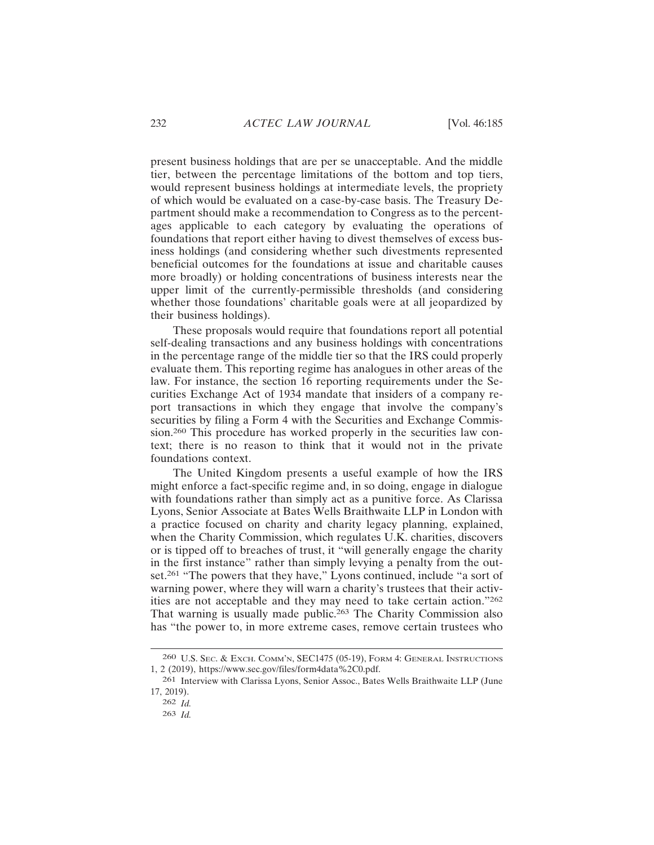present business holdings that are per se unacceptable. And the middle tier, between the percentage limitations of the bottom and top tiers, would represent business holdings at intermediate levels, the propriety of which would be evaluated on a case-by-case basis. The Treasury Department should make a recommendation to Congress as to the percentages applicable to each category by evaluating the operations of foundations that report either having to divest themselves of excess business holdings (and considering whether such divestments represented beneficial outcomes for the foundations at issue and charitable causes more broadly) or holding concentrations of business interests near the upper limit of the currently-permissible thresholds (and considering whether those foundations' charitable goals were at all jeopardized by their business holdings).

These proposals would require that foundations report all potential self-dealing transactions and any business holdings with concentrations in the percentage range of the middle tier so that the IRS could properly evaluate them. This reporting regime has analogues in other areas of the law. For instance, the section 16 reporting requirements under the Securities Exchange Act of 1934 mandate that insiders of a company report transactions in which they engage that involve the company's securities by filing a Form 4 with the Securities and Exchange Commission.260 This procedure has worked properly in the securities law context; there is no reason to think that it would not in the private foundations context.

The United Kingdom presents a useful example of how the IRS might enforce a fact-specific regime and, in so doing, engage in dialogue with foundations rather than simply act as a punitive force. As Clarissa Lyons, Senior Associate at Bates Wells Braithwaite LLP in London with a practice focused on charity and charity legacy planning, explained, when the Charity Commission, which regulates U.K. charities, discovers or is tipped off to breaches of trust, it "will generally engage the charity in the first instance" rather than simply levying a penalty from the outset.<sup>261</sup> "The powers that they have," Lyons continued, include "a sort of warning power, where they will warn a charity's trustees that their activities are not acceptable and they may need to take certain action."<sup>262</sup> That warning is usually made public.<sup>263</sup> The Charity Commission also has "the power to, in more extreme cases, remove certain trustees who

<sup>260</sup> U.S. SEC. & EXCH. COMM'N, SEC1475 (05-19), FORM 4: GENERAL INSTRUCTIONS 1, 2 (2019), https://www.sec.gov/files/form4data%2C0.pdf.

<sup>261</sup> Interview with Clarissa Lyons, Senior Assoc., Bates Wells Braithwaite LLP (June 17, 2019).

<sup>262</sup> *Id.*

<sup>263</sup> *Id.*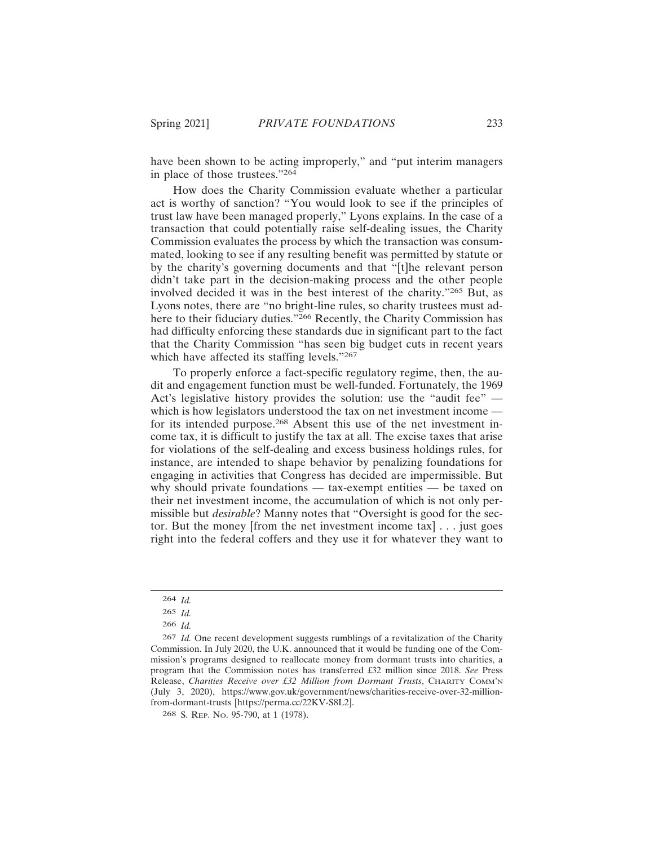have been shown to be acting improperly," and "put interim managers in place of those trustees."<sup>264</sup>

How does the Charity Commission evaluate whether a particular act is worthy of sanction? "You would look to see if the principles of trust law have been managed properly," Lyons explains. In the case of a transaction that could potentially raise self-dealing issues, the Charity Commission evaluates the process by which the transaction was consummated, looking to see if any resulting benefit was permitted by statute or by the charity's governing documents and that "[t]he relevant person didn't take part in the decision-making process and the other people involved decided it was in the best interest of the charity."265 But, as Lyons notes, there are "no bright-line rules, so charity trustees must adhere to their fiduciary duties."<sup>266</sup> Recently, the Charity Commission has had difficulty enforcing these standards due in significant part to the fact that the Charity Commission "has seen big budget cuts in recent years which have affected its staffing levels."<sup>267</sup>

To properly enforce a fact-specific regulatory regime, then, the audit and engagement function must be well-funded. Fortunately, the 1969 Act's legislative history provides the solution: use the "audit fee" which is how legislators understood the tax on net investment income for its intended purpose.268 Absent this use of the net investment income tax, it is difficult to justify the tax at all. The excise taxes that arise for violations of the self-dealing and excess business holdings rules, for instance, are intended to shape behavior by penalizing foundations for engaging in activities that Congress has decided are impermissible. But why should private foundations — tax-exempt entities — be taxed on their net investment income, the accumulation of which is not only permissible but *desirable*? Manny notes that "Oversight is good for the sector. But the money [from the net investment income tax] . . . just goes right into the federal coffers and they use it for whatever they want to

<sup>264</sup> *Id.*

<sup>265</sup> *Id.*

<sup>266</sup> *Id.*

<sup>267</sup> *Id.* One recent development suggests rumblings of a revitalization of the Charity Commission. In July 2020, the U.K. announced that it would be funding one of the Commission's programs designed to reallocate money from dormant trusts into charities, a program that the Commission notes has transferred £32 million since 2018. *See* Press Release, *Charities Receive over £32 Million from Dormant Trusts*, CHARITY COMM'N (July 3, 2020), https://www.gov.uk/government/news/charities-receive-over-32-millionfrom-dormant-trusts [https://perma.cc/22KV-S8L2].

<sup>268</sup> S. REP. NO. 95-790, at 1 (1978).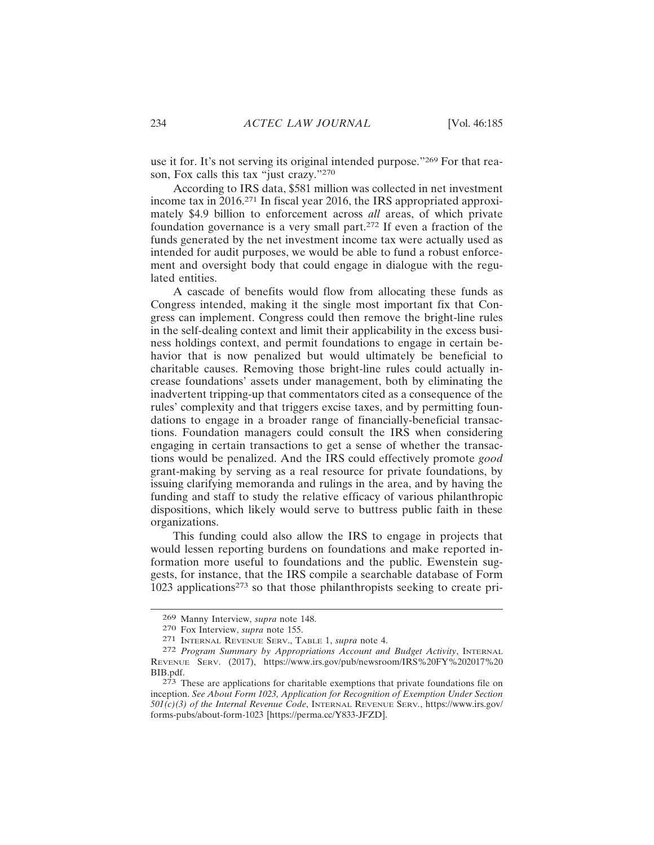use it for. It's not serving its original intended purpose."269 For that reason, Fox calls this tax "just crazy."<sup>270</sup>

According to IRS data, \$581 million was collected in net investment income tax in 2016.271 In fiscal year 2016, the IRS appropriated approximately \$4.9 billion to enforcement across *all* areas, of which private foundation governance is a very small part.272 If even a fraction of the funds generated by the net investment income tax were actually used as intended for audit purposes, we would be able to fund a robust enforcement and oversight body that could engage in dialogue with the regulated entities.

A cascade of benefits would flow from allocating these funds as Congress intended, making it the single most important fix that Congress can implement. Congress could then remove the bright-line rules in the self-dealing context and limit their applicability in the excess business holdings context, and permit foundations to engage in certain behavior that is now penalized but would ultimately be beneficial to charitable causes. Removing those bright-line rules could actually increase foundations' assets under management, both by eliminating the inadvertent tripping-up that commentators cited as a consequence of the rules' complexity and that triggers excise taxes, and by permitting foundations to engage in a broader range of financially-beneficial transactions. Foundation managers could consult the IRS when considering engaging in certain transactions to get a sense of whether the transactions would be penalized. And the IRS could effectively promote *good* grant-making by serving as a real resource for private foundations, by issuing clarifying memoranda and rulings in the area, and by having the funding and staff to study the relative efficacy of various philanthropic dispositions, which likely would serve to buttress public faith in these organizations.

This funding could also allow the IRS to engage in projects that would lessen reporting burdens on foundations and make reported information more useful to foundations and the public. Ewenstein suggests, for instance, that the IRS compile a searchable database of Form 1023 applications273 so that those philanthropists seeking to create pri-

<sup>269</sup> Manny Interview, *supra* note 148.

<sup>270</sup> Fox Interview, *supra* note 155.

<sup>271</sup> INTERNAL REVENUE SERV., TABLE 1, *supra* note 4.

<sup>272</sup> *Program Summary by Appropriations Account and Budget Activity*, INTERNAL REVENUE SERV. (2017), https://www.irs.gov/pub/newsroom/IRS%20FY%202017%20 BIB.pdf.

<sup>273</sup> These are applications for charitable exemptions that private foundations file on inception. *See About Form 1023, Application for Recognition of Exemption Under Section 501(c)(3) of the Internal Revenue Code*, INTERNAL REVENUE SERV*.*, https://www.irs.gov/ forms-pubs/about-form-1023 [https://perma.cc/Y833-JFZD].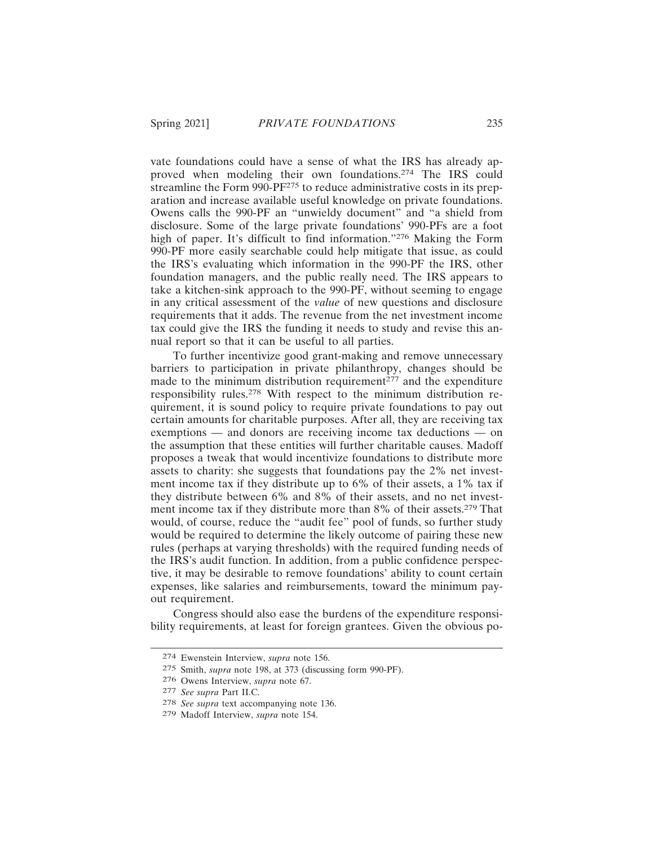vate foundations could have a sense of what the IRS has already approved when modeling their own foundations.274 The IRS could streamline the Form 990-PF275 to reduce administrative costs in its preparation and increase available useful knowledge on private foundations. Owens calls the 990-PF an "unwieldy document" and "a shield from disclosure. Some of the large private foundations' 990-PFs are a foot high of paper. It's difficult to find information."276 Making the Form 990-PF more easily searchable could help mitigate that issue, as could the IRS's evaluating which information in the 990-PF the IRS, other foundation managers, and the public really need. The IRS appears to take a kitchen-sink approach to the 990-PF, without seeming to engage in any critical assessment of the *value* of new questions and disclosure requirements that it adds. The revenue from the net investment income tax could give the IRS the funding it needs to study and revise this annual report so that it can be useful to all parties.

To further incentivize good grant-making and remove unnecessary barriers to participation in private philanthropy, changes should be made to the minimum distribution requirement $277$  and the expenditure responsibility rules.278 With respect to the minimum distribution requirement, it is sound policy to require private foundations to pay out certain amounts for charitable purposes. After all, they are receiving tax exemptions — and donors are receiving income tax deductions — on the assumption that these entities will further charitable causes. Madoff proposes a tweak that would incentivize foundations to distribute more assets to charity: she suggests that foundations pay the 2% net investment income tax if they distribute up to 6% of their assets, a 1% tax if they distribute between 6% and 8% of their assets, and no net investment income tax if they distribute more than 8% of their assets.279 That would, of course, reduce the "audit fee" pool of funds, so further study would be required to determine the likely outcome of pairing these new rules (perhaps at varying thresholds) with the required funding needs of the IRS's audit function. In addition, from a public confidence perspective, it may be desirable to remove foundations' ability to count certain expenses, like salaries and reimbursements, toward the minimum payout requirement.

Congress should also ease the burdens of the expenditure responsibility requirements, at least for foreign grantees. Given the obvious po-

<sup>274</sup> Ewenstein Interview, *supra* note 156.

<sup>275</sup> Smith, *supra* note 198, at 373 (discussing form 990-PF).

<sup>276</sup> Owens Interview, *supra* note 67.

<sup>277</sup> *See supra* Part II.C.

<sup>278</sup> *See supra* text accompanying note 136.

<sup>279</sup> Madoff Interview, *supra* note 154.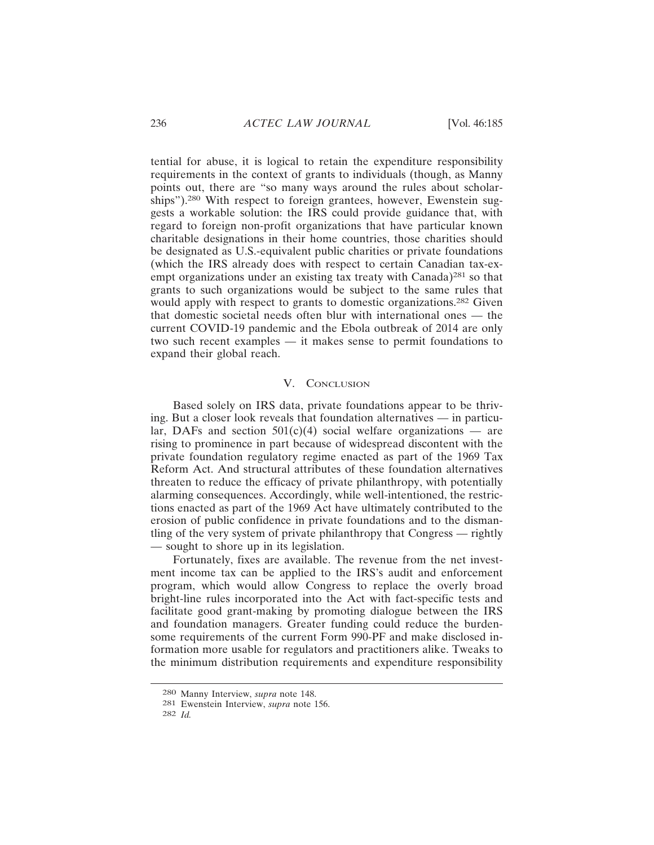tential for abuse, it is logical to retain the expenditure responsibility requirements in the context of grants to individuals (though, as Manny points out, there are "so many ways around the rules about scholarships").280 With respect to foreign grantees, however, Ewenstein suggests a workable solution: the IRS could provide guidance that, with regard to foreign non-profit organizations that have particular known charitable designations in their home countries, those charities should be designated as U.S.-equivalent public charities or private foundations (which the IRS already does with respect to certain Canadian tax-exempt organizations under an existing tax treaty with Canada)<sup>281</sup> so that grants to such organizations would be subject to the same rules that would apply with respect to grants to domestic organizations.<sup>282</sup> Given that domestic societal needs often blur with international ones — the current COVID-19 pandemic and the Ebola outbreak of 2014 are only two such recent examples — it makes sense to permit foundations to expand their global reach.

#### V. CONCLUSION

Based solely on IRS data, private foundations appear to be thriving. But a closer look reveals that foundation alternatives — in particular, DAFs and section  $501(c)(4)$  social welfare organizations — are rising to prominence in part because of widespread discontent with the private foundation regulatory regime enacted as part of the 1969 Tax Reform Act. And structural attributes of these foundation alternatives threaten to reduce the efficacy of private philanthropy, with potentially alarming consequences. Accordingly, while well-intentioned, the restrictions enacted as part of the 1969 Act have ultimately contributed to the erosion of public confidence in private foundations and to the dismantling of the very system of private philanthropy that Congress — rightly — sought to shore up in its legislation.

Fortunately, fixes are available. The revenue from the net investment income tax can be applied to the IRS's audit and enforcement program, which would allow Congress to replace the overly broad bright-line rules incorporated into the Act with fact-specific tests and facilitate good grant-making by promoting dialogue between the IRS and foundation managers. Greater funding could reduce the burdensome requirements of the current Form 990-PF and make disclosed information more usable for regulators and practitioners alike. Tweaks to the minimum distribution requirements and expenditure responsibility

<sup>280</sup> Manny Interview, *supra* note 148.

<sup>281</sup> Ewenstein Interview, *supra* note 156.

<sup>282</sup> *Id.*